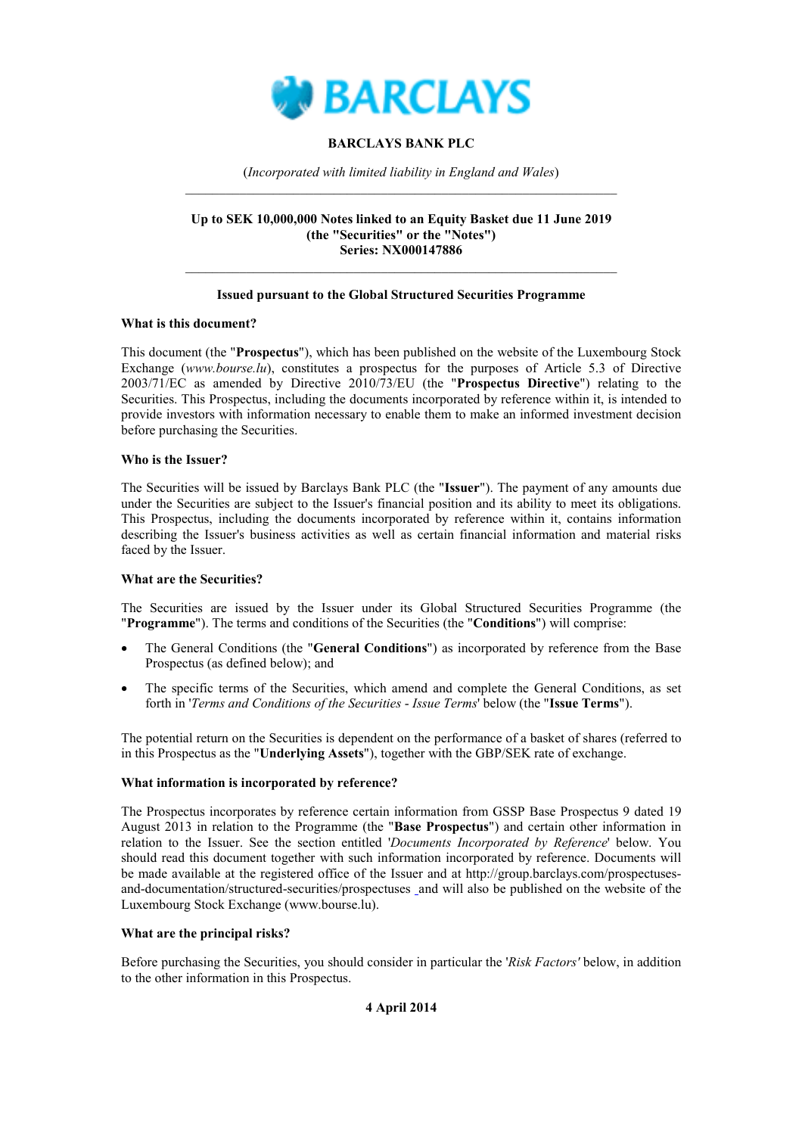

## **BARCLAYS BANK PLC**

(Incorporated with limited liability in England and Wales)

### Up to SEK 10,000,000 Notes linked to an Equity Basket due 11 June 2019 (the "Securities" or the "Notes") **Series: NX000147886**

## **Issued pursuant to the Global Structured Securities Programme**

### What is this document?

This document (the "Prospectus"), which has been published on the website of the Luxembourg Stock Exchange (www.bourse.lu), constitutes a prospectus for the purposes of Article 5.3 of Directive 2003/71/EC as amended by Directive 2010/73/EU (the "Prospectus Directive") relating to the Securities. This Prospectus, including the documents incorporated by reference within it, is intended to provide investors with information necessary to enable them to make an informed investment decision before purchasing the Securities.

### Who is the Issuer?

The Securities will be issued by Barclays Bank PLC (the "Issuer"). The payment of any amounts due under the Securities are subject to the Issuer's financial position and its ability to meet its obligations. This Prospectus, including the documents incorporated by reference within it, contains information describing the Issuer's business activities as well as certain financial information and material risks faced by the Issuer.

## **What are the Securities?**

The Securities are issued by the Issuer under its Global Structured Securities Programme (the "Programme"). The terms and conditions of the Securities (the "Conditions") will comprise:

- The General Conditions (the "General Conditions") as incorporated by reference from the Base Prospectus (as defined below); and
- The specific terms of the Securities, which amend and complete the General Conditions, as set forth in 'Terms and Conditions of the Securities - Issue Terms' below (the "Issue Terms").

The potential return on the Securities is dependent on the performance of a basket of shares (referred to in this Prospectus as the "Underlying Assets"), together with the GBP/SEK rate of exchange.

## What information is incorporated by reference?

The Prospectus incorporates by reference certain information from GSSP Base Prospectus 9 dated 19 August 2013 in relation to the Programme (the "Base Prospectus") and certain other information in relation to the Issuer. See the section entitled 'Documents Incorporated by Reference' below. You should read this document together with such information incorporated by reference. Documents will be made available at the registered office of the Issuer and at http://group.barclays.com/prospectusesand-documentation/structured-securities/prospectuses and will also be published on the website of the Luxembourg Stock Exchange (www.bourse.lu).

## What are the principal risks?

Before purchasing the Securities, you should consider in particular the 'Risk Factors' below, in addition to the other information in this Prospectus.

## 4 April 2014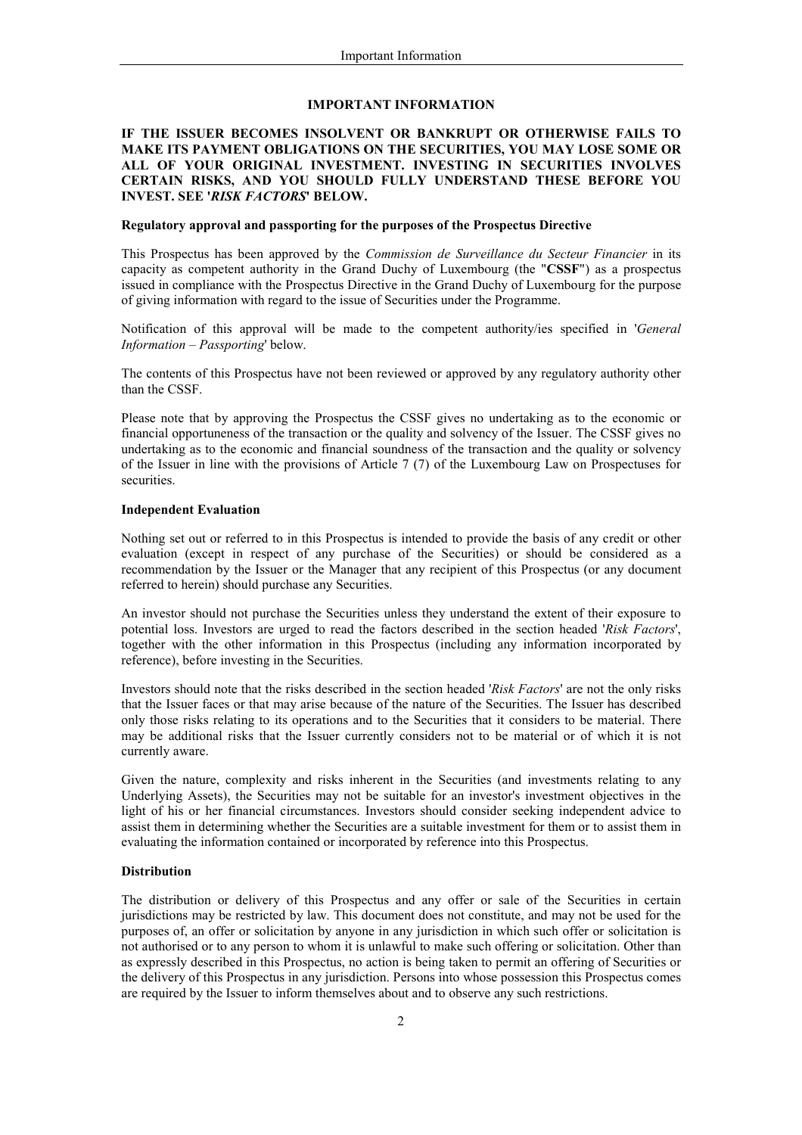#### **IMPORTANT INFORMATION**

### IF THE ISSUER BECOMES INSOLVENT OR BANKRUPT OR OTHERWISE FAILS TO MAKE ITS PAYMENT OBLIGATIONS ON THE SECURITIES, YOU MAY LOSE SOME OR ALL OF YOUR ORIGINAL INVESTMENT. INVESTING IN SECURITIES INVOLVES CERTAIN RISKS, AND YOU SHOULD FULLY UNDERSTAND THESE BEFORE YOU **INVEST. SEE 'RISK FACTORS' BELOW.**

### Regulatory approval and passporting for the purposes of the Prospectus Directive

This Prospectus has been approved by the *Commission de Surveillance du Secteur Financier* in its capacity as competent authority in the Grand Duchy of Luxembourg (the "CSSF") as a prospectus issued in compliance with the Prospectus Directive in the Grand Duchy of Luxembourg for the purpose of giving information with regard to the issue of Securities under the Programme.

Notification of this approval will be made to the competent authority/ies specified in 'General Information - Passporting' below.

The contents of this Prospectus have not been reviewed or approved by any regulatory authority other than the CSSF.

Please note that by approving the Prospectus the CSSF gives no undertaking as to the economic or financial opportuneness of the transaction or the quality and solvency of the Issuer. The CSSF gives no undertaking as to the economic and financial soundness of the transaction and the quality or solvency of the Issuer in line with the provisions of Article  $7(7)$  of the Luxembourg Law on Prospectuses for securities.

### **Independent Evaluation**

Nothing set out or referred to in this Prospectus is intended to provide the basis of any credit or other evaluation (except in respect of any purchase of the Securities) or should be considered as a recommendation by the Issuer or the Manager that any recipient of this Prospectus (or any document referred to herein) should purchase any Securities.

An investor should not purchase the Securities unless they understand the extent of their exposure to potential loss. Investors are urged to read the factors described in the section headed 'Risk Factors', together with the other information in this Prospectus (including any information incorporated by reference), before investing in the Securities.

Investors should note that the risks described in the section headed 'Risk Factors' are not the only risks that the Issuer faces or that may arise because of the nature of the Securities. The Issuer has described only those risks relating to its operations and to the Securities that it considers to be material. There may be additional risks that the Issuer currently considers not to be material or of which it is not currently aware.

Given the nature, complexity and risks inherent in the Securities (and investments relating to any Underlying Assets), the Securities may not be suitable for an investor's investment objectives in the light of his or her financial circumstances. Investors should consider seeking independent advice to assist them in determining whether the Securities are a suitable investment for them or to assist them in evaluating the information contained or incorporated by reference into this Prospectus.

#### **Distribution**

The distribution or delivery of this Prospectus and any offer or sale of the Securities in certain jurisdictions may be restricted by law. This document does not constitute, and may not be used for the purposes of, an offer or solicitation by anyone in any jurisdiction in which such offer or solicitation is not authorised or to any person to whom it is unlawful to make such offering or solicitation. Other than as expressly described in this Prospectus, no action is being taken to permit an offering of Securities or the delivery of this Prospectus in any jurisdiction. Persons into whose possession this Prospectus comes are required by the Issuer to inform themselves about and to observe any such restrictions.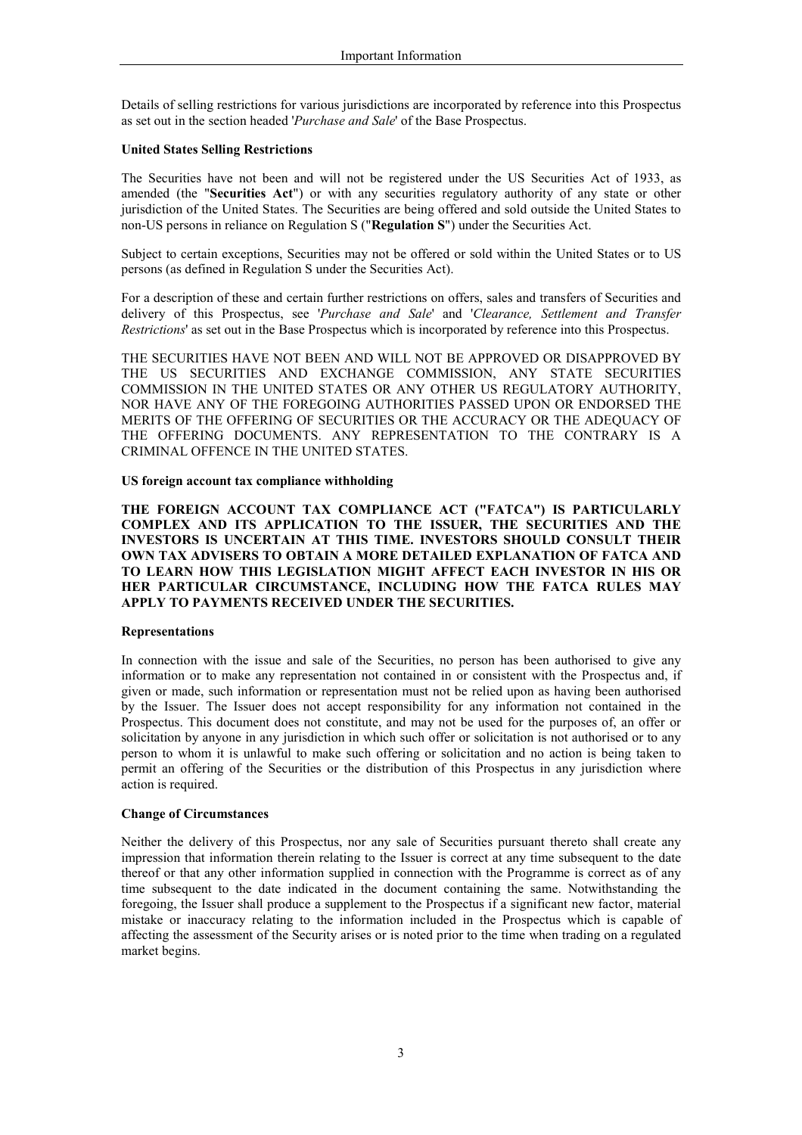Details of selling restrictions for various jurisdictions are incorporated by reference into this Prospectus as set out in the section headed 'Purchase and Sale' of the Base Prospectus.

### **United States Selling Restrictions**

The Securities have not been and will not be registered under the US Securities Act of 1933, as amended (the "Securities Act") or with any securities regulatory authority of any state or other jurisdiction of the United States. The Securities are being offered and sold outside the United States to non-US persons in reliance on Regulation S ("Regulation S") under the Securities Act.

Subject to certain exceptions, Securities may not be offered or sold within the United States or to US persons (as defined in Regulation S under the Securities Act).

For a description of these and certain further restrictions on offers, sales and transfers of Securities and delivery of this Prospectus, see 'Purchase and Sale' and 'Clearance, Settlement and Transfer Restrictions' as set out in the Base Prospectus which is incorporated by reference into this Prospectus.

THE SECURITIES HAVE NOT BEEN AND WILL NOT BE APPROVED OR DISAPPROVED BY THE US SECURITIES AND EXCHANGE COMMISSION, ANY STATE SECURITIES COMMISSION IN THE UNITED STATES OR ANY OTHER US REGULATORY AUTHORITY, NOR HAVE ANY OF THE FOREGOING AUTHORITIES PASSED UPON OR ENDORSED THE MERITS OF THE OFFERING OF SECURITIES OR THE ACCURACY OR THE ADEOUACY OF THE OFFERING DOCUMENTS. ANY REPRESENTATION TO THE CONTRARY IS A CRIMINAL OFFENCE IN THE UNITED STATES.

### US foreign account tax compliance withholding

THE FOREIGN ACCOUNT TAX COMPLIANCE ACT ("FATCA") IS PARTICULARLY COMPLEX AND ITS APPLICATION TO THE ISSUER, THE SECURITIES AND THE INVESTORS IS UNCERTAIN AT THIS TIME. INVESTORS SHOULD CONSULT THEIR OWN TAX ADVISERS TO OBTAIN A MORE DETAILED EXPLANATION OF FATCA AND TO LEARN HOW THIS LEGISLATION MIGHT AFFECT EACH INVESTOR IN HIS OR HER PARTICULAR CIRCUMSTANCE, INCLUDING HOW THE FATCA RULES MAY APPLY TO PAYMENTS RECEIVED UNDER THE SECURITIES.

### **Representations**

In connection with the issue and sale of the Securities, no person has been authorised to give any information or to make any representation not contained in or consistent with the Prospectus and, if given or made, such information or representation must not be relied upon as having been authorised by the Issuer. The Issuer does not accept responsibility for any information not contained in the Prospectus. This document does not constitute, and may not be used for the purposes of, an offer or solicitation by anyone in any jurisdiction in which such offer or solicitation is not authorised or to any person to whom it is unlawful to make such offering or solicitation and no action is being taken to permit an offering of the Securities or the distribution of this Prospectus in any jurisdiction where action is required.

### **Change of Circumstances**

Neither the delivery of this Prospectus, nor any sale of Securities pursuant thereto shall create any impression that information therein relating to the Issuer is correct at any time subsequent to the date thereof or that any other information supplied in connection with the Programme is correct as of any time subsequent to the date indicated in the document containing the same. Notwithstanding the foregoing, the Issuer shall produce a supplement to the Prospectus if a significant new factor, material mistake or inaccuracy relating to the information included in the Prospectus which is capable of affecting the assessment of the Security arises or is noted prior to the time when trading on a regulated market begins.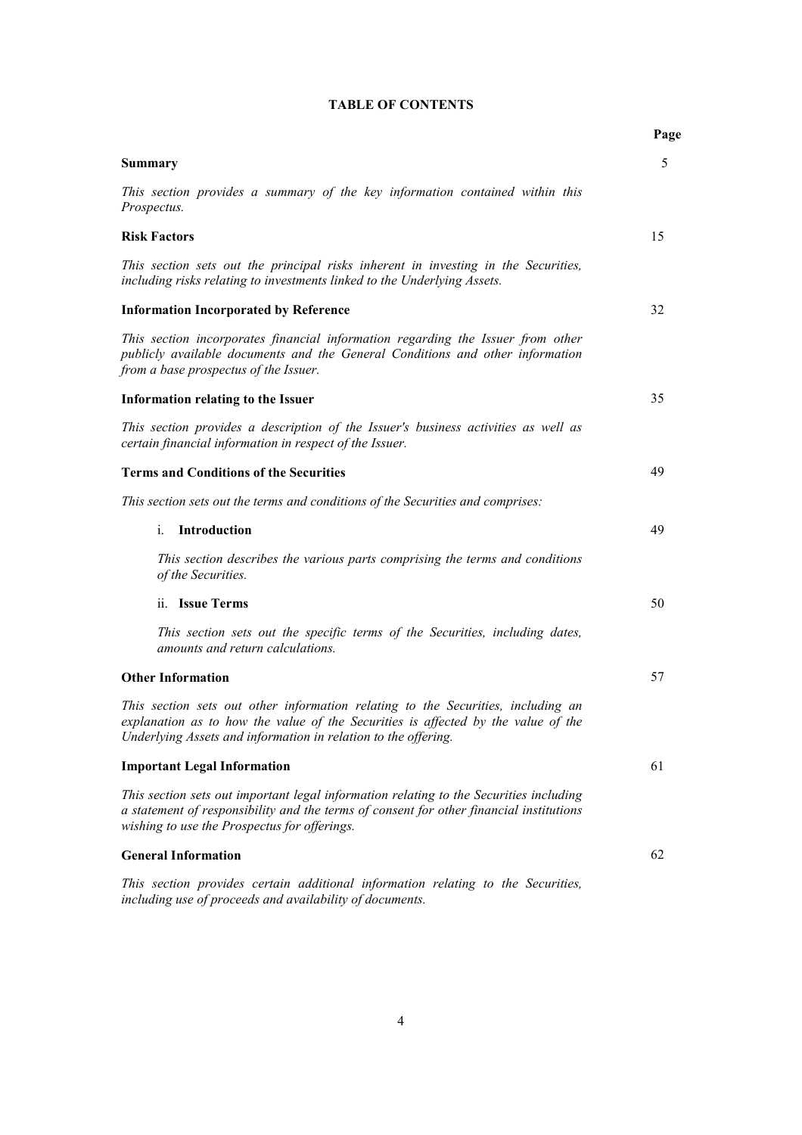|                                                                                                                                                                                                                                         | Page |
|-----------------------------------------------------------------------------------------------------------------------------------------------------------------------------------------------------------------------------------------|------|
| <b>Summary</b>                                                                                                                                                                                                                          | 5    |
| This section provides a summary of the key information contained within this<br>Prospectus.                                                                                                                                             |      |
| <b>Risk Factors</b>                                                                                                                                                                                                                     | 15   |
| This section sets out the principal risks inherent in investing in the Securities,<br>including risks relating to investments linked to the Underlying Assets.                                                                          |      |
| <b>Information Incorporated by Reference</b>                                                                                                                                                                                            | 32   |
| This section incorporates financial information regarding the Issuer from other<br>publicly available documents and the General Conditions and other information<br>from a base prospectus of the Issuer.                               |      |
| Information relating to the Issuer                                                                                                                                                                                                      | 35   |
| This section provides a description of the Issuer's business activities as well as<br>certain financial information in respect of the Issuer.                                                                                           |      |
| <b>Terms and Conditions of the Securities</b>                                                                                                                                                                                           | 49   |
| This section sets out the terms and conditions of the Securities and comprises:                                                                                                                                                         |      |
| Introduction<br>$i$ .                                                                                                                                                                                                                   | 49   |
| This section describes the various parts comprising the terms and conditions<br>of the Securities.                                                                                                                                      |      |
| ii. Issue Terms                                                                                                                                                                                                                         | 50   |
| This section sets out the specific terms of the Securities, including dates,<br>amounts and return calculations.                                                                                                                        |      |
| <b>Other Information</b>                                                                                                                                                                                                                | 57   |
| This section sets out other information relating to the Securities, including an<br>explanation as to how the value of the Securities is affected by the value of the<br>Underlying Assets and information in relation to the offering. |      |
| <b>Important Legal Information</b>                                                                                                                                                                                                      | 61   |
| This section sets out important legal information relating to the Securities including<br>a statement of responsibility and the terms of consent for other financial institutions<br>wishing to use the Prospectus for offerings.       |      |
| <b>General Information</b>                                                                                                                                                                                                              | 62   |
| This section provides certain additional information relating to the Securities,<br>including use of proceeds and availability of documents.                                                                                            |      |

# **TABLE OF CONTENTS**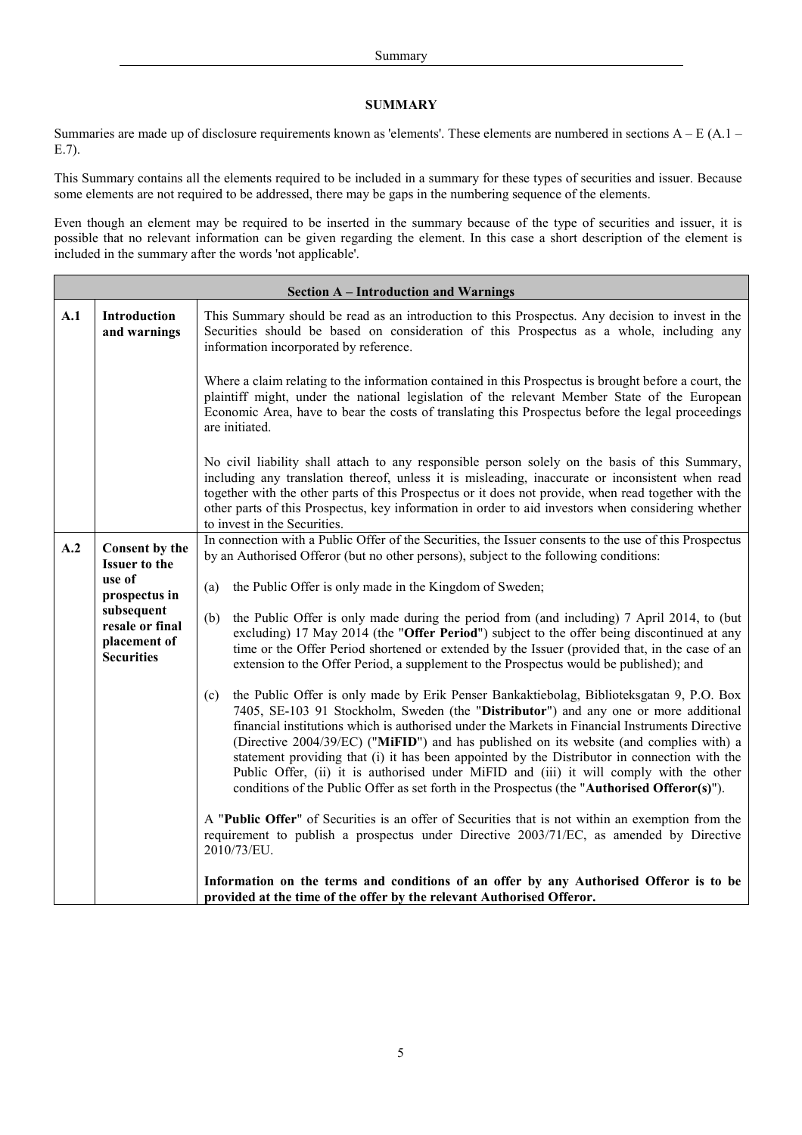### **SUMMARY**

Summaries are made up of disclosure requirements known as 'elements'. These elements are numbered in sections  $A - E(A.1 E.7$ ).

This Summary contains all the elements required to be included in a summary for these types of securities and issuer. Because some elements are not required to be addressed, there may be gaps in the numbering sequence of the elements.

Even though an element may be required to be inserted in the summary because of the type of securities and issuer, it is possible that no relevant information can be given regarding the element. In this case a short description of the element is included in the summary after the words 'not applicable'.

Ē

|     | <b>Section A – Introduction and Warnings</b>                       |                                                                                                                                                                                                                                                                                                                                                                                                                                                                                                                                                                                                                                                                                  |  |  |  |
|-----|--------------------------------------------------------------------|----------------------------------------------------------------------------------------------------------------------------------------------------------------------------------------------------------------------------------------------------------------------------------------------------------------------------------------------------------------------------------------------------------------------------------------------------------------------------------------------------------------------------------------------------------------------------------------------------------------------------------------------------------------------------------|--|--|--|
| A.1 | <b>Introduction</b><br>and warnings                                | This Summary should be read as an introduction to this Prospectus. Any decision to invest in the<br>Securities should be based on consideration of this Prospectus as a whole, including any<br>information incorporated by reference.                                                                                                                                                                                                                                                                                                                                                                                                                                           |  |  |  |
|     |                                                                    | Where a claim relating to the information contained in this Prospectus is brought before a court, the<br>plaintiff might, under the national legislation of the relevant Member State of the European<br>Economic Area, have to bear the costs of translating this Prospectus before the legal proceedings<br>are initiated.                                                                                                                                                                                                                                                                                                                                                     |  |  |  |
|     |                                                                    | No civil liability shall attach to any responsible person solely on the basis of this Summary,<br>including any translation thereof, unless it is misleading, inaccurate or inconsistent when read<br>together with the other parts of this Prospectus or it does not provide, when read together with the<br>other parts of this Prospectus, key information in order to aid investors when considering whether<br>to invest in the Securities.                                                                                                                                                                                                                                 |  |  |  |
| A.2 | Consent by the<br><b>Issuer to the</b>                             | In connection with a Public Offer of the Securities, the Issuer consents to the use of this Prospectus<br>by an Authorised Offeror (but no other persons), subject to the following conditions:                                                                                                                                                                                                                                                                                                                                                                                                                                                                                  |  |  |  |
|     | use of<br>prospectus in                                            | the Public Offer is only made in the Kingdom of Sweden;<br>(a)                                                                                                                                                                                                                                                                                                                                                                                                                                                                                                                                                                                                                   |  |  |  |
|     | subsequent<br>resale or final<br>placement of<br><b>Securities</b> | the Public Offer is only made during the period from (and including) 7 April 2014, to (but<br>(b)<br>excluding) 17 May 2014 (the "Offer Period") subject to the offer being discontinued at any<br>time or the Offer Period shortened or extended by the Issuer (provided that, in the case of an<br>extension to the Offer Period, a supplement to the Prospectus would be published); and                                                                                                                                                                                                                                                                                      |  |  |  |
|     |                                                                    | the Public Offer is only made by Erik Penser Bankaktiebolag, Biblioteksgatan 9, P.O. Box<br>(c)<br>7405, SE-103 91 Stockholm, Sweden (the "Distributor") and any one or more additional<br>financial institutions which is authorised under the Markets in Financial Instruments Directive<br>(Directive 2004/39/EC) ("MiFID") and has published on its website (and complies with) a<br>statement providing that (i) it has been appointed by the Distributor in connection with the<br>Public Offer, (ii) it is authorised under MiFID and (iii) it will comply with the other<br>conditions of the Public Offer as set forth in the Prospectus (the "Authorised Offeror(s)"). |  |  |  |
|     |                                                                    | A "Public Offer" of Securities is an offer of Securities that is not within an exemption from the<br>requirement to publish a prospectus under Directive 2003/71/EC, as amended by Directive<br>2010/73/EU.                                                                                                                                                                                                                                                                                                                                                                                                                                                                      |  |  |  |
|     |                                                                    | Information on the terms and conditions of an offer by any Authorised Offeror is to be<br>provided at the time of the offer by the relevant Authorised Offeror.                                                                                                                                                                                                                                                                                                                                                                                                                                                                                                                  |  |  |  |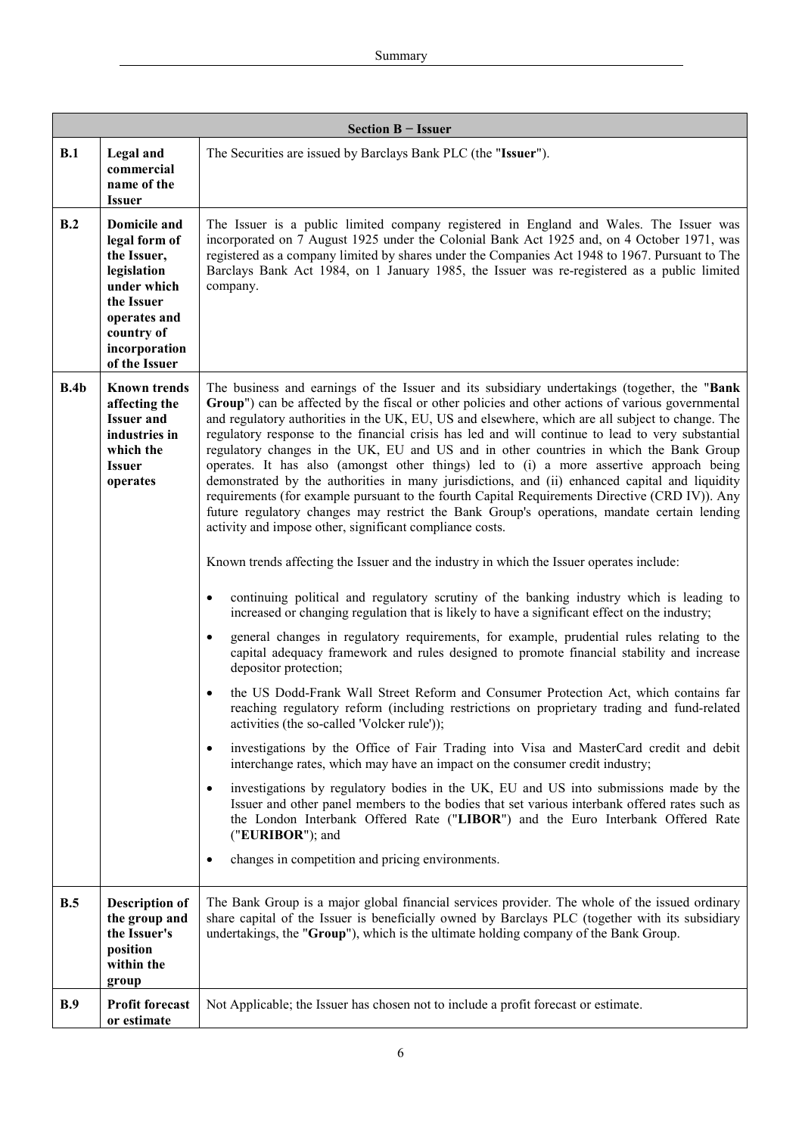|             | Section B - Issuer                                                                                                                                                             |                                                                                                                                                                                                                                                                                                                                                                                                                                                                                                                                                                                                                                                                                                                                                                                                                                                                                                                                                                                                                                                                                                                                                                                                                                                                                                                                                                                                                                                                                                                                                                                                                                                                                                                                                                                                                                                                                                                                                                                                                                                                                                                                                                                                                                                                                                                                                                                                                                                                                                                                                                                                 |  |  |  |
|-------------|--------------------------------------------------------------------------------------------------------------------------------------------------------------------------------|-------------------------------------------------------------------------------------------------------------------------------------------------------------------------------------------------------------------------------------------------------------------------------------------------------------------------------------------------------------------------------------------------------------------------------------------------------------------------------------------------------------------------------------------------------------------------------------------------------------------------------------------------------------------------------------------------------------------------------------------------------------------------------------------------------------------------------------------------------------------------------------------------------------------------------------------------------------------------------------------------------------------------------------------------------------------------------------------------------------------------------------------------------------------------------------------------------------------------------------------------------------------------------------------------------------------------------------------------------------------------------------------------------------------------------------------------------------------------------------------------------------------------------------------------------------------------------------------------------------------------------------------------------------------------------------------------------------------------------------------------------------------------------------------------------------------------------------------------------------------------------------------------------------------------------------------------------------------------------------------------------------------------------------------------------------------------------------------------------------------------------------------------------------------------------------------------------------------------------------------------------------------------------------------------------------------------------------------------------------------------------------------------------------------------------------------------------------------------------------------------------------------------------------------------------------------------------------------------|--|--|--|
| B.1         | Legal and<br>commercial<br>name of the<br><b>Issuer</b>                                                                                                                        | The Securities are issued by Barclays Bank PLC (the "Issuer").                                                                                                                                                                                                                                                                                                                                                                                                                                                                                                                                                                                                                                                                                                                                                                                                                                                                                                                                                                                                                                                                                                                                                                                                                                                                                                                                                                                                                                                                                                                                                                                                                                                                                                                                                                                                                                                                                                                                                                                                                                                                                                                                                                                                                                                                                                                                                                                                                                                                                                                                  |  |  |  |
| B.2         | <b>Domicile and</b><br>legal form of<br>the Issuer,<br>legislation<br>under which<br>the Issuer<br>operates and<br>country of<br>incorporation<br>of the Issuer                | The Issuer is a public limited company registered in England and Wales. The Issuer was<br>incorporated on 7 August 1925 under the Colonial Bank Act 1925 and, on 4 October 1971, was<br>registered as a company limited by shares under the Companies Act 1948 to 1967. Pursuant to The<br>Barclays Bank Act 1984, on 1 January 1985, the Issuer was re-registered as a public limited<br>company.                                                                                                                                                                                                                                                                                                                                                                                                                                                                                                                                                                                                                                                                                                                                                                                                                                                                                                                                                                                                                                                                                                                                                                                                                                                                                                                                                                                                                                                                                                                                                                                                                                                                                                                                                                                                                                                                                                                                                                                                                                                                                                                                                                                              |  |  |  |
| B.4b<br>B.5 | <b>Known trends</b><br>affecting the<br><b>Issuer and</b><br>industries in<br>which the<br><b>Issuer</b><br>operates<br><b>Description of</b><br>the group and<br>the Issuer's | The business and earnings of the Issuer and its subsidiary undertakings (together, the "Bank<br>Group") can be affected by the fiscal or other policies and other actions of various governmental<br>and regulatory authorities in the UK, EU, US and elsewhere, which are all subject to change. The<br>regulatory response to the financial crisis has led and will continue to lead to very substantial<br>regulatory changes in the UK, EU and US and in other countries in which the Bank Group<br>operates. It has also (amongst other things) led to (i) a more assertive approach being<br>demonstrated by the authorities in many jurisdictions, and (ii) enhanced capital and liquidity<br>requirements (for example pursuant to the fourth Capital Requirements Directive (CRD IV)). Any<br>future regulatory changes may restrict the Bank Group's operations, mandate certain lending<br>activity and impose other, significant compliance costs.<br>Known trends affecting the Issuer and the industry in which the Issuer operates include:<br>continuing political and regulatory scrutiny of the banking industry which is leading to<br>$\bullet$<br>increased or changing regulation that is likely to have a significant effect on the industry;<br>general changes in regulatory requirements, for example, prudential rules relating to the<br>capital adequacy framework and rules designed to promote financial stability and increase<br>depositor protection;<br>the US Dodd-Frank Wall Street Reform and Consumer Protection Act, which contains far<br>reaching regulatory reform (including restrictions on proprietary trading and fund-related<br>activities (the so-called 'Volcker rule'));<br>investigations by the Office of Fair Trading into Visa and MasterCard credit and debit<br>$\bullet$<br>interchange rates, which may have an impact on the consumer credit industry;<br>investigations by regulatory bodies in the UK, EU and US into submissions made by the<br>$\bullet$<br>Issuer and other panel members to the bodies that set various interbank offered rates such as<br>the London Interbank Offered Rate ("LIBOR") and the Euro Interbank Offered Rate<br>("EURIBOR"); and<br>changes in competition and pricing environments.<br>$\bullet$<br>The Bank Group is a major global financial services provider. The whole of the issued ordinary<br>share capital of the Issuer is beneficially owned by Barclays PLC (together with its subsidiary<br>undertakings, the "Group"), which is the ultimate holding company of the Bank Group. |  |  |  |
|             | position<br>within the<br>group                                                                                                                                                |                                                                                                                                                                                                                                                                                                                                                                                                                                                                                                                                                                                                                                                                                                                                                                                                                                                                                                                                                                                                                                                                                                                                                                                                                                                                                                                                                                                                                                                                                                                                                                                                                                                                                                                                                                                                                                                                                                                                                                                                                                                                                                                                                                                                                                                                                                                                                                                                                                                                                                                                                                                                 |  |  |  |
| <b>B.9</b>  | <b>Profit forecast</b><br>or estimate                                                                                                                                          | Not Applicable; the Issuer has chosen not to include a profit forecast or estimate.                                                                                                                                                                                                                                                                                                                                                                                                                                                                                                                                                                                                                                                                                                                                                                                                                                                                                                                                                                                                                                                                                                                                                                                                                                                                                                                                                                                                                                                                                                                                                                                                                                                                                                                                                                                                                                                                                                                                                                                                                                                                                                                                                                                                                                                                                                                                                                                                                                                                                                             |  |  |  |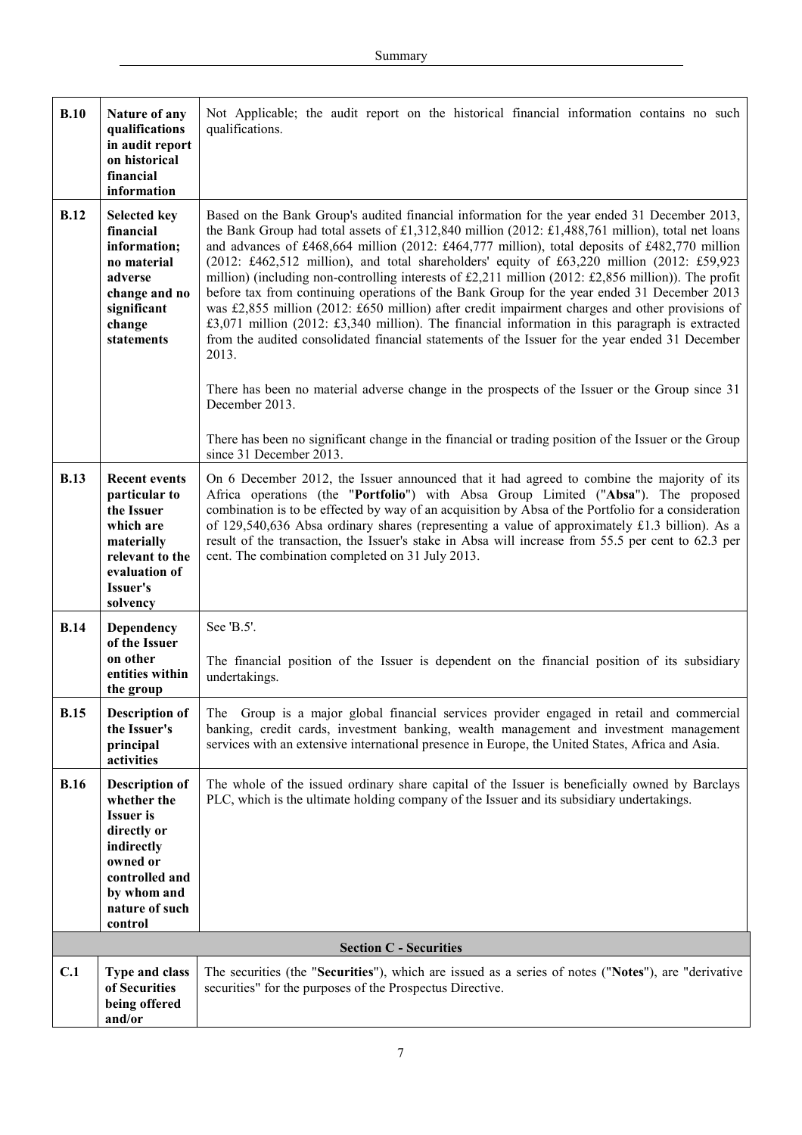| B.10        | Nature of any<br>qualifications<br>in audit report<br>on historical<br>financial<br>information                                                                 | Not Applicable; the audit report on the historical financial information contains no such<br>qualifications.                                                                                                                                                                                                                                                                                                                                                                                                                                                                                                                                                                                                                                                                                                                                                                                                                                                       |
|-------------|-----------------------------------------------------------------------------------------------------------------------------------------------------------------|--------------------------------------------------------------------------------------------------------------------------------------------------------------------------------------------------------------------------------------------------------------------------------------------------------------------------------------------------------------------------------------------------------------------------------------------------------------------------------------------------------------------------------------------------------------------------------------------------------------------------------------------------------------------------------------------------------------------------------------------------------------------------------------------------------------------------------------------------------------------------------------------------------------------------------------------------------------------|
| <b>B.12</b> | <b>Selected key</b><br>financial<br>information;<br>no material<br>adverse<br>change and no<br>significant<br>change<br>statements                              | Based on the Bank Group's audited financial information for the year ended 31 December 2013,<br>the Bank Group had total assets of £1,312,840 million (2012: £1,488,761 million), total net loans<br>and advances of £468,664 million (2012: £464,777 million), total deposits of £482,770 million<br>$(2012; \text{\pounds}462, 512 \text{ million})$ , and total shareholders' equity of £63,220 million $(2012; \text{\pounds}59, 923)$<br>million) (including non-controlling interests of £2,211 million (2012: £2,856 million)). The profit<br>before tax from continuing operations of the Bank Group for the year ended 31 December 2013<br>was £2,855 million (2012: £650 million) after credit impairment charges and other provisions of<br>£3,071 million (2012: £3,340 million). The financial information in this paragraph is extracted<br>from the audited consolidated financial statements of the Issuer for the year ended 31 December<br>2013. |
|             |                                                                                                                                                                 | There has been no material adverse change in the prospects of the Issuer or the Group since 31<br>December 2013.<br>There has been no significant change in the financial or trading position of the Issuer or the Group                                                                                                                                                                                                                                                                                                                                                                                                                                                                                                                                                                                                                                                                                                                                           |
|             |                                                                                                                                                                 | since 31 December 2013.                                                                                                                                                                                                                                                                                                                                                                                                                                                                                                                                                                                                                                                                                                                                                                                                                                                                                                                                            |
| <b>B.13</b> | <b>Recent events</b><br>particular to<br>the Issuer<br>which are<br>materially<br>relevant to the<br>evaluation of<br>Issuer's<br>solvency                      | On 6 December 2012, the Issuer announced that it had agreed to combine the majority of its<br>Africa operations (the "Portfolio") with Absa Group Limited ("Absa"). The proposed<br>combination is to be effected by way of an acquisition by Absa of the Portfolio for a consideration<br>of 129,540,636 Absa ordinary shares (representing a value of approximately £1.3 billion). As a<br>result of the transaction, the Issuer's stake in Absa will increase from 55.5 per cent to 62.3 per<br>cent. The combination completed on 31 July 2013.                                                                                                                                                                                                                                                                                                                                                                                                                |
| <b>B.14</b> | Dependency                                                                                                                                                      | See 'B.5'.                                                                                                                                                                                                                                                                                                                                                                                                                                                                                                                                                                                                                                                                                                                                                                                                                                                                                                                                                         |
|             | of the Issuer<br>on other<br>entities within<br>the group                                                                                                       | The financial position of the Issuer is dependent on the financial position of its subsidiary<br>undertakings.                                                                                                                                                                                                                                                                                                                                                                                                                                                                                                                                                                                                                                                                                                                                                                                                                                                     |
| <b>B.15</b> | <b>Description of</b><br>the Issuer's<br>principal<br>activities                                                                                                | The Group is a major global financial services provider engaged in retail and commercial<br>banking, credit cards, investment banking, wealth management and investment management<br>services with an extensive international presence in Europe, the United States, Africa and Asia.                                                                                                                                                                                                                                                                                                                                                                                                                                                                                                                                                                                                                                                                             |
| <b>B.16</b> | <b>Description of</b><br>whether the<br><b>Issuer</b> is<br>directly or<br>indirectly<br>owned or<br>controlled and<br>by whom and<br>nature of such<br>control | The whole of the issued ordinary share capital of the Issuer is beneficially owned by Barclays<br>PLC, which is the ultimate holding company of the Issuer and its subsidiary undertakings.                                                                                                                                                                                                                                                                                                                                                                                                                                                                                                                                                                                                                                                                                                                                                                        |
|             |                                                                                                                                                                 | <b>Section C - Securities</b>                                                                                                                                                                                                                                                                                                                                                                                                                                                                                                                                                                                                                                                                                                                                                                                                                                                                                                                                      |
| C.1         | <b>Type and class</b><br>of Securities<br>being offered<br>and/or                                                                                               | The securities (the "Securities"), which are issued as a series of notes ("Notes"), are "derivative<br>securities" for the purposes of the Prospectus Directive.                                                                                                                                                                                                                                                                                                                                                                                                                                                                                                                                                                                                                                                                                                                                                                                                   |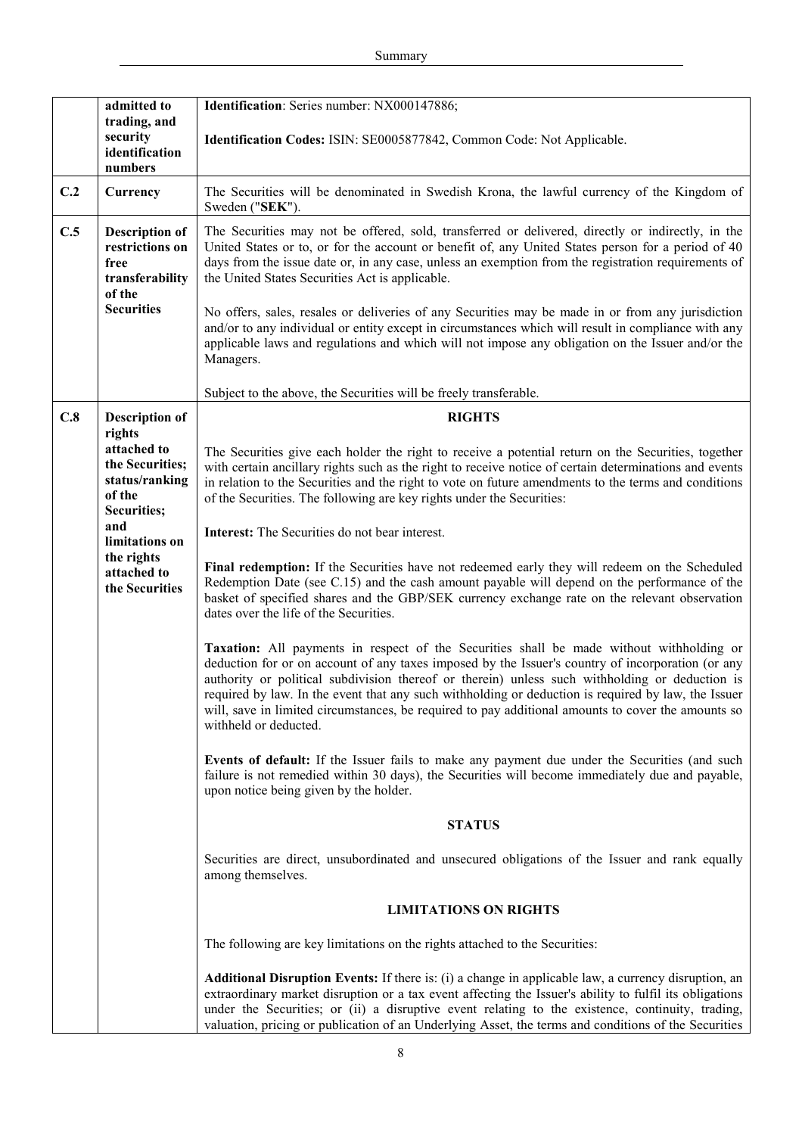|     | admitted to                                                                                                  | Identification: Series number: NX000147886;                                                                                                                                                                                                                                                                                                                                                                                                                                                                                                                                                                                                                                                     |
|-----|--------------------------------------------------------------------------------------------------------------|-------------------------------------------------------------------------------------------------------------------------------------------------------------------------------------------------------------------------------------------------------------------------------------------------------------------------------------------------------------------------------------------------------------------------------------------------------------------------------------------------------------------------------------------------------------------------------------------------------------------------------------------------------------------------------------------------|
|     | trading, and<br>security<br>identification<br>numbers                                                        | Identification Codes: ISIN: SE0005877842, Common Code: Not Applicable.                                                                                                                                                                                                                                                                                                                                                                                                                                                                                                                                                                                                                          |
| C.2 | Currency                                                                                                     | The Securities will be denominated in Swedish Krona, the lawful currency of the Kingdom of<br>Sweden ("SEK").                                                                                                                                                                                                                                                                                                                                                                                                                                                                                                                                                                                   |
| C.5 | <b>Description of</b><br>restrictions on<br>free<br>transferability<br>of the<br><b>Securities</b>           | The Securities may not be offered, sold, transferred or delivered, directly or indirectly, in the<br>United States or to, or for the account or benefit of, any United States person for a period of 40<br>days from the issue date or, in any case, unless an exemption from the registration requirements of<br>the United States Securities Act is applicable.<br>No offers, sales, resales or deliveries of any Securities may be made in or from any jurisdiction<br>and/or to any individual or entity except in circumstances which will result in compliance with any<br>applicable laws and regulations and which will not impose any obligation on the Issuer and/or the<br>Managers. |
|     |                                                                                                              | Subject to the above, the Securities will be freely transferable.                                                                                                                                                                                                                                                                                                                                                                                                                                                                                                                                                                                                                               |
| C.8 | <b>Description of</b><br>rights<br>attached to<br>the Securities;<br>status/ranking<br>of the<br>Securities; | <b>RIGHTS</b><br>The Securities give each holder the right to receive a potential return on the Securities, together<br>with certain ancillary rights such as the right to receive notice of certain determinations and events<br>in relation to the Securities and the right to vote on future amendments to the terms and conditions<br>of the Securities. The following are key rights under the Securities:                                                                                                                                                                                                                                                                                 |
|     | and<br>limitations on<br>the rights                                                                          | Interest: The Securities do not bear interest.                                                                                                                                                                                                                                                                                                                                                                                                                                                                                                                                                                                                                                                  |
|     | attached to<br>the Securities                                                                                | Final redemption: If the Securities have not redeemed early they will redeem on the Scheduled<br>Redemption Date (see C.15) and the cash amount payable will depend on the performance of the<br>basket of specified shares and the GBP/SEK currency exchange rate on the relevant observation<br>dates over the life of the Securities.                                                                                                                                                                                                                                                                                                                                                        |
|     |                                                                                                              | Taxation: All payments in respect of the Securities shall be made without withholding or<br>deduction for or on account of any taxes imposed by the Issuer's country of incorporation (or any<br>authority or political subdivision thereof or therein) unless such withholding or deduction is<br>required by law. In the event that any such withholding or deduction is required by law, the Issuer<br>will, save in limited circumstances, be required to pay additional amounts to cover the amounts so<br>withheld or deducted.                                                                                                                                                           |
|     |                                                                                                              | Events of default: If the Issuer fails to make any payment due under the Securities (and such<br>failure is not remedied within 30 days), the Securities will become immediately due and payable,<br>upon notice being given by the holder.                                                                                                                                                                                                                                                                                                                                                                                                                                                     |
|     |                                                                                                              | <b>STATUS</b>                                                                                                                                                                                                                                                                                                                                                                                                                                                                                                                                                                                                                                                                                   |
|     |                                                                                                              | Securities are direct, unsubordinated and unsecured obligations of the Issuer and rank equally<br>among themselves.                                                                                                                                                                                                                                                                                                                                                                                                                                                                                                                                                                             |
|     |                                                                                                              | <b>LIMITATIONS ON RIGHTS</b>                                                                                                                                                                                                                                                                                                                                                                                                                                                                                                                                                                                                                                                                    |
|     |                                                                                                              | The following are key limitations on the rights attached to the Securities:                                                                                                                                                                                                                                                                                                                                                                                                                                                                                                                                                                                                                     |
|     |                                                                                                              | <b>Additional Disruption Events:</b> If there is: (i) a change in applicable law, a currency disruption, an<br>extraordinary market disruption or a tax event affecting the Issuer's ability to fulfil its obligations<br>under the Securities; or (ii) a disruptive event relating to the existence, continuity, trading,<br>valuation, pricing or publication of an Underlying Asset, the terms and conditions of the Securities                                                                                                                                                                                                                                                              |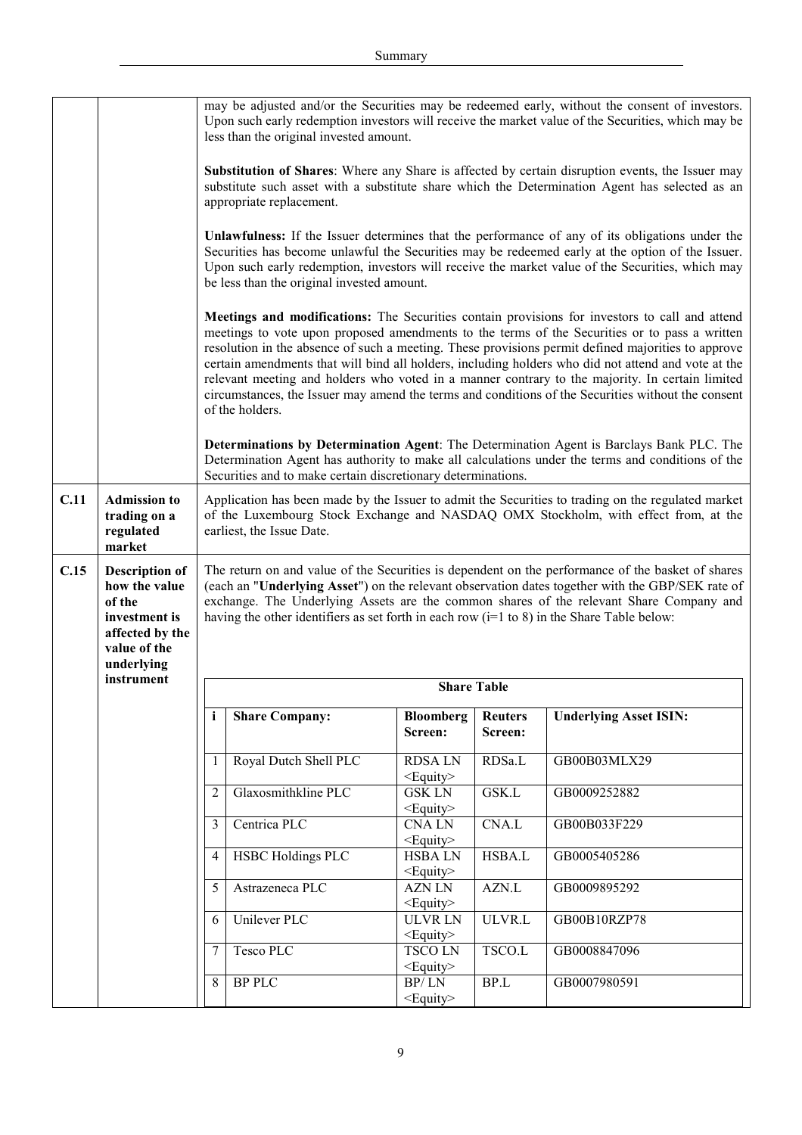|      |                                                                                                                    |                                                                                                                                                                                                                                                                                                                                                                                                   | less than the original invested amount.                                                   |                                                   |                                 | may be adjusted and/or the Securities may be redeemed early, without the consent of investors.<br>Upon such early redemption investors will receive the market value of the Securities, which may be                                                                                                                                                                                                                                                                                                                                                                                                                                                                                                                                                                                                                  |
|------|--------------------------------------------------------------------------------------------------------------------|---------------------------------------------------------------------------------------------------------------------------------------------------------------------------------------------------------------------------------------------------------------------------------------------------------------------------------------------------------------------------------------------------|-------------------------------------------------------------------------------------------|---------------------------------------------------|---------------------------------|-----------------------------------------------------------------------------------------------------------------------------------------------------------------------------------------------------------------------------------------------------------------------------------------------------------------------------------------------------------------------------------------------------------------------------------------------------------------------------------------------------------------------------------------------------------------------------------------------------------------------------------------------------------------------------------------------------------------------------------------------------------------------------------------------------------------------|
|      |                                                                                                                    |                                                                                                                                                                                                                                                                                                                                                                                                   | appropriate replacement.                                                                  |                                                   |                                 | Substitution of Shares: Where any Share is affected by certain disruption events, the Issuer may<br>substitute such asset with a substitute share which the Determination Agent has selected as an                                                                                                                                                                                                                                                                                                                                                                                                                                                                                                                                                                                                                    |
|      |                                                                                                                    |                                                                                                                                                                                                                                                                                                                                                                                                   | be less than the original invested amount.                                                |                                                   |                                 | Unlawfulness: If the Issuer determines that the performance of any of its obligations under the<br>Securities has become unlawful the Securities may be redeemed early at the option of the Issuer.<br>Upon such early redemption, investors will receive the market value of the Securities, which may                                                                                                                                                                                                                                                                                                                                                                                                                                                                                                               |
|      |                                                                                                                    |                                                                                                                                                                                                                                                                                                                                                                                                   | of the holders.                                                                           |                                                   |                                 | Meetings and modifications: The Securities contain provisions for investors to call and attend<br>meetings to vote upon proposed amendments to the terms of the Securities or to pass a written<br>resolution in the absence of such a meeting. These provisions permit defined majorities to approve<br>certain amendments that will bind all holders, including holders who did not attend and vote at the<br>relevant meeting and holders who voted in a manner contrary to the majority. In certain limited<br>circumstances, the Issuer may amend the terms and conditions of the Securities without the consent<br>Determinations by Determination Agent: The Determination Agent is Barclays Bank PLC. The<br>Determination Agent has authority to make all calculations under the terms and conditions of the |
| C.11 | <b>Admission to</b><br>trading on a<br>regulated<br>market                                                         |                                                                                                                                                                                                                                                                                                                                                                                                   | Securities and to make certain discretionary determinations.<br>earliest, the Issue Date. |                                                   |                                 | Application has been made by the Issuer to admit the Securities to trading on the regulated market<br>of the Luxembourg Stock Exchange and NASDAQ OMX Stockholm, with effect from, at the                                                                                                                                                                                                                                                                                                                                                                                                                                                                                                                                                                                                                             |
|      |                                                                                                                    | The return on and value of the Securities is dependent on the performance of the basket of shares<br>(each an "Underlying Asset") on the relevant observation dates together with the GBP/SEK rate of<br>exchange. The Underlying Assets are the common shares of the relevant Share Company and<br>having the other identifiers as set forth in each row ( $i=1$ to 8) in the Share Table below: |                                                                                           |                                                   |                                 |                                                                                                                                                                                                                                                                                                                                                                                                                                                                                                                                                                                                                                                                                                                                                                                                                       |
| C.15 | <b>Description of</b><br>how the value<br>of the<br>investment is<br>affected by the<br>value of the<br>underlying |                                                                                                                                                                                                                                                                                                                                                                                                   |                                                                                           |                                                   |                                 |                                                                                                                                                                                                                                                                                                                                                                                                                                                                                                                                                                                                                                                                                                                                                                                                                       |
|      | instrument                                                                                                         |                                                                                                                                                                                                                                                                                                                                                                                                   |                                                                                           |                                                   | <b>Share Table</b>              |                                                                                                                                                                                                                                                                                                                                                                                                                                                                                                                                                                                                                                                                                                                                                                                                                       |
|      |                                                                                                                    | $\mathbf{i}$                                                                                                                                                                                                                                                                                                                                                                                      | <b>Share Company:</b>                                                                     | <b>Bloomberg</b><br>Screen:                       | <b>Reuters</b><br>Screen:       | <b>Underlying Asset ISIN:</b>                                                                                                                                                                                                                                                                                                                                                                                                                                                                                                                                                                                                                                                                                                                                                                                         |
|      |                                                                                                                    | 1                                                                                                                                                                                                                                                                                                                                                                                                 | Royal Dutch Shell PLC                                                                     | <b>RDSALN</b>                                     | RDSa.L                          | GB00B03MLX29                                                                                                                                                                                                                                                                                                                                                                                                                                                                                                                                                                                                                                                                                                                                                                                                          |
|      |                                                                                                                    | $\overline{2}$                                                                                                                                                                                                                                                                                                                                                                                    | Glaxosmithkline PLC                                                                       | $<$ Equity $>$<br><b>GSK LN</b><br>$<$ Equity $>$ | GSK.L                           | GB0009252882                                                                                                                                                                                                                                                                                                                                                                                                                                                                                                                                                                                                                                                                                                                                                                                                          |
|      |                                                                                                                    | 3                                                                                                                                                                                                                                                                                                                                                                                                 | Centrica PLC                                                                              | <b>CNALN</b><br><equity></equity>                 | CNA.L                           | GB00B033F229                                                                                                                                                                                                                                                                                                                                                                                                                                                                                                                                                                                                                                                                                                                                                                                                          |
|      |                                                                                                                    | 4                                                                                                                                                                                                                                                                                                                                                                                                 | <b>HSBC Holdings PLC</b>                                                                  | <b>HSBALN</b><br><equity></equity>                | HSBA.L                          | GB0005405286                                                                                                                                                                                                                                                                                                                                                                                                                                                                                                                                                                                                                                                                                                                                                                                                          |
|      |                                                                                                                    | 5                                                                                                                                                                                                                                                                                                                                                                                                 | Astrazeneca PLC                                                                           | <b>AZN LN</b><br><equity></equity>                | AZN.L                           | GB0009895292                                                                                                                                                                                                                                                                                                                                                                                                                                                                                                                                                                                                                                                                                                                                                                                                          |
|      |                                                                                                                    | 6                                                                                                                                                                                                                                                                                                                                                                                                 | Unilever PLC                                                                              | <b>ULVR LN</b><br><equity></equity>               | ULVR.L                          | GB00B10RZP78                                                                                                                                                                                                                                                                                                                                                                                                                                                                                                                                                                                                                                                                                                                                                                                                          |
|      |                                                                                                                    | 7<br>8                                                                                                                                                                                                                                                                                                                                                                                            | Tesco PLC<br><b>BP PLC</b>                                                                | <b>TSCOLN</b><br><equity><br/>BP/LN</equity>      | TSCO.L<br>$\operatorname{BP.L}$ | GB0008847096<br>GB0007980591                                                                                                                                                                                                                                                                                                                                                                                                                                                                                                                                                                                                                                                                                                                                                                                          |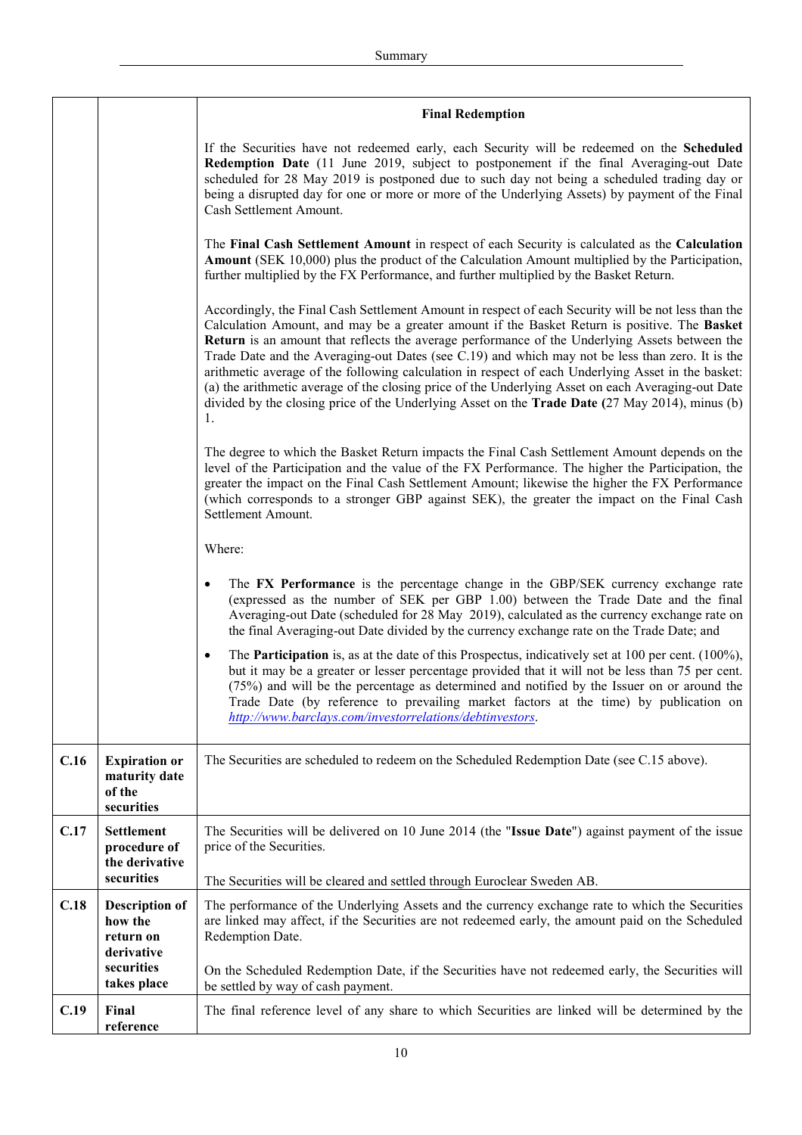|      |                                                                   | <b>Final Redemption</b>                                                                                                                                                                                                                                                                                                                                                                                                                                                                                                                                                                                                                                                                                                               |
|------|-------------------------------------------------------------------|---------------------------------------------------------------------------------------------------------------------------------------------------------------------------------------------------------------------------------------------------------------------------------------------------------------------------------------------------------------------------------------------------------------------------------------------------------------------------------------------------------------------------------------------------------------------------------------------------------------------------------------------------------------------------------------------------------------------------------------|
|      |                                                                   | If the Securities have not redeemed early, each Security will be redeemed on the <b>Scheduled</b><br>Redemption Date (11 June 2019, subject to postponement if the final Averaging-out Date<br>scheduled for 28 May 2019 is postponed due to such day not being a scheduled trading day or<br>being a disrupted day for one or more or more of the Underlying Assets) by payment of the Final<br>Cash Settlement Amount.                                                                                                                                                                                                                                                                                                              |
|      |                                                                   | The Final Cash Settlement Amount in respect of each Security is calculated as the Calculation<br><b>Amount</b> (SEK 10,000) plus the product of the Calculation Amount multiplied by the Participation,<br>further multiplied by the FX Performance, and further multiplied by the Basket Return.                                                                                                                                                                                                                                                                                                                                                                                                                                     |
|      |                                                                   | Accordingly, the Final Cash Settlement Amount in respect of each Security will be not less than the<br>Calculation Amount, and may be a greater amount if the Basket Return is positive. The Basket<br>Return is an amount that reflects the average performance of the Underlying Assets between the<br>Trade Date and the Averaging-out Dates (see C.19) and which may not be less than zero. It is the<br>arithmetic average of the following calculation in respect of each Underlying Asset in the basket:<br>(a) the arithmetic average of the closing price of the Underlying Asset on each Averaging-out Date<br>divided by the closing price of the Underlying Asset on the <b>Trade Date</b> (27 May 2014), minus (b)<br>1. |
|      |                                                                   | The degree to which the Basket Return impacts the Final Cash Settlement Amount depends on the<br>level of the Participation and the value of the FX Performance. The higher the Participation, the<br>greater the impact on the Final Cash Settlement Amount; likewise the higher the FX Performance<br>(which corresponds to a stronger GBP against SEK), the greater the impact on the Final Cash<br>Settlement Amount.                                                                                                                                                                                                                                                                                                             |
|      |                                                                   | Where:                                                                                                                                                                                                                                                                                                                                                                                                                                                                                                                                                                                                                                                                                                                                |
|      |                                                                   | The FX Performance is the percentage change in the GBP/SEK currency exchange rate<br>$\bullet$<br>(expressed as the number of SEK per GBP 1.00) between the Trade Date and the final<br>Averaging-out Date (scheduled for 28 May 2019), calculated as the currency exchange rate on<br>the final Averaging-out Date divided by the currency exchange rate on the Trade Date; and                                                                                                                                                                                                                                                                                                                                                      |
|      |                                                                   | The <b>Participation</b> is, as at the date of this Prospectus, indicatively set at 100 per cent. $(100\%)$ ,<br>$\bullet$<br>but it may be a greater or lesser percentage provided that it will not be less than 75 per cent.<br>(75%) and will be the percentage as determined and notified by the Issuer on or around the<br>Trade Date (by reference to prevailing market factors at the time) by publication on<br>http://www.barclays.com/investorrelations/debtinvestors.                                                                                                                                                                                                                                                      |
| C.16 | <b>Expiration or</b><br>maturity date<br>of the<br>securities     | The Securities are scheduled to redeem on the Scheduled Redemption Date (see C.15 above).                                                                                                                                                                                                                                                                                                                                                                                                                                                                                                                                                                                                                                             |
| C.17 | <b>Settlement</b><br>procedure of<br>the derivative<br>securities | The Securities will be delivered on 10 June 2014 (the "Issue Date") against payment of the issue<br>price of the Securities.<br>The Securities will be cleared and settled through Euroclear Sweden AB.                                                                                                                                                                                                                                                                                                                                                                                                                                                                                                                               |
| C.18 | <b>Description of</b><br>how the<br>return on<br>derivative       | The performance of the Underlying Assets and the currency exchange rate to which the Securities<br>are linked may affect, if the Securities are not redeemed early, the amount paid on the Scheduled<br>Redemption Date.                                                                                                                                                                                                                                                                                                                                                                                                                                                                                                              |
|      | securities<br>takes place                                         | On the Scheduled Redemption Date, if the Securities have not redeemed early, the Securities will<br>be settled by way of cash payment.                                                                                                                                                                                                                                                                                                                                                                                                                                                                                                                                                                                                |
| C.19 | Final<br>reference                                                | The final reference level of any share to which Securities are linked will be determined by the                                                                                                                                                                                                                                                                                                                                                                                                                                                                                                                                                                                                                                       |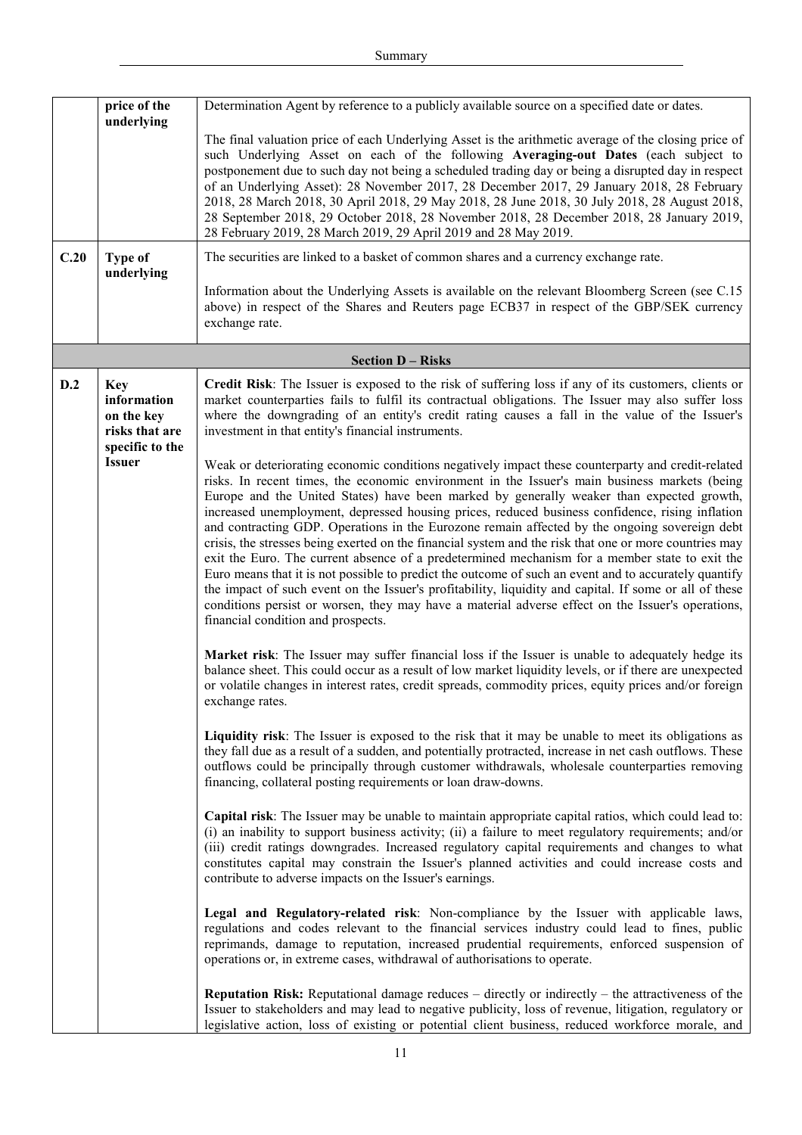|      | price of the<br>underlying                                                   | Determination Agent by reference to a publicly available source on a specified date or dates.                                                                                                                                                                                                                                                                                                                                                                                                                                                                                                                                                                                                                                                                                                                                                                                                                                                                                                                                                                                |
|------|------------------------------------------------------------------------------|------------------------------------------------------------------------------------------------------------------------------------------------------------------------------------------------------------------------------------------------------------------------------------------------------------------------------------------------------------------------------------------------------------------------------------------------------------------------------------------------------------------------------------------------------------------------------------------------------------------------------------------------------------------------------------------------------------------------------------------------------------------------------------------------------------------------------------------------------------------------------------------------------------------------------------------------------------------------------------------------------------------------------------------------------------------------------|
|      |                                                                              | The final valuation price of each Underlying Asset is the arithmetic average of the closing price of<br>such Underlying Asset on each of the following Averaging-out Dates (each subject to<br>postponement due to such day not being a scheduled trading day or being a disrupted day in respect<br>of an Underlying Asset): 28 November 2017, 28 December 2017, 29 January 2018, 28 February<br>2018, 28 March 2018, 30 April 2018, 29 May 2018, 28 June 2018, 30 July 2018, 28 August 2018,<br>28 September 2018, 29 October 2018, 28 November 2018, 28 December 2018, 28 January 2019,<br>28 February 2019, 28 March 2019, 29 April 2019 and 28 May 2019.                                                                                                                                                                                                                                                                                                                                                                                                                |
| C.20 | Type of<br>underlying                                                        | The securities are linked to a basket of common shares and a currency exchange rate.                                                                                                                                                                                                                                                                                                                                                                                                                                                                                                                                                                                                                                                                                                                                                                                                                                                                                                                                                                                         |
|      |                                                                              | Information about the Underlying Assets is available on the relevant Bloomberg Screen (see C.15)<br>above) in respect of the Shares and Reuters page ECB37 in respect of the GBP/SEK currency<br>exchange rate.                                                                                                                                                                                                                                                                                                                                                                                                                                                                                                                                                                                                                                                                                                                                                                                                                                                              |
|      |                                                                              | <b>Section D - Risks</b>                                                                                                                                                                                                                                                                                                                                                                                                                                                                                                                                                                                                                                                                                                                                                                                                                                                                                                                                                                                                                                                     |
| D.2  | <b>Key</b><br>information<br>on the key<br>risks that are<br>specific to the | Credit Risk: The Issuer is exposed to the risk of suffering loss if any of its customers, clients or<br>market counterparties fails to fulfil its contractual obligations. The Issuer may also suffer loss<br>where the downgrading of an entity's credit rating causes a fall in the value of the Issuer's<br>investment in that entity's financial instruments.                                                                                                                                                                                                                                                                                                                                                                                                                                                                                                                                                                                                                                                                                                            |
|      | <b>Issuer</b>                                                                | Weak or deteriorating economic conditions negatively impact these counterparty and credit-related<br>risks. In recent times, the economic environment in the Issuer's main business markets (being<br>Europe and the United States) have been marked by generally weaker than expected growth,<br>increased unemployment, depressed housing prices, reduced business confidence, rising inflation<br>and contracting GDP. Operations in the Eurozone remain affected by the ongoing sovereign debt<br>crisis, the stresses being exerted on the financial system and the risk that one or more countries may<br>exit the Euro. The current absence of a predetermined mechanism for a member state to exit the<br>Euro means that it is not possible to predict the outcome of such an event and to accurately quantify<br>the impact of such event on the Issuer's profitability, liquidity and capital. If some or all of these<br>conditions persist or worsen, they may have a material adverse effect on the Issuer's operations,<br>financial condition and prospects. |
|      |                                                                              | <b>Market risk</b> : The Issuer may suffer financial loss if the Issuer is unable to adequately hedge its<br>balance sheet. This could occur as a result of low market liquidity levels, or if there are unexpected<br>or volatile changes in interest rates, credit spreads, commodity prices, equity prices and/or foreign<br>exchange rates.                                                                                                                                                                                                                                                                                                                                                                                                                                                                                                                                                                                                                                                                                                                              |
|      |                                                                              | Liquidity risk: The Issuer is exposed to the risk that it may be unable to meet its obligations as<br>they fall due as a result of a sudden, and potentially protracted, increase in net cash outflows. These<br>outflows could be principally through customer withdrawals, wholesale counterparties removing<br>financing, collateral posting requirements or loan draw-downs.                                                                                                                                                                                                                                                                                                                                                                                                                                                                                                                                                                                                                                                                                             |
|      |                                                                              | Capital risk: The Issuer may be unable to maintain appropriate capital ratios, which could lead to:<br>(i) an inability to support business activity; (ii) a failure to meet regulatory requirements; and/or<br>(iii) credit ratings downgrades. Increased regulatory capital requirements and changes to what<br>constitutes capital may constrain the Issuer's planned activities and could increase costs and<br>contribute to adverse impacts on the Issuer's earnings.                                                                                                                                                                                                                                                                                                                                                                                                                                                                                                                                                                                                  |
|      |                                                                              | Legal and Regulatory-related risk: Non-compliance by the Issuer with applicable laws,<br>regulations and codes relevant to the financial services industry could lead to fines, public<br>reprimands, damage to reputation, increased prudential requirements, enforced suspension of<br>operations or, in extreme cases, withdrawal of authorisations to operate.                                                                                                                                                                                                                                                                                                                                                                                                                                                                                                                                                                                                                                                                                                           |
|      |                                                                              | <b>Reputation Risk:</b> Reputational damage reduces $-$ directly or indirectly $-$ the attractiveness of the<br>Issuer to stakeholders and may lead to negative publicity, loss of revenue, litigation, regulatory or<br>legislative action, loss of existing or potential client business, reduced workforce morale, and                                                                                                                                                                                                                                                                                                                                                                                                                                                                                                                                                                                                                                                                                                                                                    |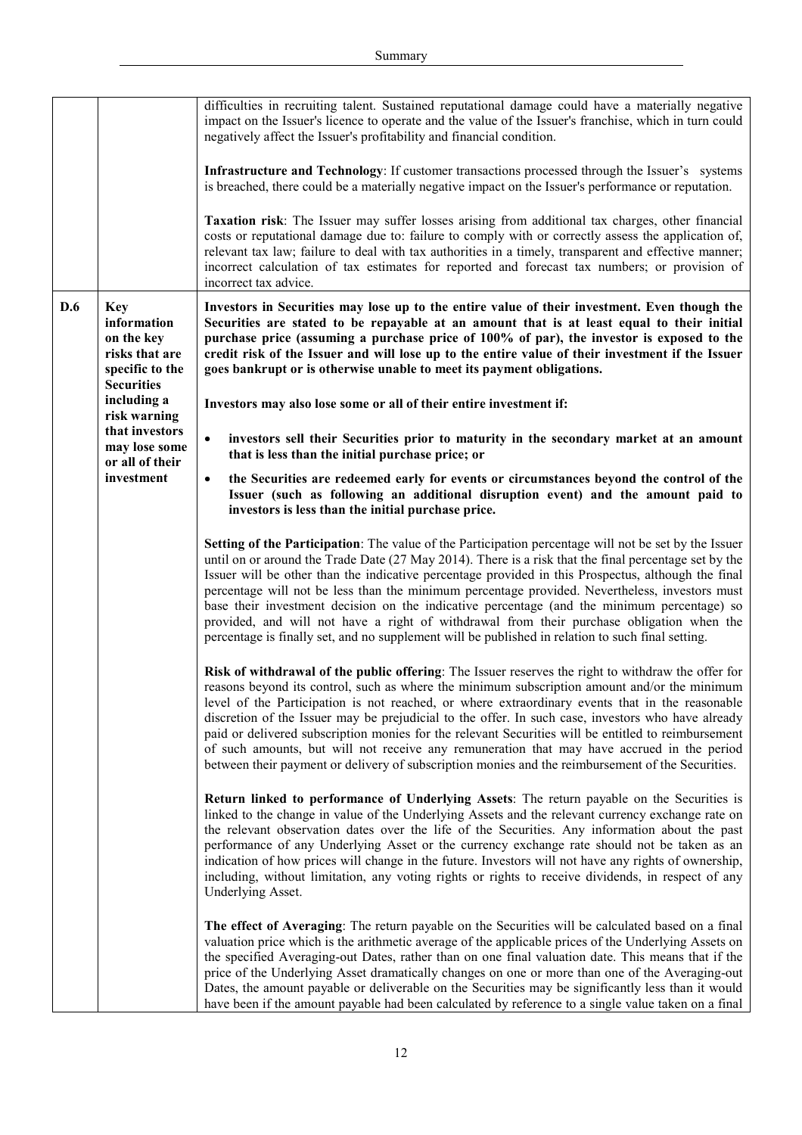|     |                                                                                                   | difficulties in recruiting talent. Sustained reputational damage could have a materially negative<br>impact on the Issuer's licence to operate and the value of the Issuer's franchise, which in turn could<br>negatively affect the Issuer's profitability and financial condition.                                                                                                                                                                                                                                                                                                                                                                                                                                            |
|-----|---------------------------------------------------------------------------------------------------|---------------------------------------------------------------------------------------------------------------------------------------------------------------------------------------------------------------------------------------------------------------------------------------------------------------------------------------------------------------------------------------------------------------------------------------------------------------------------------------------------------------------------------------------------------------------------------------------------------------------------------------------------------------------------------------------------------------------------------|
|     |                                                                                                   | <b>Infrastructure and Technology</b> : If customer transactions processed through the Issuer's systems<br>is breached, there could be a materially negative impact on the Issuer's performance or reputation.                                                                                                                                                                                                                                                                                                                                                                                                                                                                                                                   |
|     |                                                                                                   | Taxation risk: The Issuer may suffer losses arising from additional tax charges, other financial<br>costs or reputational damage due to: failure to comply with or correctly assess the application of,<br>relevant tax law; failure to deal with tax authorities in a timely, transparent and effective manner;<br>incorrect calculation of tax estimates for reported and forecast tax numbers; or provision of<br>incorrect tax advice.                                                                                                                                                                                                                                                                                      |
| D.6 | <b>Key</b><br>information<br>on the key<br>risks that are<br>specific to the<br><b>Securities</b> | Investors in Securities may lose up to the entire value of their investment. Even though the<br>Securities are stated to be repayable at an amount that is at least equal to their initial<br>purchase price (assuming a purchase price of 100% of par), the investor is exposed to the<br>credit risk of the Issuer and will lose up to the entire value of their investment if the Issuer<br>goes bankrupt or is otherwise unable to meet its payment obligations.                                                                                                                                                                                                                                                            |
|     | including a<br>risk warning                                                                       | Investors may also lose some or all of their entire investment if:                                                                                                                                                                                                                                                                                                                                                                                                                                                                                                                                                                                                                                                              |
|     | that investors<br>may lose some<br>or all of their<br>investment                                  | investors sell their Securities prior to maturity in the secondary market at an amount<br>$\bullet$<br>that is less than the initial purchase price; or                                                                                                                                                                                                                                                                                                                                                                                                                                                                                                                                                                         |
|     |                                                                                                   | the Securities are redeemed early for events or circumstances beyond the control of the<br>$\bullet$<br>Issuer (such as following an additional disruption event) and the amount paid to<br>investors is less than the initial purchase price.                                                                                                                                                                                                                                                                                                                                                                                                                                                                                  |
|     |                                                                                                   | <b>Setting of the Participation:</b> The value of the Participation percentage will not be set by the Issuer<br>until on or around the Trade Date (27 May 2014). There is a risk that the final percentage set by the<br>Issuer will be other than the indicative percentage provided in this Prospectus, although the final<br>percentage will not be less than the minimum percentage provided. Nevertheless, investors must<br>base their investment decision on the indicative percentage (and the minimum percentage) so<br>provided, and will not have a right of withdrawal from their purchase obligation when the<br>percentage is finally set, and no supplement will be published in relation to such final setting. |
|     |                                                                                                   | Risk of withdrawal of the public offering: The Issuer reserves the right to withdraw the offer for<br>reasons beyond its control, such as where the minimum subscription amount and/or the minimum<br>level of the Participation is not reached, or where extraordinary events that in the reasonable<br>discretion of the Issuer may be prejudicial to the offer. In such case, investors who have already<br>paid or delivered subscription monies for the relevant Securities will be entitled to reimbursement<br>of such amounts, but will not receive any remuneration that may have accrued in the period<br>between their payment or delivery of subscription monies and the reimbursement of the Securities.           |
|     |                                                                                                   | Return linked to performance of Underlying Assets: The return payable on the Securities is<br>linked to the change in value of the Underlying Assets and the relevant currency exchange rate on<br>the relevant observation dates over the life of the Securities. Any information about the past<br>performance of any Underlying Asset or the currency exchange rate should not be taken as an<br>indication of how prices will change in the future. Investors will not have any rights of ownership,<br>including, without limitation, any voting rights or rights to receive dividends, in respect of any<br>Underlying Asset.                                                                                             |
|     |                                                                                                   | The effect of Averaging: The return payable on the Securities will be calculated based on a final<br>valuation price which is the arithmetic average of the applicable prices of the Underlying Assets on<br>the specified Averaging-out Dates, rather than on one final valuation date. This means that if the<br>price of the Underlying Asset dramatically changes on one or more than one of the Averaging-out<br>Dates, the amount payable or deliverable on the Securities may be significantly less than it would<br>have been if the amount payable had been calculated by reference to a single value taken on a final                                                                                                 |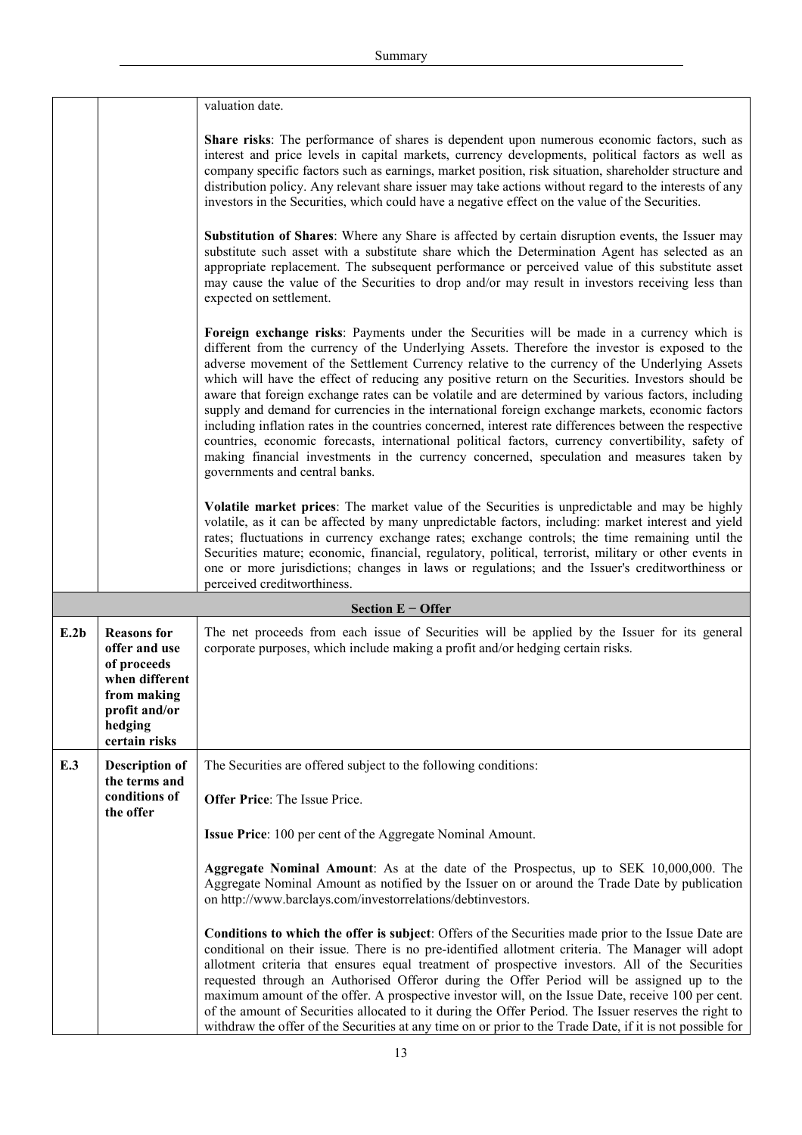|      |                                                                                                                                  | valuation date.                                                                                                                                                                                                                                                                                                                                                                                                                                                                                                                                                                                                                                                                                                                                                                                                                                                                                                                                            |
|------|----------------------------------------------------------------------------------------------------------------------------------|------------------------------------------------------------------------------------------------------------------------------------------------------------------------------------------------------------------------------------------------------------------------------------------------------------------------------------------------------------------------------------------------------------------------------------------------------------------------------------------------------------------------------------------------------------------------------------------------------------------------------------------------------------------------------------------------------------------------------------------------------------------------------------------------------------------------------------------------------------------------------------------------------------------------------------------------------------|
|      |                                                                                                                                  | Share risks: The performance of shares is dependent upon numerous economic factors, such as<br>interest and price levels in capital markets, currency developments, political factors as well as<br>company specific factors such as earnings, market position, risk situation, shareholder structure and<br>distribution policy. Any relevant share issuer may take actions without regard to the interests of any<br>investors in the Securities, which could have a negative effect on the value of the Securities.                                                                                                                                                                                                                                                                                                                                                                                                                                     |
|      |                                                                                                                                  | Substitution of Shares: Where any Share is affected by certain disruption events, the Issuer may<br>substitute such asset with a substitute share which the Determination Agent has selected as an<br>appropriate replacement. The subsequent performance or perceived value of this substitute asset<br>may cause the value of the Securities to drop and/or may result in investors receiving less than<br>expected on settlement.                                                                                                                                                                                                                                                                                                                                                                                                                                                                                                                       |
|      |                                                                                                                                  | Foreign exchange risks: Payments under the Securities will be made in a currency which is<br>different from the currency of the Underlying Assets. Therefore the investor is exposed to the<br>adverse movement of the Settlement Currency relative to the currency of the Underlying Assets<br>which will have the effect of reducing any positive return on the Securities. Investors should be<br>aware that foreign exchange rates can be volatile and are determined by various factors, including<br>supply and demand for currencies in the international foreign exchange markets, economic factors<br>including inflation rates in the countries concerned, interest rate differences between the respective<br>countries, economic forecasts, international political factors, currency convertibility, safety of<br>making financial investments in the currency concerned, speculation and measures taken by<br>governments and central banks. |
|      |                                                                                                                                  | <b>Volatile market prices:</b> The market value of the Securities is unpredictable and may be highly<br>volatile, as it can be affected by many unpredictable factors, including: market interest and yield<br>rates; fluctuations in currency exchange rates; exchange controls; the time remaining until the<br>Securities mature; economic, financial, regulatory, political, terrorist, military or other events in<br>one or more jurisdictions; changes in laws or regulations; and the Issuer's creditworthiness or<br>perceived creditworthiness.                                                                                                                                                                                                                                                                                                                                                                                                  |
|      |                                                                                                                                  | Section $E -$ Offer                                                                                                                                                                                                                                                                                                                                                                                                                                                                                                                                                                                                                                                                                                                                                                                                                                                                                                                                        |
| E.2b | <b>Reasons</b> for<br>offer and use<br>of proceeds<br>when different<br>from making<br>profit and/or<br>hedging<br>certain risks | The net proceeds from each issue of Securities will be applied by the Issuer for its general<br>corporate purposes, which include making a profit and/or hedging certain risks.                                                                                                                                                                                                                                                                                                                                                                                                                                                                                                                                                                                                                                                                                                                                                                            |
| E.3  | <b>Description of</b>                                                                                                            | The Securities are offered subject to the following conditions:                                                                                                                                                                                                                                                                                                                                                                                                                                                                                                                                                                                                                                                                                                                                                                                                                                                                                            |
|      | the terms and<br>conditions of<br>the offer                                                                                      | <b>Offer Price:</b> The Issue Price.                                                                                                                                                                                                                                                                                                                                                                                                                                                                                                                                                                                                                                                                                                                                                                                                                                                                                                                       |
|      |                                                                                                                                  | <b>Issue Price:</b> 100 per cent of the Aggregate Nominal Amount.                                                                                                                                                                                                                                                                                                                                                                                                                                                                                                                                                                                                                                                                                                                                                                                                                                                                                          |
|      |                                                                                                                                  | Aggregate Nominal Amount: As at the date of the Prospectus, up to SEK 10,000,000. The<br>Aggregate Nominal Amount as notified by the Issuer on or around the Trade Date by publication<br>on http://www.barclays.com/investorrelations/debtinvestors.                                                                                                                                                                                                                                                                                                                                                                                                                                                                                                                                                                                                                                                                                                      |
|      |                                                                                                                                  | Conditions to which the offer is subject: Offers of the Securities made prior to the Issue Date are<br>conditional on their issue. There is no pre-identified allotment criteria. The Manager will adopt<br>allotment criteria that ensures equal treatment of prospective investors. All of the Securities<br>requested through an Authorised Offeror during the Offer Period will be assigned up to the<br>maximum amount of the offer. A prospective investor will, on the Issue Date, receive 100 per cent.<br>of the amount of Securities allocated to it during the Offer Period. The Issuer reserves the right to<br>withdraw the offer of the Securities at any time on or prior to the Trade Date, if it is not possible for                                                                                                                                                                                                                      |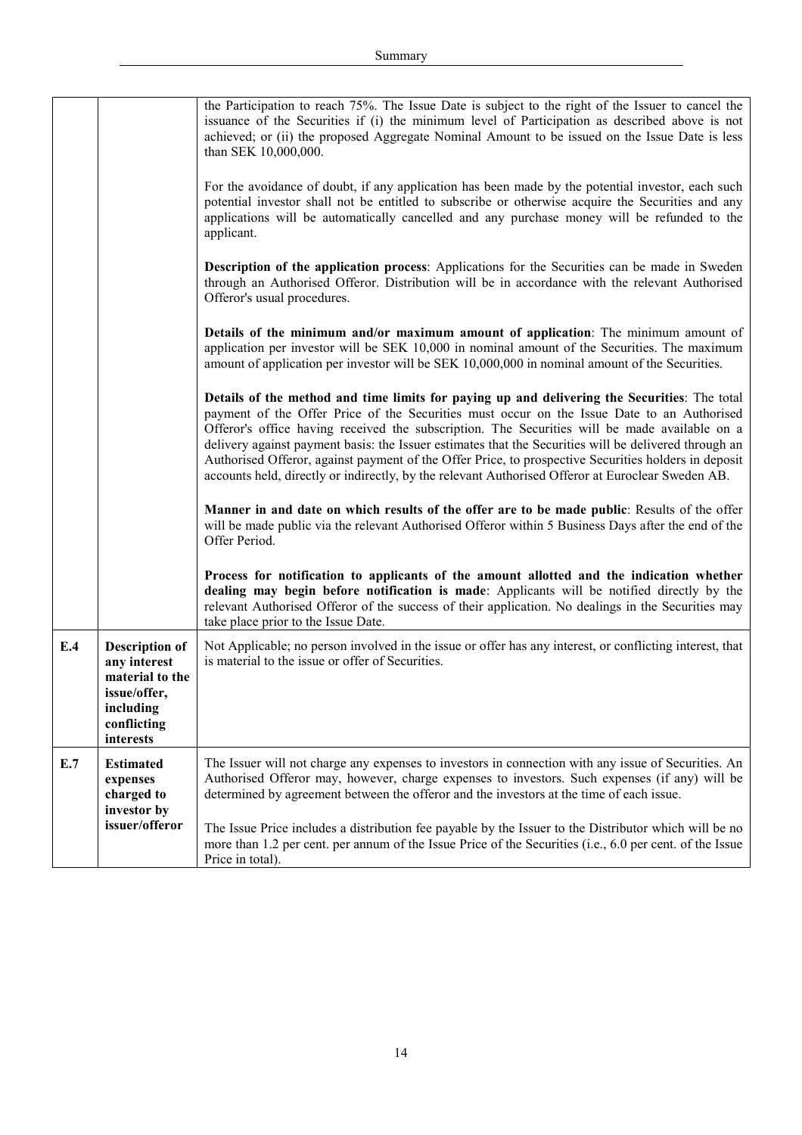|     |                                                                                                                   | the Participation to reach 75%. The Issue Date is subject to the right of the Issuer to cancel the<br>issuance of the Securities if (i) the minimum level of Participation as described above is not<br>achieved; or (ii) the proposed Aggregate Nominal Amount to be issued on the Issue Date is less<br>than SEK 10,000,000.<br>For the avoidance of doubt, if any application has been made by the potential investor, each such<br>potential investor shall not be entitled to subscribe or otherwise acquire the Securities and any<br>applications will be automatically cancelled and any purchase money will be refunded to the<br>applicant.<br>Description of the application process: Applications for the Securities can be made in Sweden<br>through an Authorised Offeror. Distribution will be in accordance with the relevant Authorised<br>Offeror's usual procedures.<br>Details of the minimum and/or maximum amount of application: The minimum amount of<br>application per investor will be SEK 10,000 in nominal amount of the Securities. The maximum |
|-----|-------------------------------------------------------------------------------------------------------------------|-------------------------------------------------------------------------------------------------------------------------------------------------------------------------------------------------------------------------------------------------------------------------------------------------------------------------------------------------------------------------------------------------------------------------------------------------------------------------------------------------------------------------------------------------------------------------------------------------------------------------------------------------------------------------------------------------------------------------------------------------------------------------------------------------------------------------------------------------------------------------------------------------------------------------------------------------------------------------------------------------------------------------------------------------------------------------------|
|     |                                                                                                                   | amount of application per investor will be SEK 10,000,000 in nominal amount of the Securities.<br>Details of the method and time limits for paying up and delivering the Securities: The total<br>payment of the Offer Price of the Securities must occur on the Issue Date to an Authorised<br>Offeror's office having received the subscription. The Securities will be made available on a<br>delivery against payment basis: the Issuer estimates that the Securities will be delivered through an<br>Authorised Offeror, against payment of the Offer Price, to prospective Securities holders in deposit<br>accounts held, directly or indirectly, by the relevant Authorised Offeror at Euroclear Sweden AB.<br>Manner in and date on which results of the offer are to be made public: Results of the offer<br>will be made public via the relevant Authorised Offeror within 5 Business Days after the end of the<br>Offer Period.                                                                                                                                   |
|     |                                                                                                                   | Process for notification to applicants of the amount allotted and the indication whether<br>dealing may begin before notification is made: Applicants will be notified directly by the<br>relevant Authorised Offeror of the success of their application. No dealings in the Securities may<br>take place prior to the Issue Date.                                                                                                                                                                                                                                                                                                                                                                                                                                                                                                                                                                                                                                                                                                                                           |
| E.4 | <b>Description of</b><br>any interest<br>material to the<br>issue/offer,<br>including<br>conflicting<br>interests | Not Applicable; no person involved in the issue or offer has any interest, or conflicting interest, that<br>is material to the issue or offer of Securities.                                                                                                                                                                                                                                                                                                                                                                                                                                                                                                                                                                                                                                                                                                                                                                                                                                                                                                                  |
| E.7 | <b>Estimated</b><br>expenses<br>charged to<br>investor by<br>issuer/offeror                                       | The Issuer will not charge any expenses to investors in connection with any issue of Securities. An<br>Authorised Offeror may, however, charge expenses to investors. Such expenses (if any) will be<br>determined by agreement between the offeror and the investors at the time of each issue.<br>The Issue Price includes a distribution fee payable by the Issuer to the Distributor which will be no<br>more than 1.2 per cent. per annum of the Issue Price of the Securities (i.e., 6.0 per cent. of the Issue<br>Price in total).                                                                                                                                                                                                                                                                                                                                                                                                                                                                                                                                     |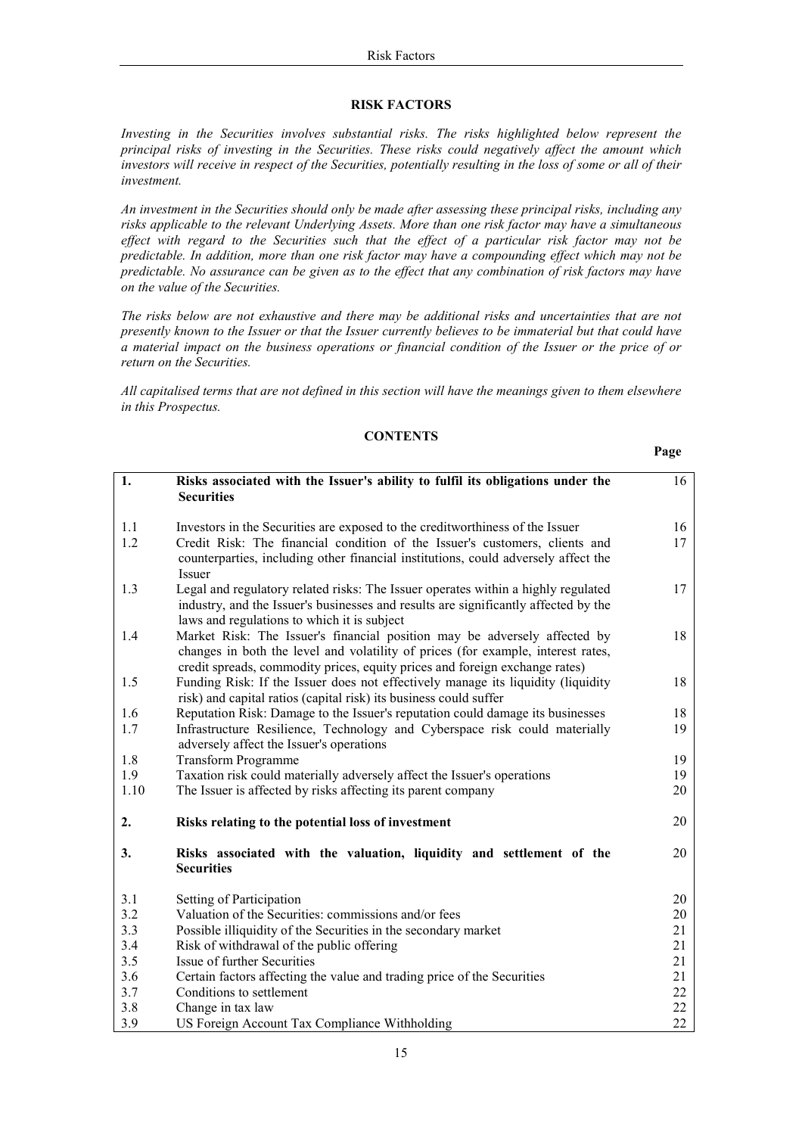### **RISK FACTORS**

Investing in the Securities involves substantial risks. The risks highlighted below represent the principal risks of investing in the Securities. These risks could negatively affect the amount which investors will receive in respect of the Securities, potentially resulting in the loss of some or all of their investment.

An investment in the Securities should only be made after assessing these principal risks, including any risks applicable to the relevant Underlying Assets. More than one risk factor may have a simultaneous effect with regard to the Securities such that the effect of a particular risk factor may not be predictable. In addition, more than one risk factor may have a compounding effect which may not be predictable. No assurance can be given as to the effect that any combination of risk factors may have on the value of the Securities.

The risks below are not exhaustive and there may be additional risks and uncertainties that are not presently known to the Issuer or that the Issuer currently believes to be immaterial but that could have a material impact on the business operations or financial condition of the Issuer or the price of or return on the Securities.

All capitalised terms that are not defined in this section will have the meanings given to them elsewhere in this Prospectus.

# **CONTENTS**

Page

| 1.   | Risks associated with the Issuer's ability to fulfil its obligations under the<br><b>Securities</b>                                                             | 16 |
|------|-----------------------------------------------------------------------------------------------------------------------------------------------------------------|----|
| 1.1  | Investors in the Securities are exposed to the credit worthings of the Issuer                                                                                   | 16 |
| 1.2  | Credit Risk: The financial condition of the Issuer's customers, clients and                                                                                     | 17 |
|      | counterparties, including other financial institutions, could adversely affect the<br><b>Issuer</b>                                                             |    |
| 1.3  | Legal and regulatory related risks: The Issuer operates within a highly regulated                                                                               | 17 |
|      | industry, and the Issuer's businesses and results are significantly affected by the                                                                             |    |
|      | laws and regulations to which it is subject                                                                                                                     |    |
| 1.4  | Market Risk: The Issuer's financial position may be adversely affected by                                                                                       | 18 |
|      | changes in both the level and volatility of prices (for example, interest rates,<br>credit spreads, commodity prices, equity prices and foreign exchange rates) |    |
| 1.5  | Funding Risk: If the Issuer does not effectively manage its liquidity (liquidity                                                                                | 18 |
|      | risk) and capital ratios (capital risk) its business could suffer                                                                                               |    |
| 1.6  | Reputation Risk: Damage to the Issuer's reputation could damage its businesses                                                                                  | 18 |
| 1.7  | Infrastructure Resilience, Technology and Cyberspace risk could materially                                                                                      | 19 |
|      | adversely affect the Issuer's operations                                                                                                                        |    |
| 1.8  | <b>Transform Programme</b>                                                                                                                                      | 19 |
| 1.9  | Taxation risk could materially adversely affect the Issuer's operations                                                                                         | 19 |
| 1.10 | The Issuer is affected by risks affecting its parent company                                                                                                    | 20 |
| 2.   | Risks relating to the potential loss of investment                                                                                                              | 20 |
| 3.   | Risks associated with the valuation, liquidity and settlement of the<br><b>Securities</b>                                                                       | 20 |
| 3.1  | Setting of Participation                                                                                                                                        | 20 |
| 3.2  | Valuation of the Securities: commissions and/or fees                                                                                                            | 20 |
| 3.3  | Possible illiquidity of the Securities in the secondary market                                                                                                  | 21 |
| 3.4  | Risk of withdrawal of the public offering                                                                                                                       | 21 |
| 3.5  | Issue of further Securities                                                                                                                                     | 21 |
| 3.6  | Certain factors affecting the value and trading price of the Securities                                                                                         | 21 |
| 3.7  | Conditions to settlement                                                                                                                                        | 22 |
| 3.8  | Change in tax law                                                                                                                                               | 22 |
| 3.9  | US Foreign Account Tax Compliance Withholding                                                                                                                   | 22 |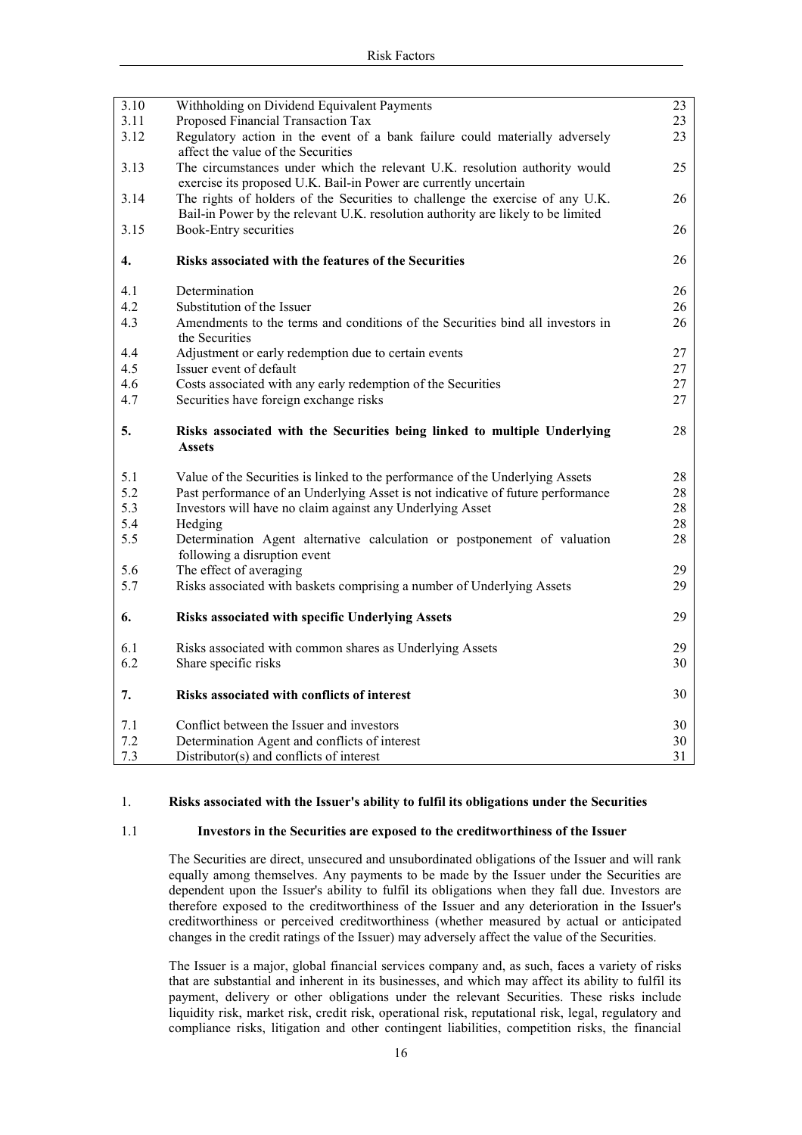| 3.10 | Withholding on Dividend Equivalent Payments                                               | 23 |
|------|-------------------------------------------------------------------------------------------|----|
| 3.11 | Proposed Financial Transaction Tax                                                        | 23 |
| 3.12 | Regulatory action in the event of a bank failure could materially adversely               | 23 |
|      | affect the value of the Securities                                                        |    |
| 3.13 | The circumstances under which the relevant U.K. resolution authority would                | 25 |
|      | exercise its proposed U.K. Bail-in Power are currently uncertain                          |    |
| 3.14 | The rights of holders of the Securities to challenge the exercise of any U.K.             | 26 |
|      | Bail-in Power by the relevant U.K. resolution authority are likely to be limited          |    |
| 3.15 | <b>Book-Entry securities</b>                                                              | 26 |
| 4.   | Risks associated with the features of the Securities                                      | 26 |
| 4.1  | Determination                                                                             | 26 |
| 4.2  | Substitution of the Issuer                                                                | 26 |
| 4.3  | Amendments to the terms and conditions of the Securities bind all investors in            | 26 |
|      | the Securities                                                                            |    |
| 4.4  | Adjustment or early redemption due to certain events                                      | 27 |
| 4.5  | Issuer event of default                                                                   | 27 |
| 4.6  | Costs associated with any early redemption of the Securities                              | 27 |
| 4.7  | Securities have foreign exchange risks                                                    | 27 |
| 5.   | Risks associated with the Securities being linked to multiple Underlying<br><b>Assets</b> | 28 |
| 5.1  | Value of the Securities is linked to the performance of the Underlying Assets             | 28 |
| 5.2  | Past performance of an Underlying Asset is not indicative of future performance           | 28 |
| 5.3  | Investors will have no claim against any Underlying Asset                                 | 28 |
| 5.4  | Hedging                                                                                   | 28 |
| 5.5  | Determination Agent alternative calculation or postponement of valuation                  | 28 |
|      | following a disruption event                                                              |    |
| 5.6  | The effect of averaging                                                                   | 29 |
| 5.7  | Risks associated with baskets comprising a number of Underlying Assets                    | 29 |
| 6.   | Risks associated with specific Underlying Assets                                          | 29 |
| 6.1  | Risks associated with common shares as Underlying Assets                                  | 29 |
| 6.2  | Share specific risks                                                                      | 30 |
| 7.   | Risks associated with conflicts of interest                                               | 30 |
| 7.1  | Conflict between the Issuer and investors                                                 | 30 |
| 7.2  | Determination Agent and conflicts of interest                                             | 30 |
| 7.3  | Distributor(s) and conflicts of interest                                                  | 31 |

#### $1.$ Risks associated with the Issuer's ability to fulfil its obligations under the Securities

#### $1.1$ Investors in the Securities are exposed to the creditworthiness of the Issuer

The Securities are direct, unsecured and unsubordinated obligations of the Issuer and will rank equally among themselves. Any payments to be made by the Issuer under the Securities are dependent upon the Issuer's ability to fulfil its obligations when they fall due. Investors are therefore exposed to the creditworthiness of the Issuer and any deterioration in the Issuer's creditworthiness or perceived creditworthiness (whether measured by actual or anticipated changes in the credit ratings of the Issuer) may adversely affect the value of the Securities.

The Issuer is a major, global financial services company and, as such, faces a variety of risks that are substantial and inherent in its businesses, and which may affect its ability to fulfil its payment, delivery or other obligations under the relevant Securities. These risks include liquidity risk, market risk, credit risk, operational risk, reputational risk, legal, regulatory and compliance risks, litigation and other contingent liabilities, competition risks, the financial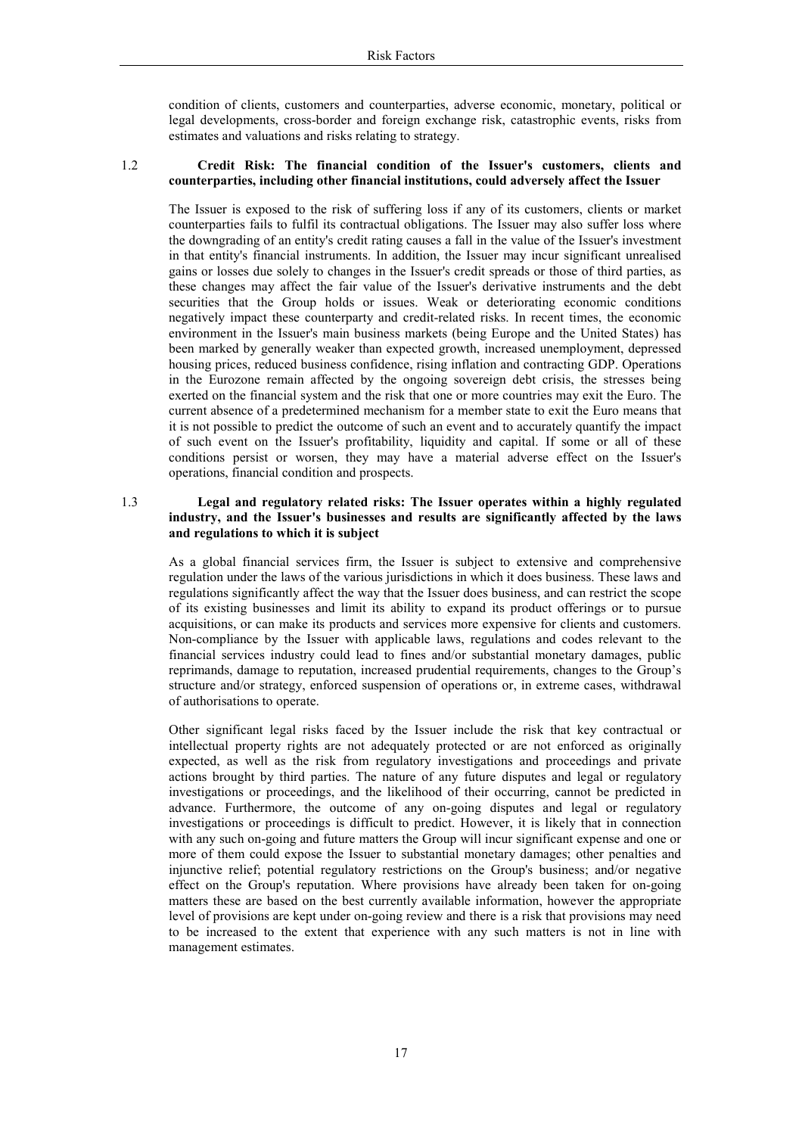condition of clients, customers and counterparties, adverse economic, monetary, political or legal developments, cross-border and foreign exchange risk, catastrophic events, risks from estimates and valuations and risks relating to strategy.

#### $1.2$ Credit Risk: The financial condition of the Issuer's customers, clients and counterparties, including other financial institutions, could adversely affect the Issuer

The Issuer is exposed to the risk of suffering loss if any of its customers, clients or market counterparties fails to fulfil its contractual obligations. The Issuer may also suffer loss where the downgrading of an entity's credit rating causes a fall in the value of the Issuer's investment in that entity's financial instruments. In addition, the Issuer may incur significant unrealised gains or losses due solely to changes in the Issuer's credit spreads or those of third parties, as these changes may affect the fair value of the Issuer's derivative instruments and the debt securities that the Group holds or issues. Weak or deteriorating economic conditions negatively impact these counterparty and credit-related risks. In recent times, the economic environment in the Issuer's main business markets (being Europe and the United States) has been marked by generally weaker than expected growth, increased unemployment, depressed housing prices, reduced business confidence, rising inflation and contracting GDP. Operations in the Eurozone remain affected by the ongoing sovereign debt crisis, the stresses being exerted on the financial system and the risk that one or more countries may exit the Euro. The current absence of a predetermined mechanism for a member state to exit the Euro means that it is not possible to predict the outcome of such an event and to accurately quantify the impact of such event on the Issuer's profitability, liquidity and capital. If some or all of these conditions persist or worsen, they may have a material adverse effect on the Issuer's operations, financial condition and prospects.

#### $1.3$ Legal and regulatory related risks: The Issuer operates within a highly regulated industry, and the Issuer's businesses and results are significantly affected by the laws and regulations to which it is subject

As a global financial services firm, the Issuer is subject to extensive and comprehensive regulation under the laws of the various jurisdictions in which it does business. These laws and regulations significantly affect the way that the Issuer does business, and can restrict the scope of its existing businesses and limit its ability to expand its product offerings or to pursue acquisitions, or can make its products and services more expensive for clients and customers. Non-compliance by the Issuer with applicable laws, regulations and codes relevant to the financial services industry could lead to fines and/or substantial monetary damages, public reprimands, damage to reputation, increased prudential requirements, changes to the Group's structure and/or strategy, enforced suspension of operations or, in extreme cases, withdrawal of authorisations to operate.

Other significant legal risks faced by the Issuer include the risk that key contractual or intellectual property rights are not adequately protected or are not enforced as originally expected, as well as the risk from regulatory investigations and proceedings and private actions brought by third parties. The nature of any future disputes and legal or regulatory investigations or proceedings, and the likelihood of their occurring, cannot be predicted in advance. Furthermore, the outcome of any on-going disputes and legal or regulatory investigations or proceedings is difficult to predict. However, it is likely that in connection with any such on-going and future matters the Group will incur significant expense and one or more of them could expose the Issuer to substantial monetary damages; other penalties and injunctive relief; potential regulatory restrictions on the Group's business; and/or negative effect on the Group's reputation. Where provisions have already been taken for on-going matters these are based on the best currently available information, however the appropriate level of provisions are kept under on-going review and there is a risk that provisions may need to be increased to the extent that experience with any such matters is not in line with management estimates.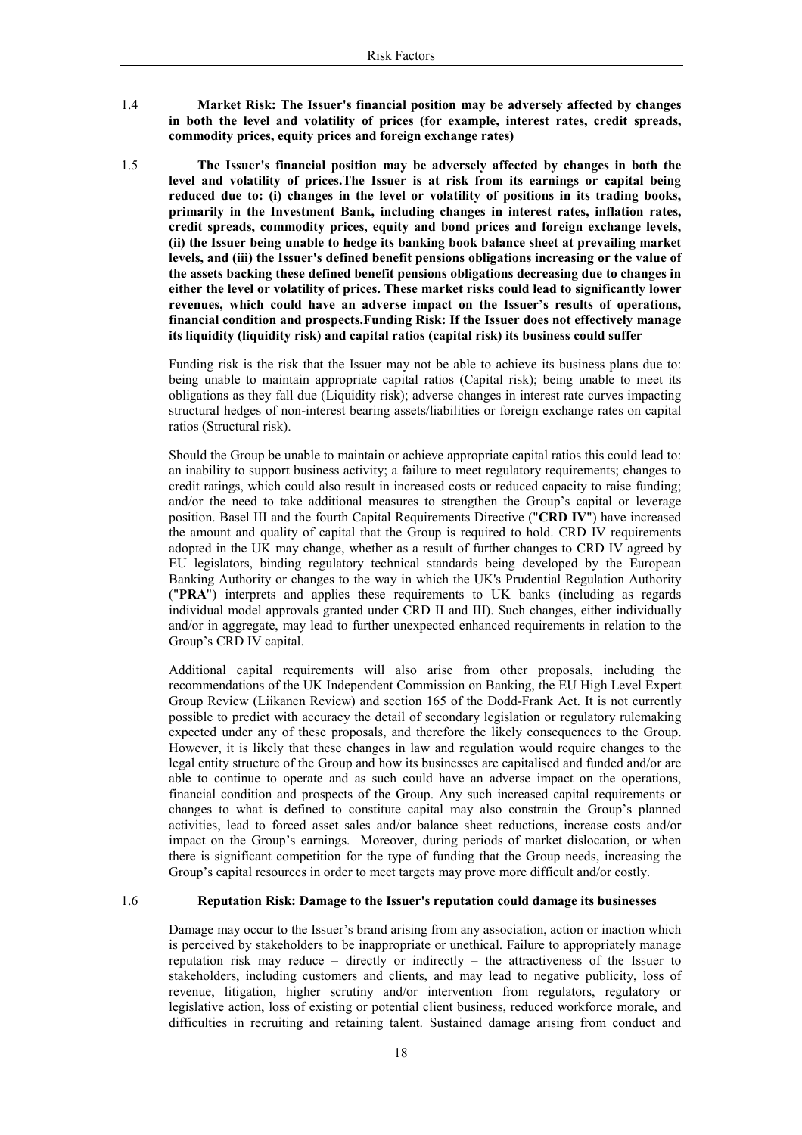1.4 Market Risk: The Issuer's financial position may be adversely affected by changes in both the level and volatility of prices (for example, interest rates, credit spreads, commodity prices, equity prices and foreign exchange rates)

1.5

The Issuer's financial position may be adversely affected by changes in both the level and volatility of prices. The Issuer is at risk from its earnings or capital being reduced due to: (i) changes in the level or volatility of positions in its trading books, primarily in the Investment Bank, including changes in interest rates, inflation rates, credit spreads, commodity prices, equity and bond prices and foreign exchange levels, (ii) the Issuer being unable to hedge its banking book balance sheet at prevailing market levels, and (iii) the Issuer's defined benefit pensions obligations increasing or the value of the assets backing these defined benefit pensions obligations decreasing due to changes in either the level or volatility of prices. These market risks could lead to significantly lower revenues, which could have an adverse impact on the Issuer's results of operations, financial condition and prospects. Funding Risk: If the Issuer does not effectively manage its liquidity (liquidity risk) and capital ratios (capital risk) its business could suffer

Funding risk is the risk that the Issuer may not be able to achieve its business plans due to: being unable to maintain appropriate capital ratios (Capital risk); being unable to meet its obligations as they fall due (Liquidity risk); adverse changes in interest rate curves impacting structural hedges of non-interest bearing assets/liabilities or foreign exchange rates on capital ratios (Structural risk).

Should the Group be unable to maintain or achieve appropriate capital ratios this could lead to: an inability to support business activity; a failure to meet regulatory requirements; changes to credit ratings, which could also result in increased costs or reduced capacity to raise funding; and/or the need to take additional measures to strengthen the Group's capital or leverage position. Basel III and the fourth Capital Requirements Directive ("CRD IV") have increased the amount and quality of capital that the Group is required to hold. CRD IV requirements adopted in the UK may change, whether as a result of further changes to CRD IV agreed by EU legislators, binding regulatory technical standards being developed by the European Banking Authority or changes to the way in which the UK's Prudential Regulation Authority ("PRA") interprets and applies these requirements to UK banks (including as regards individual model approvals granted under CRD II and III). Such changes, either individually and/or in aggregate, may lead to further unexpected enhanced requirements in relation to the Group's CRD IV capital.

Additional capital requirements will also arise from other proposals, including the recommendations of the UK Independent Commission on Banking, the EU High Level Expert Group Review (Liikanen Review) and section 165 of the Dodd-Frank Act. It is not currently possible to predict with accuracy the detail of secondary legislation or regulatory rulemaking expected under any of these proposals, and therefore the likely consequences to the Group. However, it is likely that these changes in law and regulation would require changes to the legal entity structure of the Group and how its businesses are capitalised and funded and/or are able to continue to operate and as such could have an adverse impact on the operations, financial condition and prospects of the Group. Any such increased capital requirements or changes to what is defined to constitute capital may also constrain the Group's planned activities, lead to forced asset sales and/or balance sheet reductions, increase costs and/or impact on the Group's earnings. Moreover, during periods of market dislocation, or when there is significant competition for the type of funding that the Group needs, increasing the Group's capital resources in order to meet targets may prove more difficult and/or costly.

#### Reputation Risk: Damage to the Issuer's reputation could damage its businesses  $1.6$

Damage may occur to the Issuer's brand arising from any association, action or inaction which is perceived by stakeholders to be inappropriate or unethical. Failure to appropriately manage reputation risk may reduce  $-$  directly or indirectly  $-$  the attractiveness of the Issuer to stakeholders, including customers and clients, and may lead to negative publicity, loss of revenue, litigation, higher scrutiny and/or intervention from regulators, regulatory or legislative action, loss of existing or potential client business, reduced workforce morale, and difficulties in recruiting and retaining talent. Sustained damage arising from conduct and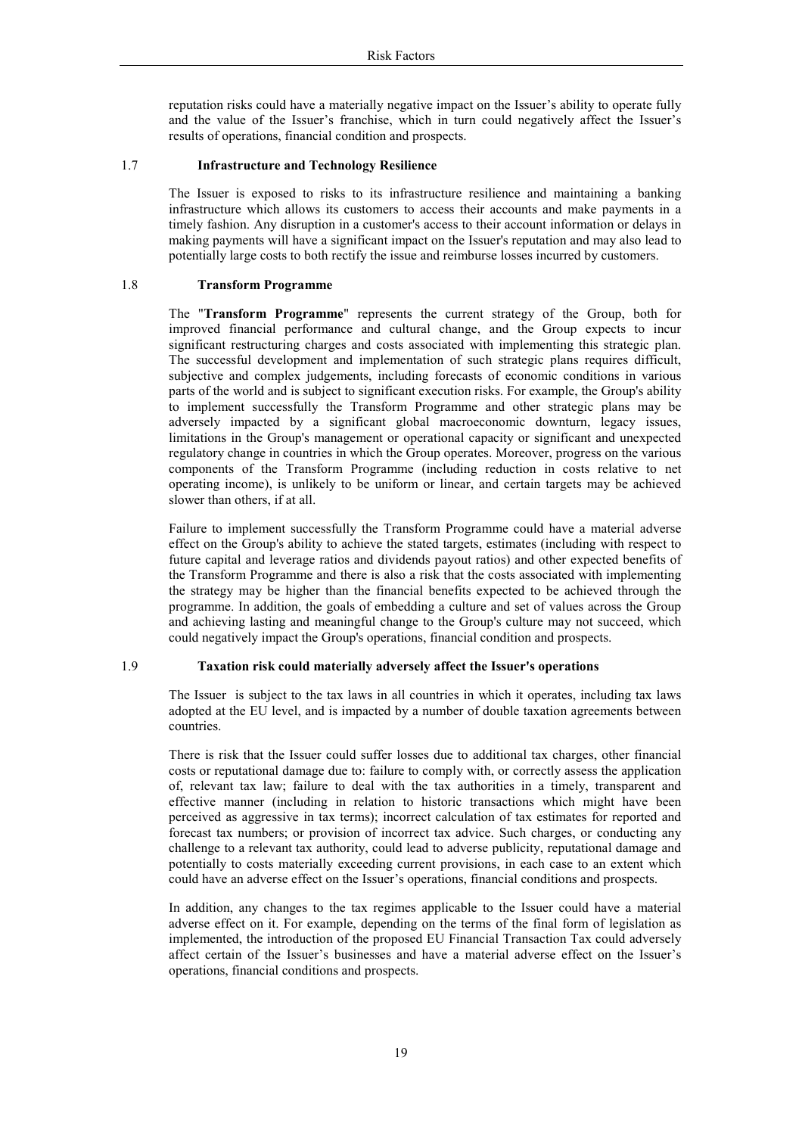reputation risks could have a materially negative impact on the Issuer's ability to operate fully and the value of the Issuer's franchise, which in turn could negatively affect the Issuer's results of operations, financial condition and prospects.

#### 1.7 **Infrastructure and Technology Resilience**

The Issuer is exposed to risks to its infrastructure resilience and maintaining a banking infrastructure which allows its customers to access their accounts and make payments in a timely fashion. Any disruption in a customer's access to their account information or delays in making payments will have a significant impact on the Issuer's reputation and may also lead to potentially large costs to both rectify the issue and reimburse losses incurred by customers.

#### 1.8 **Transform Programme**

The "Transform Programme" represents the current strategy of the Group, both for improved financial performance and cultural change, and the Group expects to incur significant restructuring charges and costs associated with implementing this strategic plan. The successful development and implementation of such strategic plans requires difficult, subjective and complex judgements, including forecasts of economic conditions in various parts of the world and is subject to significant execution risks. For example, the Group's ability to implement successfully the Transform Programme and other strategic plans may be adversely impacted by a significant global macroeconomic downturn, legacy issues, limitations in the Group's management or operational capacity or significant and unexpected regulatory change in countries in which the Group operates. Moreover, progress on the various components of the Transform Programme (including reduction in costs relative to net operating income), is unlikely to be uniform or linear, and certain targets may be achieved slower than others, if at all.

Failure to implement successfully the Transform Programme could have a material adverse effect on the Group's ability to achieve the stated targets, estimates (including with respect to future capital and leverage ratios and dividends payout ratios) and other expected benefits of the Transform Programme and there is also a risk that the costs associated with implementing the strategy may be higher than the financial benefits expected to be achieved through the programme. In addition, the goals of embedding a culture and set of values across the Group and achieving lasting and meaningful change to the Group's culture may not succeed, which could negatively impact the Group's operations, financial condition and prospects.

#### 1.9 Taxation risk could materially adversely affect the Issuer's operations

The Issuer is subject to the tax laws in all countries in which it operates, including tax laws adopted at the EU level, and is impacted by a number of double taxation agreements between countries.

There is risk that the Issuer could suffer losses due to additional tax charges, other financial costs or reputational damage due to: failure to comply with, or correctly assess the application of, relevant tax law; failure to deal with the tax authorities in a timely, transparent and effective manner (including in relation to historic transactions which might have been perceived as aggressive in tax terms); incorrect calculation of tax estimates for reported and forecast tax numbers; or provision of incorrect tax advice. Such charges, or conducting any challenge to a relevant tax authority, could lead to adverse publicity, reputational damage and potentially to costs materially exceeding current provisions, in each case to an extent which could have an adverse effect on the Issuer's operations, financial conditions and prospects.

In addition, any changes to the tax regimes applicable to the Issuer could have a material adverse effect on it. For example, depending on the terms of the final form of legislation as implemented, the introduction of the proposed EU Financial Transaction Tax could adversely affect certain of the Issuer's businesses and have a material adverse effect on the Issuer's operations, financial conditions and prospects.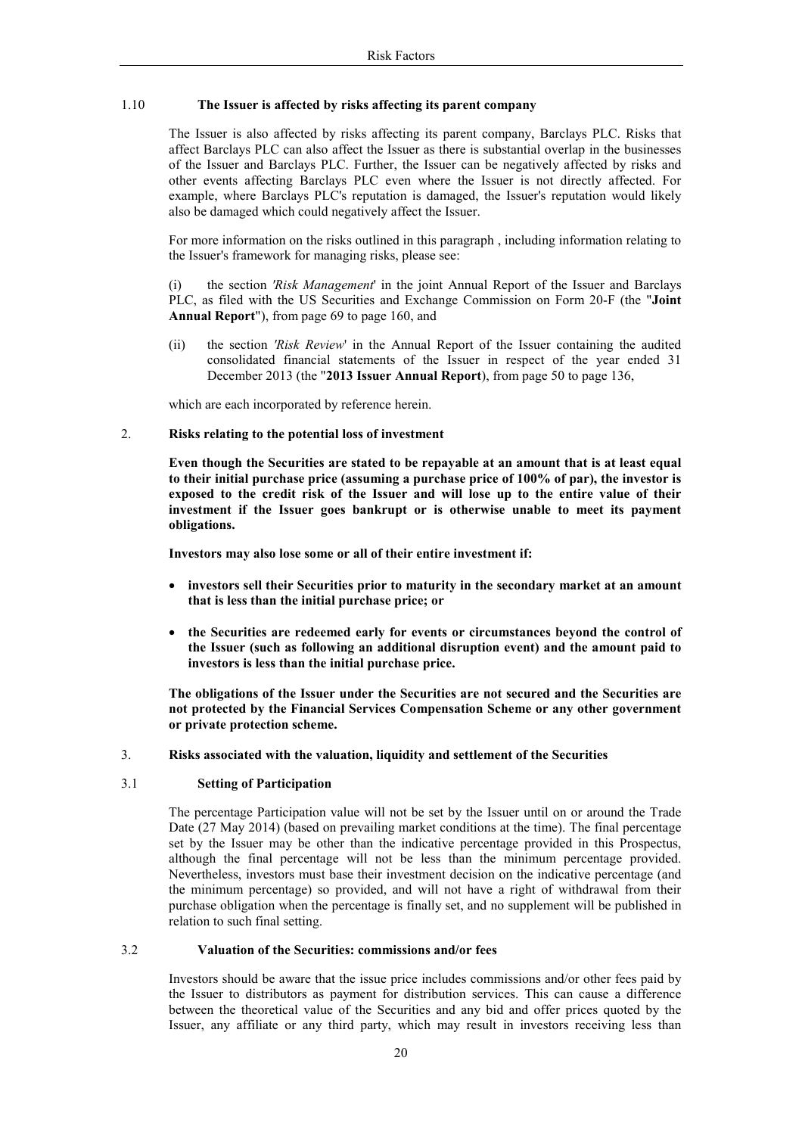#### 1.10 The Issuer is affected by risks affecting its parent company

The Issuer is also affected by risks affecting its parent company, Barclays PLC. Risks that affect Barclays PLC can also affect the Issuer as there is substantial overlap in the businesses of the Issuer and Barclays PLC. Further, the Issuer can be negatively affected by risks and other events affecting Barclays PLC even where the Issuer is not directly affected. For example, where Barclays PLC's reputation is damaged, the Issuer's reputation would likely also be damaged which could negatively affect the Issuer.

For more information on the risks outlined in this paragraph, including information relating to the Issuer's framework for managing risks, please see:

the section 'Risk Management' in the joint Annual Report of the Issuer and Barclays  $(i)$ PLC, as filed with the US Securities and Exchange Commission on Form 20-F (the "Joint" Annual Report"), from page 69 to page 160, and

 $(ii)$ the section 'Risk Review' in the Annual Report of the Issuer containing the audited consolidated financial statements of the Issuer in respect of the year ended 31 December 2013 (the "2013 Issuer Annual Report), from page 50 to page 136,

which are each incorporated by reference herein.

#### $2.$ Risks relating to the potential loss of investment

Even though the Securities are stated to be repayable at an amount that is at least equal to their initial purchase price (assuming a purchase price of 100% of par), the investor is exposed to the credit risk of the Issuer and will lose up to the entire value of their investment if the Issuer goes bankrupt or is otherwise unable to meet its payment obligations.

Investors may also lose some or all of their entire investment if:

- investors sell their Securities prior to maturity in the secondary market at an amount that is less than the initial purchase price; or
- the Securities are redeemed early for events or circumstances beyond the control of the Issuer (such as following an additional disruption event) and the amount paid to investors is less than the initial purchase price.

The obligations of the Issuer under the Securities are not secured and the Securities are not protected by the Financial Services Compensation Scheme or any other government or private protection scheme.

 $\overline{3}$ . Risks associated with the valuation, liquidity and settlement of the Securities

#### $3.1$ **Setting of Participation**

The percentage Participation value will not be set by the Issuer until on or around the Trade Date (27 May 2014) (based on prevailing market conditions at the time). The final percentage set by the Issuer may be other than the indicative percentage provided in this Prospectus, although the final percentage will not be less than the minimum percentage provided. Nevertheless, investors must base their investment decision on the indicative percentage (and the minimum percentage) so provided, and will not have a right of withdrawal from their purchase obligation when the percentage is finally set, and no supplement will be published in relation to such final setting.

#### $3.2$ Valuation of the Securities: commissions and/or fees

Investors should be aware that the issue price includes commissions and/or other fees paid by the Issuer to distributors as payment for distribution services. This can cause a difference between the theoretical value of the Securities and any bid and offer prices quoted by the Issuer, any affiliate or any third party, which may result in investors receiving less than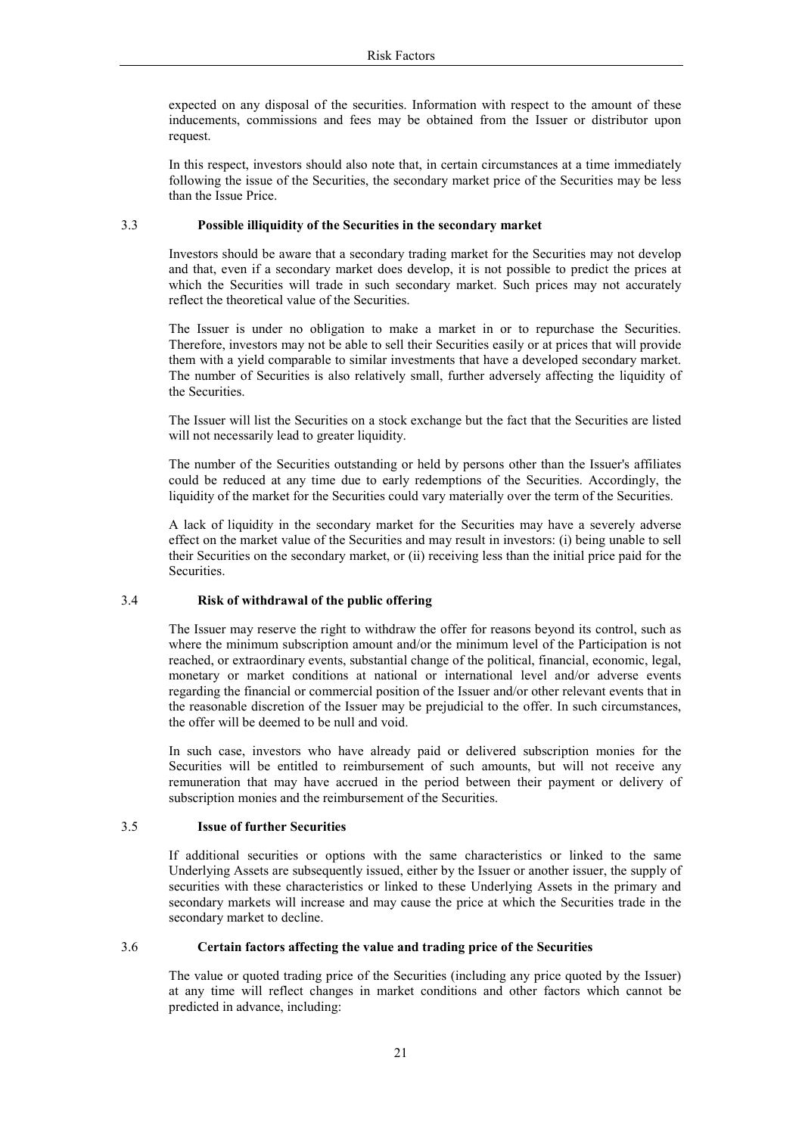expected on any disposal of the securities. Information with respect to the amount of these inducements, commissions and fees may be obtained from the Issuer or distributor upon request.

In this respect, investors should also note that, in certain circumstances at a time immediately following the issue of the Securities, the secondary market price of the Securities may be less than the Issue Price.

#### Possible illiquidity of the Securities in the secondary market  $3<sub>3</sub>$

Investors should be aware that a secondary trading market for the Securities may not develop and that, even if a secondary market does develop, it is not possible to predict the prices at which the Securities will trade in such secondary market. Such prices may not accurately reflect the theoretical value of the Securities.

The Issuer is under no obligation to make a market in or to repurchase the Securities. Therefore, investors may not be able to sell their Securities easily or at prices that will provide them with a yield comparable to similar investments that have a developed secondary market. The number of Securities is also relatively small, further adversely affecting the liquidity of the Securities.

The Issuer will list the Securities on a stock exchange but the fact that the Securities are listed will not necessarily lead to greater liquidity.

The number of the Securities outstanding or held by persons other than the Issuer's affiliates could be reduced at any time due to early redemptions of the Securities. Accordingly, the liquidity of the market for the Securities could vary materially over the term of the Securities.

A lack of liquidity in the secondary market for the Securities may have a severely adverse effect on the market value of the Securities and may result in investors: (i) being unable to sell their Securities on the secondary market, or (ii) receiving less than the initial price paid for the Securities.

#### $3.4$ Risk of withdrawal of the public offering

The Issuer may reserve the right to withdraw the offer for reasons beyond its control, such as where the minimum subscription amount and/or the minimum level of the Participation is not reached, or extraordinary events, substantial change of the political, financial, economic, legal, monetary or market conditions at national or international level and/or adverse events regarding the financial or commercial position of the Issuer and/or other relevant events that in the reasonable discretion of the Issuer may be prejudicial to the offer. In such circumstances, the offer will be deemed to be null and void.

In such case, investors who have already paid or delivered subscription monies for the Securities will be entitled to reimbursement of such amounts, but will not receive any remuneration that may have accrued in the period between their payment or delivery of subscription monies and the reimbursement of the Securities.

#### $3.5$ **Issue of further Securities**

If additional securities or options with the same characteristics or linked to the same Underlying Assets are subsequently issued, either by the Issuer or another issuer, the supply of securities with these characteristics or linked to these Underlying Assets in the primary and secondary markets will increase and may cause the price at which the Securities trade in the secondary market to decline.

#### 36 Certain factors affecting the value and trading price of the Securities

The value or quoted trading price of the Securities (including any price quoted by the Issuer) at any time will reflect changes in market conditions and other factors which cannot be predicted in advance, including: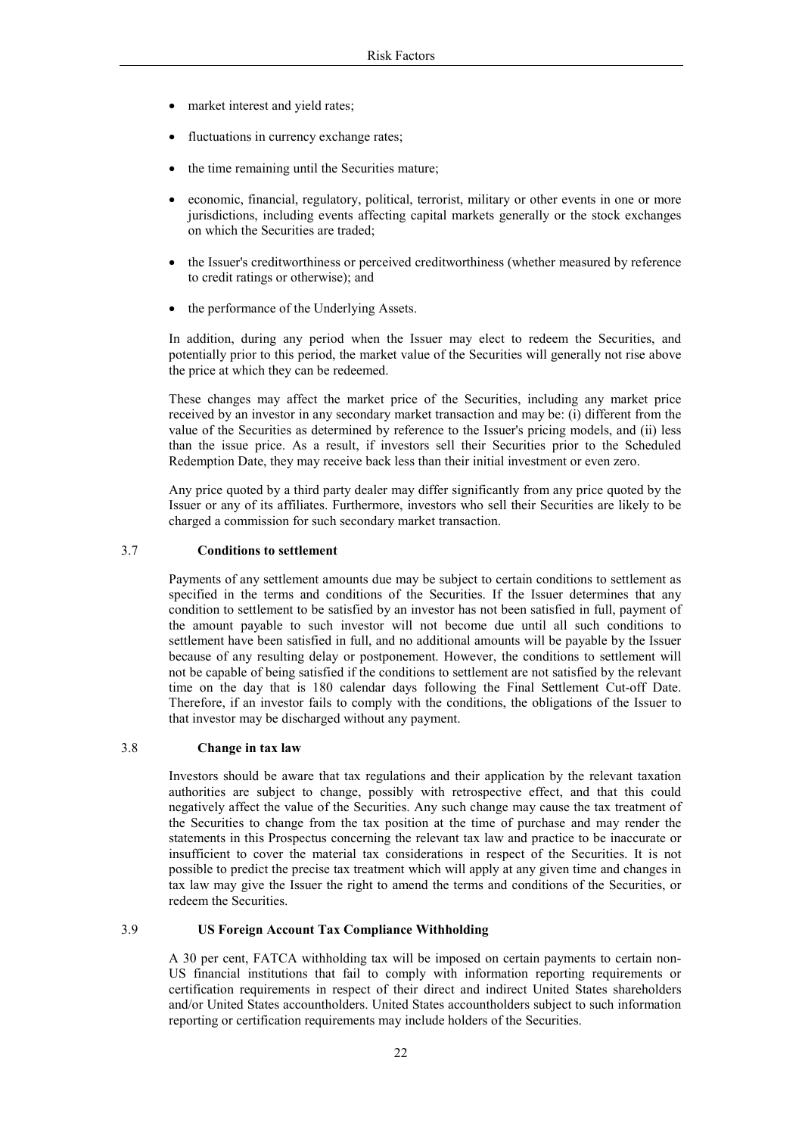- market interest and yield rates;
- fluctuations in currency exchange rates;
- the time remaining until the Securities mature;
- economic, financial, regulatory, political, terrorist, military or other events in one or more jurisdictions, including events affecting capital markets generally or the stock exchanges on which the Securities are traded:
- the Issuer's creditworthiness or perceived creditworthiness (whether measured by reference to credit ratings or otherwise); and
- the performance of the Underlying Assets.

In addition, during any period when the Issuer may elect to redeem the Securities, and potentially prior to this period, the market value of the Securities will generally not rise above the price at which they can be redeemed.

These changes may affect the market price of the Securities, including any market price received by an investor in any secondary market transaction and may be: (i) different from the value of the Securities as determined by reference to the Issuer's pricing models, and (ii) less than the issue price. As a result, if investors sell their Securities prior to the Scheduled Redemption Date, they may receive back less than their initial investment or even zero.

Any price quoted by a third party dealer may differ significantly from any price quoted by the Issuer or any of its affiliates. Furthermore, investors who sell their Securities are likely to be charged a commission for such secondary market transaction.

#### 3.7 **Conditions to settlement**

Payments of any settlement amounts due may be subject to certain conditions to settlement as specified in the terms and conditions of the Securities. If the Issuer determines that any condition to settlement to be satisfied by an investor has not been satisfied in full, payment of the amount payable to such investor will not become due until all such conditions to settlement have been satisfied in full, and no additional amounts will be payable by the Issuer because of any resulting delay or postponement. However, the conditions to settlement will not be capable of being satisfied if the conditions to settlement are not satisfied by the relevant time on the day that is 180 calendar days following the Final Settlement Cut-off Date. Therefore, if an investor fails to comply with the conditions, the obligations of the Issuer to that investor may be discharged without any payment.

#### 38 Change in tax law

Investors should be aware that tax regulations and their application by the relevant taxation authorities are subject to change, possibly with retrospective effect, and that this could negatively affect the value of the Securities. Any such change may cause the tax treatment of the Securities to change from the tax position at the time of purchase and may render the statements in this Prospectus concerning the relevant tax law and practice to be inaccurate or insufficient to cover the material tax considerations in respect of the Securities. It is not possible to predict the precise tax treatment which will apply at any given time and changes in tax law may give the Issuer the right to amend the terms and conditions of the Securities, or redeem the Securities

#### 39 **US Foreign Account Tax Compliance Withholding**

A 30 per cent, FATCA withholding tax will be imposed on certain payments to certain non-US financial institutions that fail to comply with information reporting requirements or certification requirements in respect of their direct and indirect United States shareholders and/or United States accountholders. United States accountholders subject to such information reporting or certification requirements may include holders of the Securities.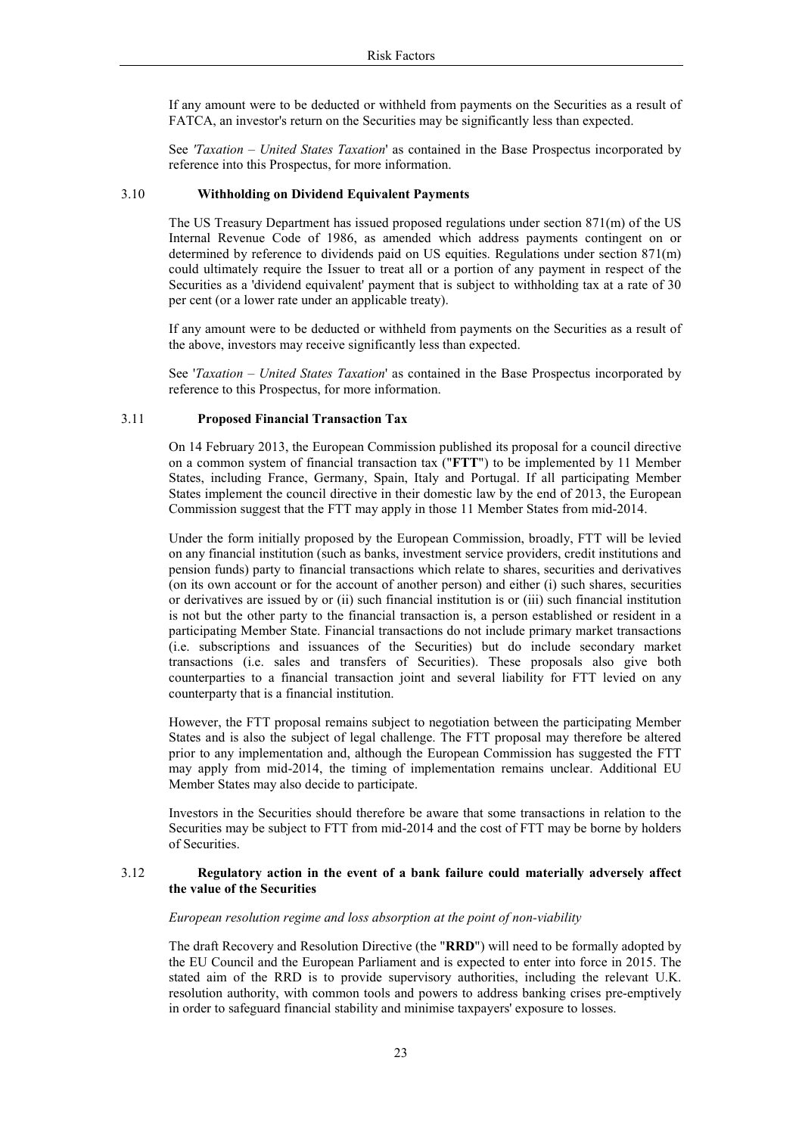If any amount were to be deducted or withheld from payments on the Securities as a result of FATCA, an investor's return on the Securities may be significantly less than expected.

See 'Taxation – United States Taxation' as contained in the Base Prospectus incorporated by reference into this Prospectus, for more information.

#### 3.10 **Withholding on Dividend Equivalent Payments**

The US Treasury Department has issued proposed regulations under section  $871(m)$  of the US Internal Revenue Code of 1986, as amended which address payments contingent on or determined by reference to dividends paid on US equities. Regulations under section  $871(m)$ could ultimately require the Issuer to treat all or a portion of any payment in respect of the Securities as a 'dividend equivalent' payment that is subject to withholding tax at a rate of 30 per cent (or a lower rate under an applicable treaty).

If any amount were to be deducted or withheld from payments on the Securities as a result of the above, investors may receive significantly less than expected.

See '*Taxation – United States Taxation*' as contained in the Base Prospectus incorporated by reference to this Prospectus, for more information.

#### 3.11 **Proposed Financial Transaction Tax**

On 14 February 2013, the European Commission published its proposal for a council directive on a common system of financial transaction tax ("FTT") to be implemented by 11 Member States, including France, Germany, Spain, Italy and Portugal. If all participating Member States implement the council directive in their domestic law by the end of 2013, the European Commission suggest that the FTT may apply in those 11 Member States from mid-2014.

Under the form initially proposed by the European Commission, broadly, FTT will be levied on any financial institution (such as banks, investment service providers, credit institutions and pension funds) party to financial transactions which relate to shares, securities and derivatives (on its own account or for the account of another person) and either (i) such shares, securities or derivatives are issued by or (ii) such financial institution is or (iii) such financial institution is not but the other party to the financial transaction is, a person established or resident in a participating Member State. Financial transactions do not include primary market transactions (i.e. subscriptions and issuances of the Securities) but do include secondary market transactions (i.e. sales and transfers of Securities). These proposals also give both counterparties to a financial transaction joint and several liability for FTT levied on any counterparty that is a financial institution.

However, the FTT proposal remains subject to negotiation between the participating Member States and is also the subject of legal challenge. The FTT proposal may therefore be altered prior to any implementation and, although the European Commission has suggested the FTT may apply from mid-2014, the timing of implementation remains unclear. Additional EU Member States may also decide to participate.

Investors in the Securities should therefore be aware that some transactions in relation to the Securities may be subject to FTT from mid-2014 and the cost of FTT may be borne by holders of Securities.

#### 3 1 2 Regulatory action in the event of a bank failure could materially adversely affect the value of the Securities

European resolution regime and loss absorption at the point of non-viability

The draft Recovery and Resolution Directive (the "RRD") will need to be formally adopted by the EU Council and the European Parliament and is expected to enter into force in 2015. The stated aim of the RRD is to provide supervisory authorities, including the relevant U.K. resolution authority, with common tools and powers to address banking crises pre-emptively in order to safeguard financial stability and minimise taxpayers' exposure to losses.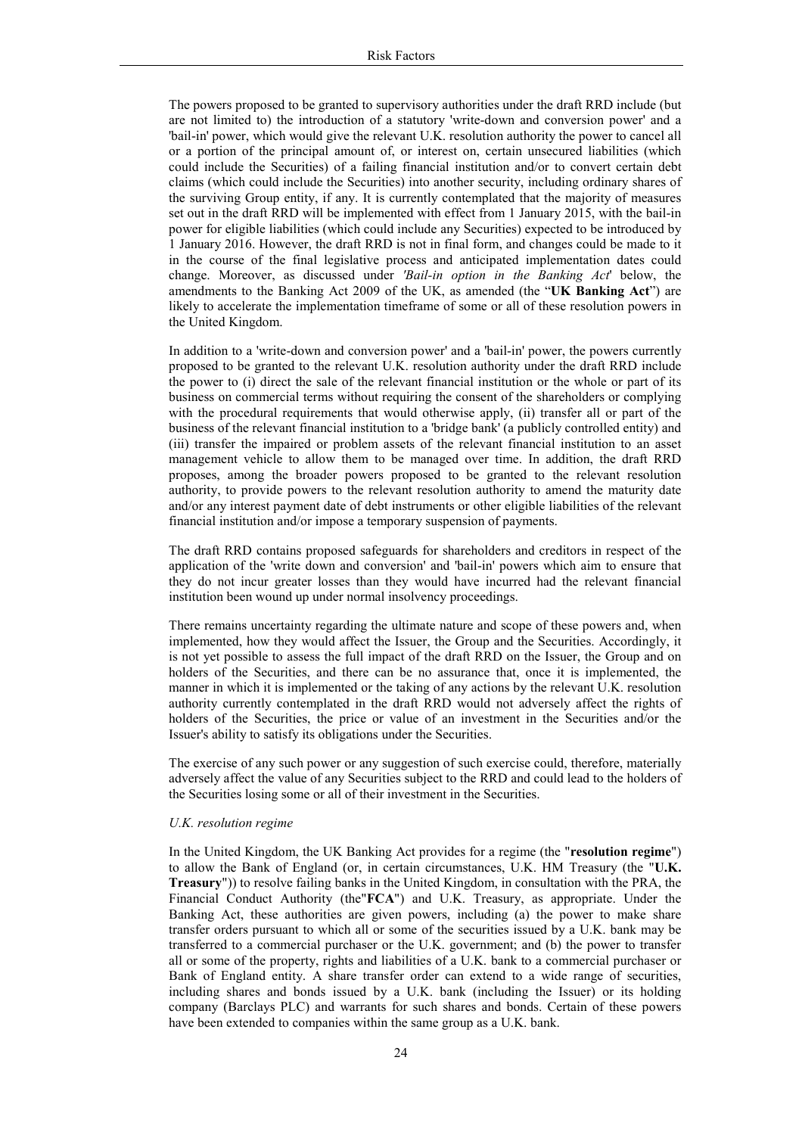The powers proposed to be granted to supervisory authorities under the draft RRD include (but are not limited to) the introduction of a statutory 'write-down and conversion power' and a "bail-in' power, which would give the relevant U.K. resolution authority the power to cancel all or a portion of the principal amount of, or interest on, certain unsecured liabilities (which could include the Securities) of a failing financial institution and/or to convert certain debt claims (which could include the Securities) into another security, including ordinary shares of the surviving Group entity, if any. It is currently contemplated that the majority of measures set out in the draft RRD will be implemented with effect from 1 January 2015, with the bail-in power for eligible liabilities (which could include any Securities) expected to be introduced by 1 January 2016. However, the draft RRD is not in final form, and changes could be made to it in the course of the final legislative process and anticipated implementation dates could change. Moreover, as discussed under *'Bail-in option in the Banking Act'* below, the amendments to the Banking Act 2009 of the UK, as amended (the "UK Banking Act") are likely to accelerate the implementation timeframe of some or all of these resolution powers in the United Kingdom.

In addition to a 'write-down and conversion power' and a 'bail-in' power, the powers currently proposed to be granted to the relevant U.K. resolution authority under the draft RRD include the power to (i) direct the sale of the relevant financial institution or the whole or part of its business on commercial terms without requiring the consent of the shareholders or complying with the procedural requirements that would otherwise apply, (ii) transfer all or part of the business of the relevant financial institution to a 'bridge bank' (a publicly controlled entity) and (iii) transfer the impaired or problem assets of the relevant financial institution to an asset management vehicle to allow them to be managed over time. In addition, the draft RRD proposes, among the broader powers proposed to be granted to the relevant resolution authority, to provide powers to the relevant resolution authority to amend the maturity date and/or any interest payment date of debt instruments or other eligible liabilities of the relevant financial institution and/or impose a temporary suspension of payments.

The draft RRD contains proposed safeguards for shareholders and creditors in respect of the application of the 'write down and conversion' and 'bail-in' powers which aim to ensure that they do not incur greater losses than they would have incurred had the relevant financial institution been wound up under normal insolvency proceedings.

There remains uncertainty regarding the ultimate nature and scope of these powers and, when implemented, how they would affect the Issuer, the Group and the Securities. Accordingly, it is not yet possible to assess the full impact of the draft RRD on the Issuer, the Group and on holders of the Securities, and there can be no assurance that, once it is implemented, the manner in which it is implemented or the taking of any actions by the relevant U.K. resolution authority currently contemplated in the draft RRD would not adversely affect the rights of holders of the Securities, the price or value of an investment in the Securities and/or the Issuer's ability to satisfy its obligations under the Securities.

The exercise of any such power or any suggestion of such exercise could, therefore, materially adversely affect the value of any Securities subject to the RRD and could lead to the holders of the Securities losing some or all of their investment in the Securities.

#### U.K. resolution regime

In the United Kingdom, the UK Banking Act provides for a regime (the "resolution regime") to allow the Bank of England (or, in certain circumstances, U.K. HM Treasury (the "U.K. Treasury")) to resolve failing banks in the United Kingdom, in consultation with the PRA, the Financial Conduct Authority (the "FCA") and U.K. Treasury, as appropriate. Under the Banking Act, these authorities are given powers, including (a) the power to make share transfer orders pursuant to which all or some of the securities issued by a U.K. bank may be transferred to a commercial purchaser or the U.K. government; and (b) the power to transfer all or some of the property, rights and liabilities of a U.K. bank to a commercial purchaser or Bank of England entity. A share transfer order can extend to a wide range of securities, including shares and bonds issued by a U.K. bank (including the Issuer) or its holding company (Barclays PLC) and warrants for such shares and bonds. Certain of these powers have been extended to companies within the same group as a U.K. bank.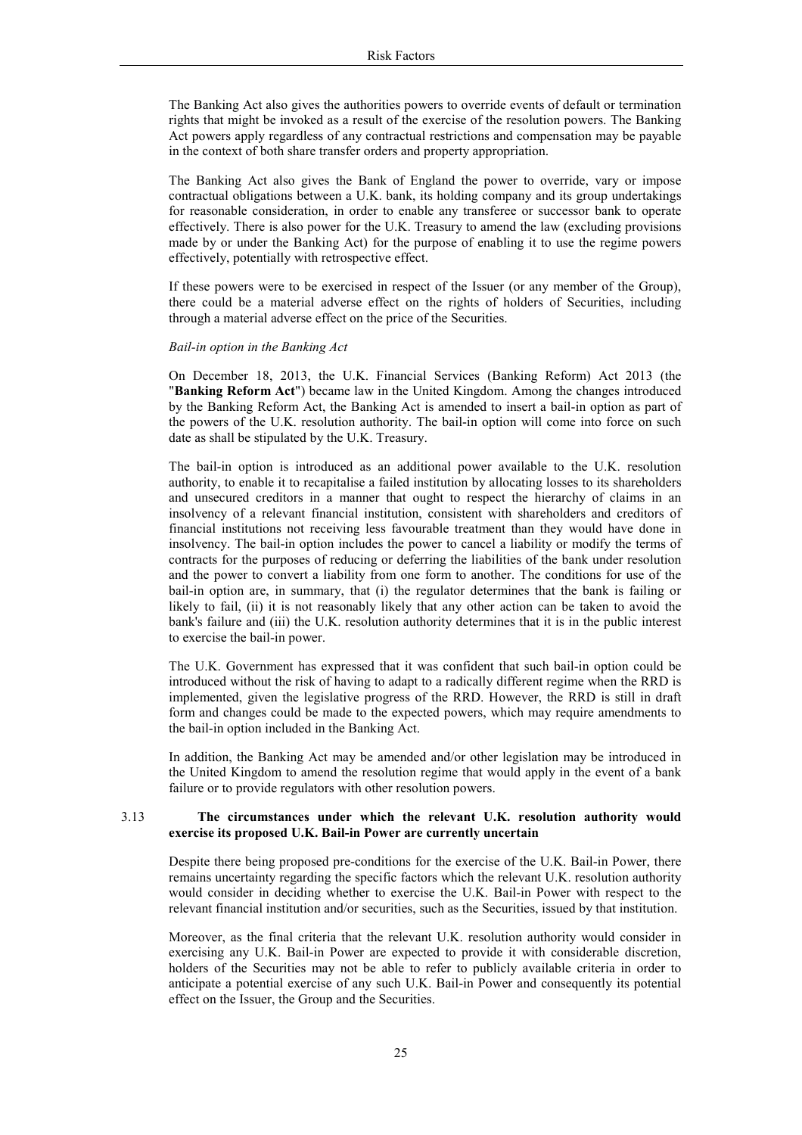The Banking Act also gives the authorities powers to override events of default or termination rights that might be invoked as a result of the exercise of the resolution powers. The Banking Act powers apply regardless of any contractual restrictions and compensation may be payable in the context of both share transfer orders and property appropriation.

The Banking Act also gives the Bank of England the power to override, vary or impose contractual obligations between a U.K. bank, its holding company and its group undertakings for reasonable consideration, in order to enable any transferee or successor bank to operate effectively. There is also power for the U.K. Treasury to amend the law (excluding provisions made by or under the Banking Act) for the purpose of enabling it to use the regime powers effectively, potentially with retrospective effect.

If these powers were to be exercised in respect of the Issuer (or any member of the Group), there could be a material adverse effect on the rights of holders of Securities, including through a material adverse effect on the price of the Securities.

#### Bail-in option in the Banking Act

On December 18, 2013, the U.K. Financial Services (Banking Reform) Act 2013 (the "Banking Reform Act") became law in the United Kingdom. Among the changes introduced by the Banking Reform Act, the Banking Act is amended to insert a bail-in option as part of the powers of the U.K. resolution authority. The bail-in option will come into force on such date as shall be stipulated by the U.K. Treasury.

The bail-in option is introduced as an additional power available to the U.K. resolution authority, to enable it to recapitalise a failed institution by allocating losses to its shareholders and unsecured creditors in a manner that ought to respect the hierarchy of claims in an insolvency of a relevant financial institution, consistent with shareholders and creditors of financial institutions not receiving less favourable treatment than they would have done in insolvency. The bail-in option includes the power to cancel a liability or modify the terms of contracts for the purposes of reducing or deferring the liabilities of the bank under resolution and the power to convert a liability from one form to another. The conditions for use of the bail-in option are, in summary, that (i) the regulator determines that the bank is failing or likely to fail, (ii) it is not reasonably likely that any other action can be taken to avoid the bank's failure and (iii) the U.K. resolution authority determines that it is in the public interest to exercise the bail-in power.

The U.K. Government has expressed that it was confident that such bail-in option could be introduced without the risk of having to adapt to a radically different regime when the RRD is implemented, given the legislative progress of the RRD. However, the RRD is still in draft form and changes could be made to the expected powers, which may require amendments to the bail-in option included in the Banking Act.

In addition, the Banking Act may be amended and/or other legislation may be introduced in the United Kingdom to amend the resolution regime that would apply in the event of a bank failure or to provide regulators with other resolution powers.

#### 3.13 The circumstances under which the relevant U.K. resolution authority would exercise its proposed U.K. Bail-in Power are currently uncertain

Despite there being proposed pre-conditions for the exercise of the U.K. Bail-in Power, there remains uncertainty regarding the specific factors which the relevant U.K. resolution authority would consider in deciding whether to exercise the U.K. Bail-in Power with respect to the relevant financial institution and/or securities, such as the Securities, issued by that institution.

Moreover, as the final criteria that the relevant U.K. resolution authority would consider in exercising any U.K. Bail-in Power are expected to provide it with considerable discretion, holders of the Securities may not be able to refer to publicly available criteria in order to anticipate a potential exercise of any such U.K. Bail-in Power and consequently its potential effect on the Issuer, the Group and the Securities.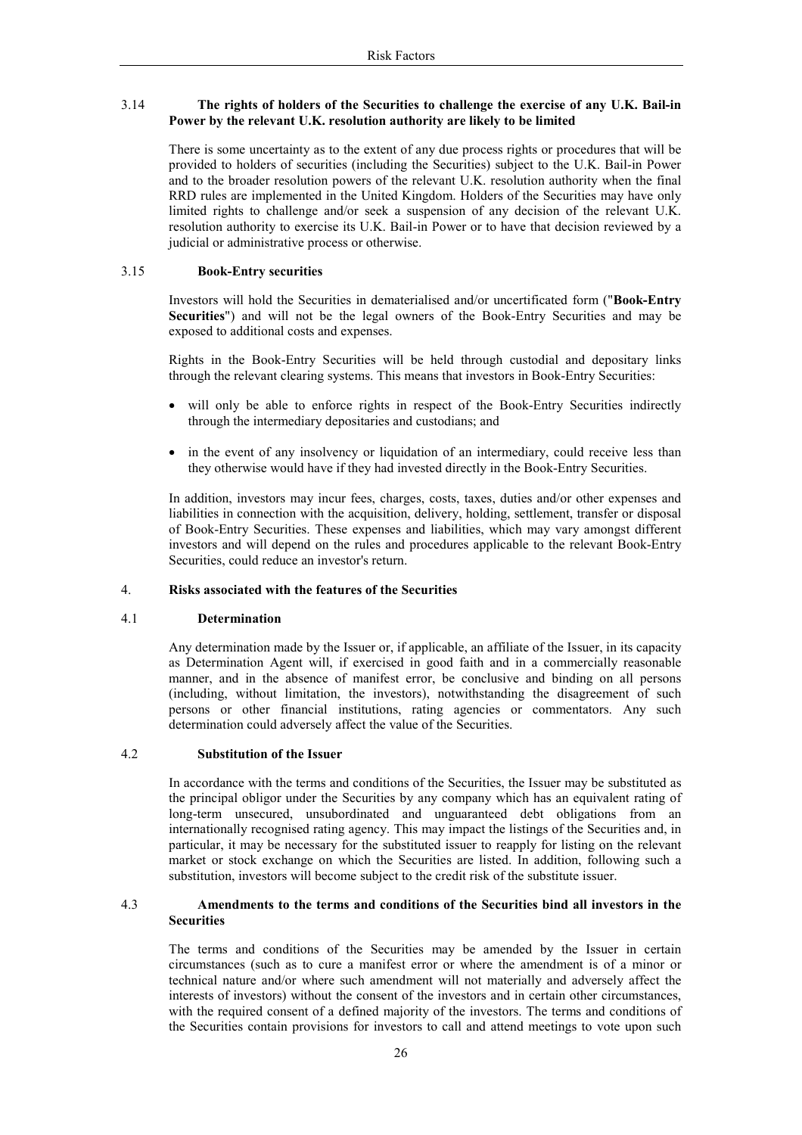#### 3.14 The rights of holders of the Securities to challenge the exercise of any U.K. Bail-in Power by the relevant U.K. resolution authority are likely to be limited

There is some uncertainty as to the extent of any due process rights or procedures that will be provided to holders of securities (including the Securities) subject to the U.K. Bail-in Power and to the broader resolution powers of the relevant U.K. resolution authority when the final RRD rules are implemented in the United Kingdom. Holders of the Securities may have only limited rights to challenge and/or seek a suspension of any decision of the relevant U.K. resolution authority to exercise its U.K. Bail-in Power or to have that decision reviewed by a judicial or administrative process or otherwise.

#### 3.15 **Book-Entry securities**

Investors will hold the Securities in dematerialised and/or uncertificated form ("Book-Entry Securities") and will not be the legal owners of the Book-Entry Securities and may be exposed to additional costs and expenses.

Rights in the Book-Entry Securities will be held through custodial and depositary links through the relevant clearing systems. This means that investors in Book-Entry Securities:

- will only be able to enforce rights in respect of the Book-Entry Securities indirectly through the intermediary depositaries and custodians; and
- in the event of any insolvency or liquidation of an intermediary, could receive less than they otherwise would have if they had invested directly in the Book-Entry Securities.

In addition, investors may incur fees, charges, costs, taxes, duties and/or other expenses and liabilities in connection with the acquisition, delivery, holding, settlement, transfer or disposal of Book-Entry Securities. These expenses and liabilities, which may vary amongst different investors and will depend on the rules and procedures applicable to the relevant Book-Entry Securities, could reduce an investor's return.

#### $\overline{4}$ . Risks associated with the features of the Securities

#### $4.1$ **Determination**

Any determination made by the Issuer or, if applicable, an affiliate of the Issuer, in its capacity as Determination Agent will, if exercised in good faith and in a commercially reasonable manner, and in the absence of manifest error, be conclusive and binding on all persons (including, without limitation, the investors), notwithstanding the disagreement of such persons or other financial institutions, rating agencies or commentators. Any such determination could adversely affect the value of the Securities.

#### **Substitution of the Issuer** 42

In accordance with the terms and conditions of the Securities, the Issuer may be substituted as the principal obligor under the Securities by any company which has an equivalent rating of long-term unsecured, unsubordinated and unguaranteed debt obligations from an internationally recognised rating agency. This may impact the listings of the Securities and, in particular, it may be necessary for the substituted issuer to reapply for listing on the relevant market or stock exchange on which the Securities are listed. In addition, following such a substitution, investors will become subject to the credit risk of the substitute issuer.

#### $4.3$ Amendments to the terms and conditions of the Securities bind all investors in the **Securities**

The terms and conditions of the Securities may be amended by the Issuer in certain circumstances (such as to cure a manifest error or where the amendment is of a minor or technical nature and/or where such amendment will not materially and adversely affect the interests of investors) without the consent of the investors and in certain other circumstances, with the required consent of a defined majority of the investors. The terms and conditions of the Securities contain provisions for investors to call and attend meetings to vote upon such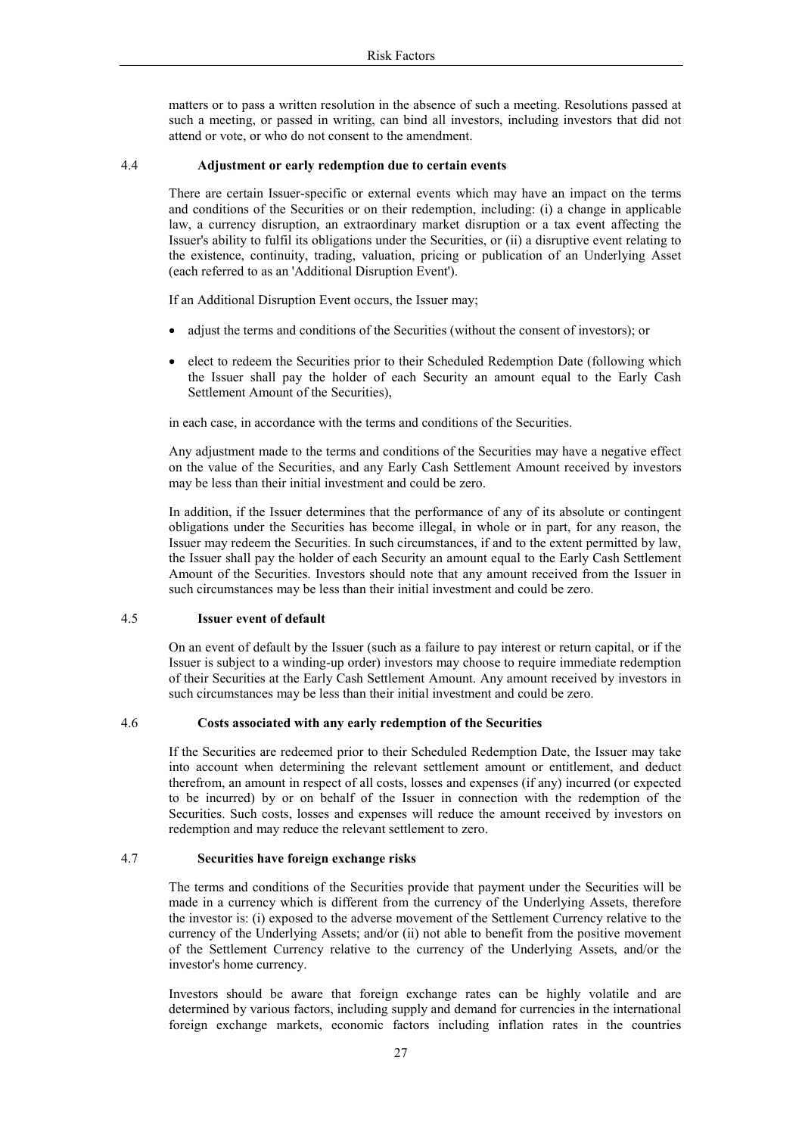matters or to pass a written resolution in the absence of such a meeting. Resolutions passed at such a meeting, or passed in writing, can bind all investors, including investors that did not attend or vote, or who do not consent to the amendment.

#### $4.4$ Adjustment or early redemption due to certain events

There are certain Issuer-specific or external events which may have an impact on the terms and conditions of the Securities or on their redemption, including: (i) a change in applicable law, a currency disruption, an extraordinary market disruption or a tax event affecting the Issuer's ability to fulfil its obligations under the Securities, or (ii) a disruptive event relating to the existence, continuity, trading, valuation, pricing or publication of an Underlying Asset (each referred to as an 'Additional Disruption Event').

If an Additional Disruption Event occurs, the Issuer may;

- adjust the terms and conditions of the Securities (without the consent of investors); or
- elect to redeem the Securities prior to their Scheduled Redemption Date (following which the Issuer shall pay the holder of each Security an amount equal to the Early Cash Settlement Amount of the Securities),

in each case, in accordance with the terms and conditions of the Securities.

Any adjustment made to the terms and conditions of the Securities may have a negative effect on the value of the Securities, and any Early Cash Settlement Amount received by investors may be less than their initial investment and could be zero.

In addition, if the Issuer determines that the performance of any of its absolute or contingent obligations under the Securities has become illegal, in whole or in part, for any reason, the Issuer may redeem the Securities. In such circumstances, if and to the extent permitted by law, the Issuer shall pay the holder of each Security an amount equal to the Early Cash Settlement Amount of the Securities. Investors should note that any amount received from the Issuer in such circumstances may be less than their initial investment and could be zero.

#### 4.5 **Issuer event of default**

On an event of default by the Issuer (such as a failure to pay interest or return capital, or if the Issuer is subject to a winding-up order) investors may choose to require immediate redemption of their Securities at the Early Cash Settlement Amount. Any amount received by investors in such circumstances may be less than their initial investment and could be zero.

#### Costs associated with any early redemption of the Securities 4.6

If the Securities are redeemed prior to their Scheduled Redemption Date, the Issuer may take into account when determining the relevant settlement amount or entitlement, and deduct therefrom, an amount in respect of all costs, losses and expenses (if any) incurred (or expected to be incurred) by or on behalf of the Issuer in connection with the redemption of the Securities. Such costs, losses and expenses will reduce the amount received by investors on redemption and may reduce the relevant settlement to zero.

#### 4.7 Securities have foreign exchange risks

The terms and conditions of the Securities provide that payment under the Securities will be made in a currency which is different from the currency of the Underlying Assets, therefore the investor is: (i) exposed to the adverse movement of the Settlement Currency relative to the currency of the Underlying Assets; and/or (ii) not able to benefit from the positive movement of the Settlement Currency relative to the currency of the Underlying Assets, and/or the investor's home currency.

Investors should be aware that foreign exchange rates can be highly volatile and are determined by various factors, including supply and demand for currencies in the international foreign exchange markets, economic factors including inflation rates in the countries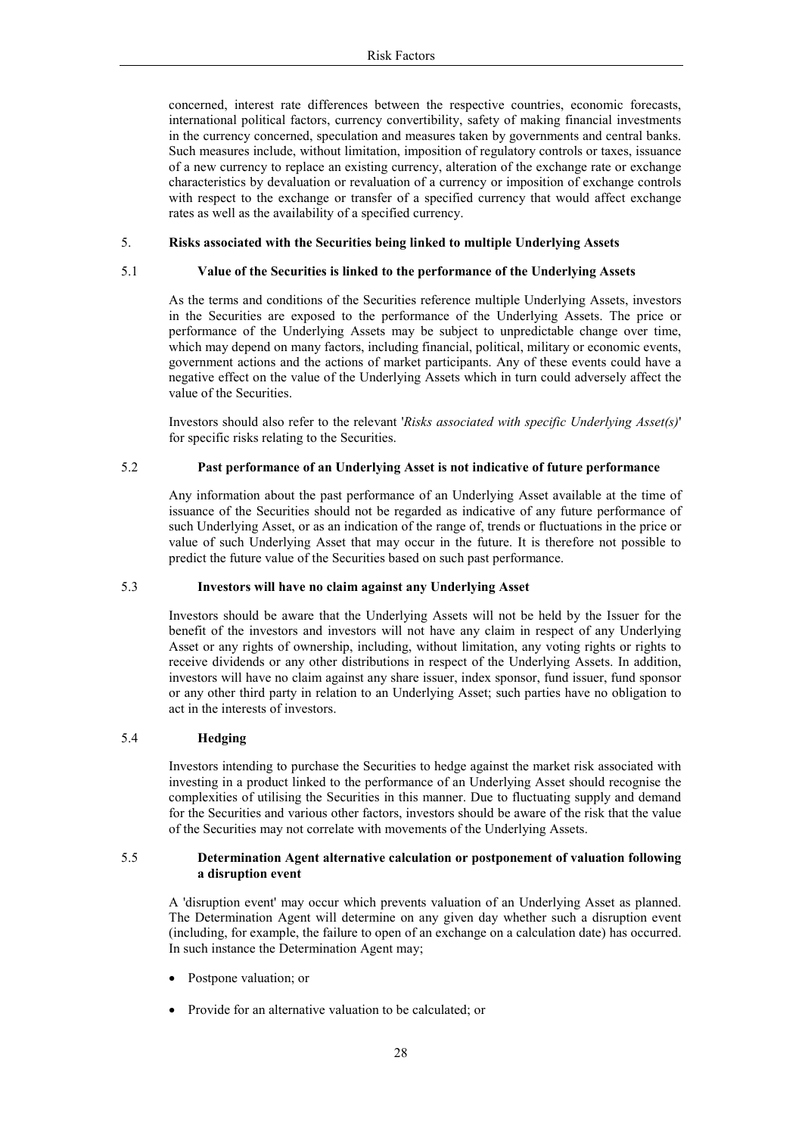concerned, interest rate differences between the respective countries, economic forecasts, international political factors, currency convertibility, safety of making financial investments in the currency concerned, speculation and measures taken by governments and central banks. Such measures include, without limitation, imposition of regulatory controls or taxes, issuance of a new currency to replace an existing currency, alteration of the exchange rate or exchange characteristics by devaluation or revaluation of a currency or imposition of exchange controls with respect to the exchange or transfer of a specified currency that would affect exchange rates as well as the availability of a specified currency.

#### 5. Risks associated with the Securities being linked to multiple Underlying Assets

### Value of the Securities is linked to the performance of the Underlying Assets

As the terms and conditions of the Securities reference multiple Underlying Assets, investors in the Securities are exposed to the performance of the Underlying Assets. The price or performance of the Underlying Assets may be subject to unpredictable change over time, which may depend on many factors, including financial, political, military or economic events, government actions and the actions of market participants. Any of these events could have a negative effect on the value of the Underlying Assets which in turn could adversely affect the value of the Securities.

Investors should also refer to the relevant 'Risks associated with specific Underlying Asset(s)' for specific risks relating to the Securities.

#### Past performance of an Underlying Asset is not indicative of future performance 52

Any information about the past performance of an Underlying Asset available at the time of issuance of the Securities should not be regarded as indicative of any future performance of such Underlying Asset, or as an indication of the range of, trends or fluctuations in the price or value of such Underlying Asset that may occur in the future. It is therefore not possible to predict the future value of the Securities based on such past performance.

#### $53$ Investors will have no claim against any Underlying Asset

Investors should be aware that the Underlying Assets will not be held by the Issuer for the benefit of the investors and investors will not have any claim in respect of any Underlying Asset or any rights of ownership, including, without limitation, any voting rights or rights to receive dividends or any other distributions in respect of the Underlying Assets. In addition, investors will have no claim against any share issuer, index sponsor, fund issuer, fund sponsor or any other third party in relation to an Underlying Asset; such parties have no obligation to act in the interests of investors.

#### Hedging 5.4

 $5.1$ 

Investors intending to purchase the Securities to hedge against the market risk associated with investing in a product linked to the performance of an Underlying Asset should recognise the complexities of utilising the Securities in this manner. Due to fluctuating supply and demand for the Securities and various other factors, investors should be aware of the risk that the value of the Securities may not correlate with movements of the Underlying Assets.

#### 5.5 Determination Agent alternative calculation or postponement of valuation following a disruption event

A 'disruption event' may occur which prevents valuation of an Underlying Asset as planned. The Determination Agent will determine on any given day whether such a disruption event (including, for example, the failure to open of an exchange on a calculation date) has occurred. In such instance the Determination Agent may;

- Postpone valuation; or
- Provide for an alternative valuation to be calculated; or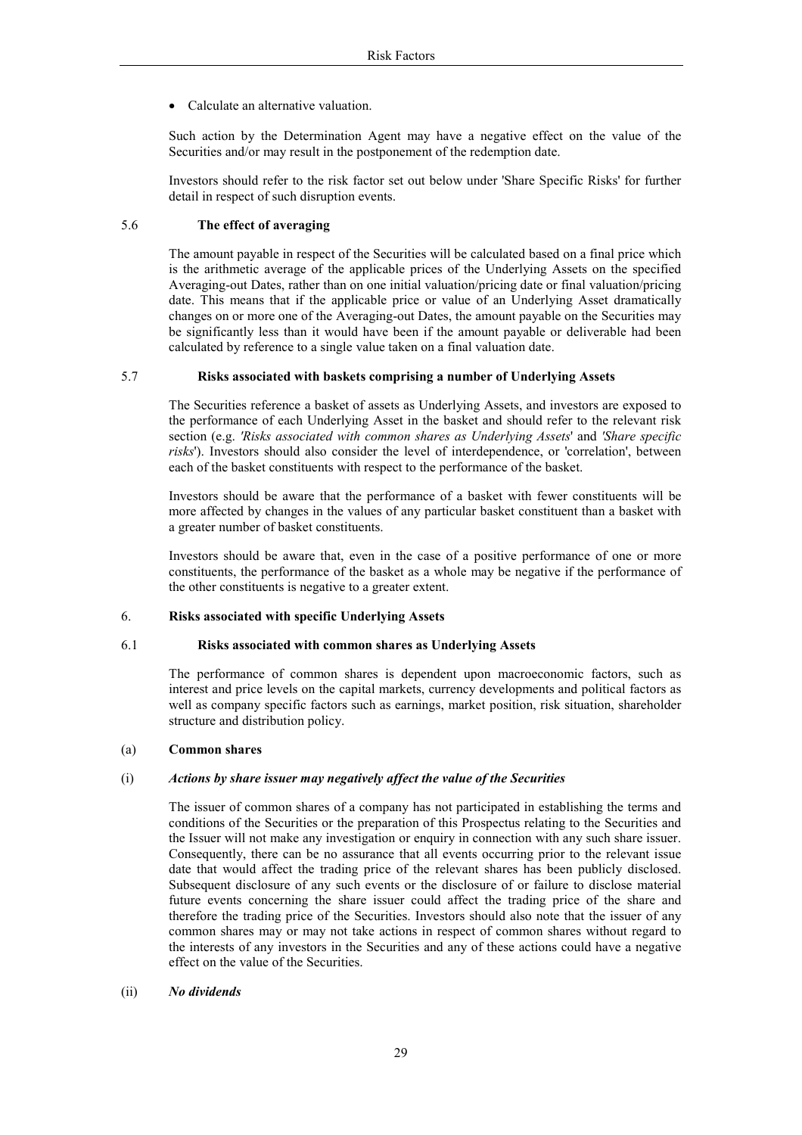• Calculate an alternative valuation.

Such action by the Determination Agent may have a negative effect on the value of the Securities and/or may result in the postponement of the redemption date.

Investors should refer to the risk factor set out below under 'Share Specific Risks' for further detail in respect of such disruption events.

#### 5.6 The effect of averaging

The amount payable in respect of the Securities will be calculated based on a final price which is the arithmetic average of the applicable prices of the Underlying Assets on the specified Averaging-out Dates, rather than on one initial valuation/pricing date or final valuation/pricing date. This means that if the applicable price or value of an Underlying Asset dramatically changes on or more one of the Averaging-out Dates, the amount payable on the Securities may be significantly less than it would have been if the amount payable or deliverable had been calculated by reference to a single value taken on a final valuation date.

#### 5.7 Risks associated with baskets comprising a number of Underlying Assets

The Securities reference a basket of assets as Underlying Assets, and investors are exposed to the performance of each Underlying Asset in the basket and should refer to the relevant risk section (e.g. 'Risks associated with common shares as Underlying Assets' and 'Share specific risks'). Investors should also consider the level of interdependence, or 'correlation', between each of the basket constituents with respect to the performance of the basket.

Investors should be aware that the performance of a basket with fewer constituents will be more affected by changes in the values of any particular basket constituent than a basket with a greater number of basket constituents.

Investors should be aware that, even in the case of a positive performance of one or more constituents, the performance of the basket as a whole may be negative if the performance of the other constituents is negative to a greater extent.

#### 6 **Risks associated with specific Underlying Assets**

#### 61 Risks associated with common shares as Underlying Assets

The performance of common shares is dependent upon macroeconomic factors, such as interest and price levels on the capital markets, currency developments and political factors as well as company specific factors such as earnings, market position, risk situation, shareholder structure and distribution policy.

#### $(a)$ **Common shares**

#### $(i)$ Actions by share issuer may negatively affect the value of the Securities

The issuer of common shares of a company has not participated in establishing the terms and conditions of the Securities or the preparation of this Prospectus relating to the Securities and the Issuer will not make any investigation or enquiry in connection with any such share issuer. Consequently, there can be no assurance that all events occurring prior to the relevant issue date that would affect the trading price of the relevant shares has been publicly disclosed. Subsequent disclosure of any such events or the disclosure of or failure to disclose material future events concerning the share issuer could affect the trading price of the share and therefore the trading price of the Securities. Investors should also note that the issuer of any common shares may or may not take actions in respect of common shares without regard to the interests of any investors in the Securities and any of these actions could have a negative effect on the value of the Securities.

#### $(ii)$ No dividends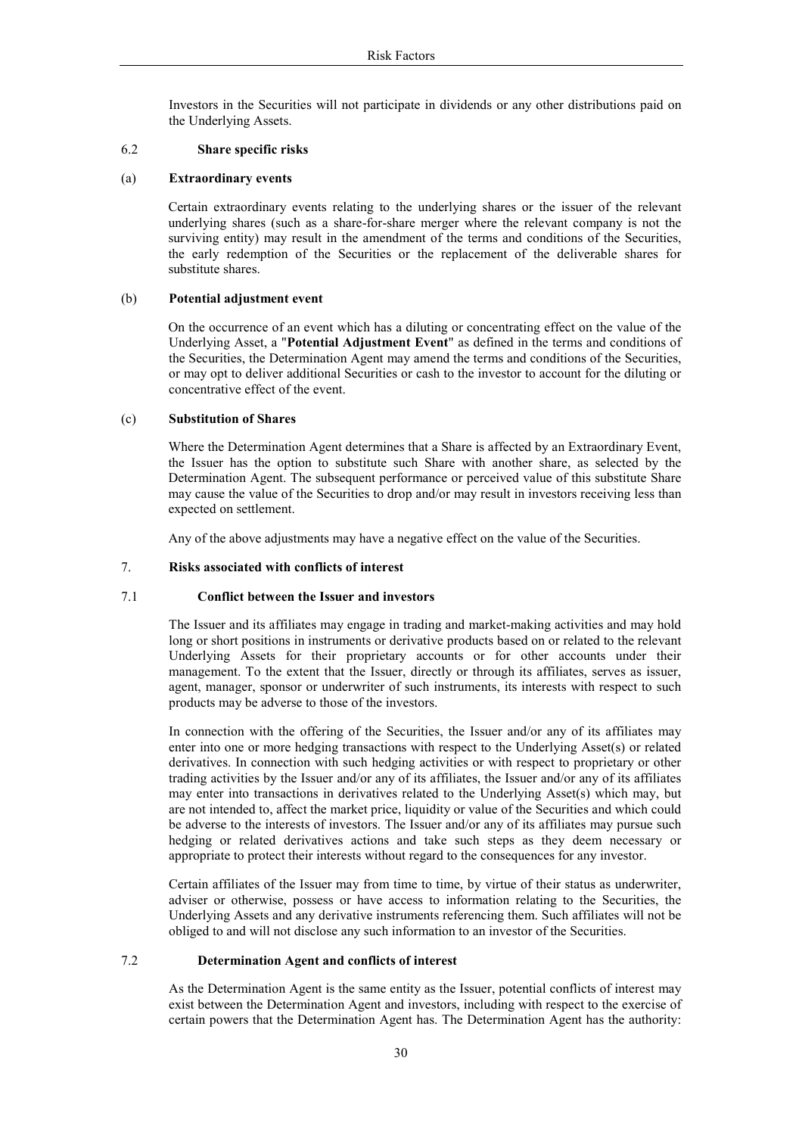Investors in the Securities will not participate in dividends or any other distributions paid on the Underlying Assets.

#### 6.2 Share specific risks

#### $(a)$ **Extraordinary events**

Certain extraordinary events relating to the underlying shares or the issuer of the relevant underlying shares (such as a share-for-share merger where the relevant company is not the surviving entity) may result in the amendment of the terms and conditions of the Securities, the early redemption of the Securities or the replacement of the deliverable shares for substitute shares.

#### $(b)$ Potential adjustment event

On the occurrence of an event which has a diluting or concentrating effect on the value of the Underlying Asset, a "Potential Adjustment Event" as defined in the terms and conditions of the Securities, the Determination Agent may amend the terms and conditions of the Securities, or may opt to deliver additional Securities or cash to the investor to account for the diluting or concentrative effect of the event.

#### $(c)$ **Substitution of Shares**

Where the Determination Agent determines that a Share is affected by an Extraordinary Event, the Issuer has the option to substitute such Share with another share, as selected by the Determination Agent. The subsequent performance or perceived value of this substitute Share may cause the value of the Securities to drop and/or may result in investors receiving less than expected on settlement.

Any of the above adjustments may have a negative effect on the value of the Securities.

#### $7.$ Risks associated with conflicts of interest

#### $7.1$ Conflict between the Issuer and investors

The Issuer and its affiliates may engage in trading and market-making activities and may hold long or short positions in instruments or derivative products based on or related to the relevant Underlying Assets for their proprietary accounts or for other accounts under their management. To the extent that the Issuer, directly or through its affiliates, serves as issuer, agent, manager, sponsor or underwriter of such instruments, its interests with respect to such products may be adverse to those of the investors.

In connection with the offering of the Securities, the Issuer and/or any of its affiliates may enter into one or more hedging transactions with respect to the Underlying Asset(s) or related derivatives. In connection with such hedging activities or with respect to proprietary or other trading activities by the Issuer and/or any of its affiliates, the Issuer and/or any of its affiliates may enter into transactions in derivatives related to the Underlying Asset(s) which may, but are not intended to, affect the market price, liquidity or value of the Securities and which could be adverse to the interests of investors. The Issuer and/or any of its affiliates may pursue such hedging or related derivatives actions and take such steps as they deem necessary or appropriate to protect their interests without regard to the consequences for any investor.

Certain affiliates of the Issuer may from time to time, by virtue of their status as underwriter, adviser or otherwise, possess or have access to information relating to the Securities, the Underlying Assets and any derivative instruments referencing them. Such affiliates will not be obliged to and will not disclose any such information to an investor of the Securities.

#### $7.2$ Determination Agent and conflicts of interest

As the Determination Agent is the same entity as the Issuer, potential conflicts of interest may exist between the Determination Agent and investors, including with respect to the exercise of certain powers that the Determination Agent has. The Determination Agent has the authority: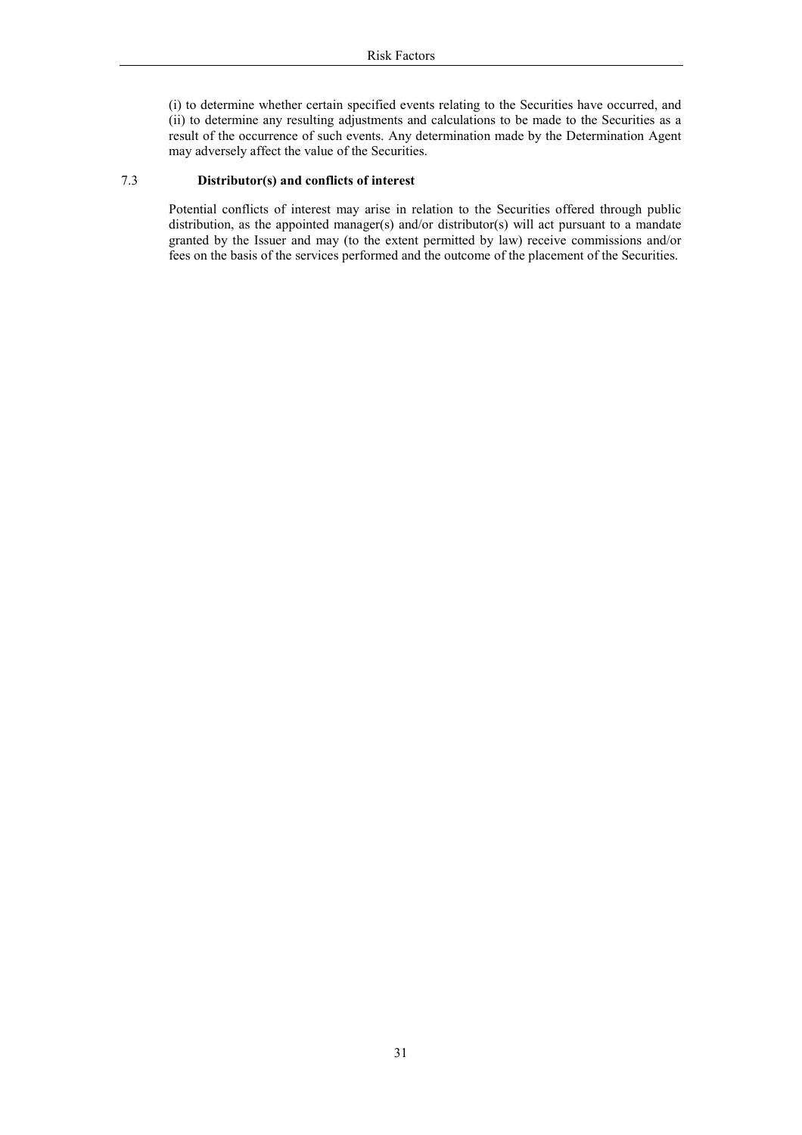(i) to determine whether certain specified events relating to the Securities have occurred, and (ii) to determine any resulting adjustments and calculations to be made to the Securities as a result of the occurrence of such events. Any determination made by the Determination Agent may adversely affect the value of the Securities.

#### $7.3$ Distributor(s) and conflicts of interest

Potential conflicts of interest may arise in relation to the Securities offered through public distribution, as the appointed manager(s) and/or distributor(s) will act pursuant to a mandate granted by the Issuer and may (to the extent permitted by law) receive commissions and/or fees on the basis of the services performed and the outcome of the placement of the Securities.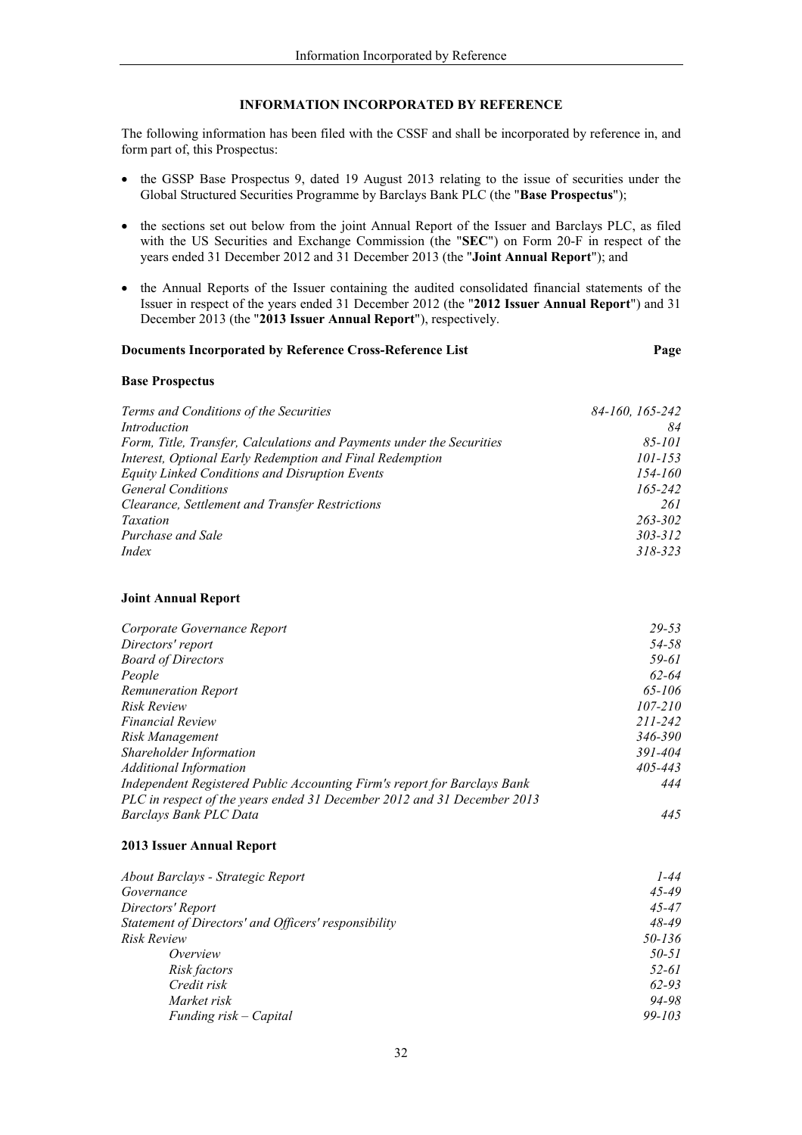## **INFORMATION INCORPORATED BY REFERENCE**

The following information has been filed with the CSSF and shall be incorporated by reference in, and form part of, this Prospectus:

- the GSSP Base Prospectus 9, dated 19 August 2013 relating to the issue of securities under the  $\bullet$ Global Structured Securities Programme by Barclays Bank PLC (the "Base Prospectus");
- the sections set out below from the joint Annual Report of the Issuer and Barclays PLC, as filed with the US Securities and Exchange Commission (the "SEC") on Form 20-F in respect of the years ended 31 December 2012 and 31 December 2013 (the "Joint Annual Report"); and
- the Annual Reports of the Issuer containing the audited consolidated financial statements of the Issuer in respect of the years ended 31 December 2012 (the "2012 Issuer Annual Report") and 31 December 2013 (the "2013 Issuer Annual Report"), respectively.

Page

### Documents Incorporated by Reference Cross-Reference List

## **Base Prospectus**

| Terms and Conditions of the Securities                                | 84-160, 165-242 |
|-----------------------------------------------------------------------|-----------------|
| Introduction                                                          | 84              |
| Form, Title, Transfer, Calculations and Payments under the Securities | $85 - 101$      |
| Interest, Optional Early Redemption and Final Redemption              | $101 - 153$     |
| Equity Linked Conditions and Disruption Events                        | $154 - 160$     |
| <b>General Conditions</b>                                             | 165-242         |
| Clearance, Settlement and Transfer Restrictions                       | 261             |
| Taxation                                                              | 263-302         |
| Purchase and Sale                                                     | $303 - 312$     |
| <i>Index</i>                                                          | 318-323         |

## **Joint Annual Report**

| Corporate Governance Report                                              | $29 - 53$ |
|--------------------------------------------------------------------------|-----------|
| Directors' report                                                        | 54-58     |
| <b>Board of Directors</b>                                                | 59-61     |
| People                                                                   | $62 - 64$ |
| <b>Remuneration Report</b>                                               | 65-106    |
| Risk Review                                                              | 107-210   |
| <b>Financial Review</b>                                                  | 211-242   |
| Risk Management                                                          | 346-390   |
| Shareholder Information                                                  | 391-404   |
| <b>Additional Information</b>                                            | 405-443   |
| Independent Registered Public Accounting Firm's report for Barclays Bank | 444       |
| PLC in respect of the years ended 31 December 2012 and 31 December 2013  |           |
| Barclays Bank PLC Data                                                   | 445       |

#### 2013 Issuer Annual Report

| About Barclays - Strategic Report                    | 1-44       |
|------------------------------------------------------|------------|
| Governance                                           | $45 - 49$  |
| Directors' Report                                    | $45 - 47$  |
| Statement of Directors' and Officers' responsibility | $48 - 49$  |
| <i>Risk Review</i>                                   | 50-136     |
| Overview                                             | 50-51      |
| Risk factors                                         | 52-61      |
| Credit risk                                          | 62-93      |
| Market risk                                          | 94-98      |
| Funding risk – Capital                               | $99 - 103$ |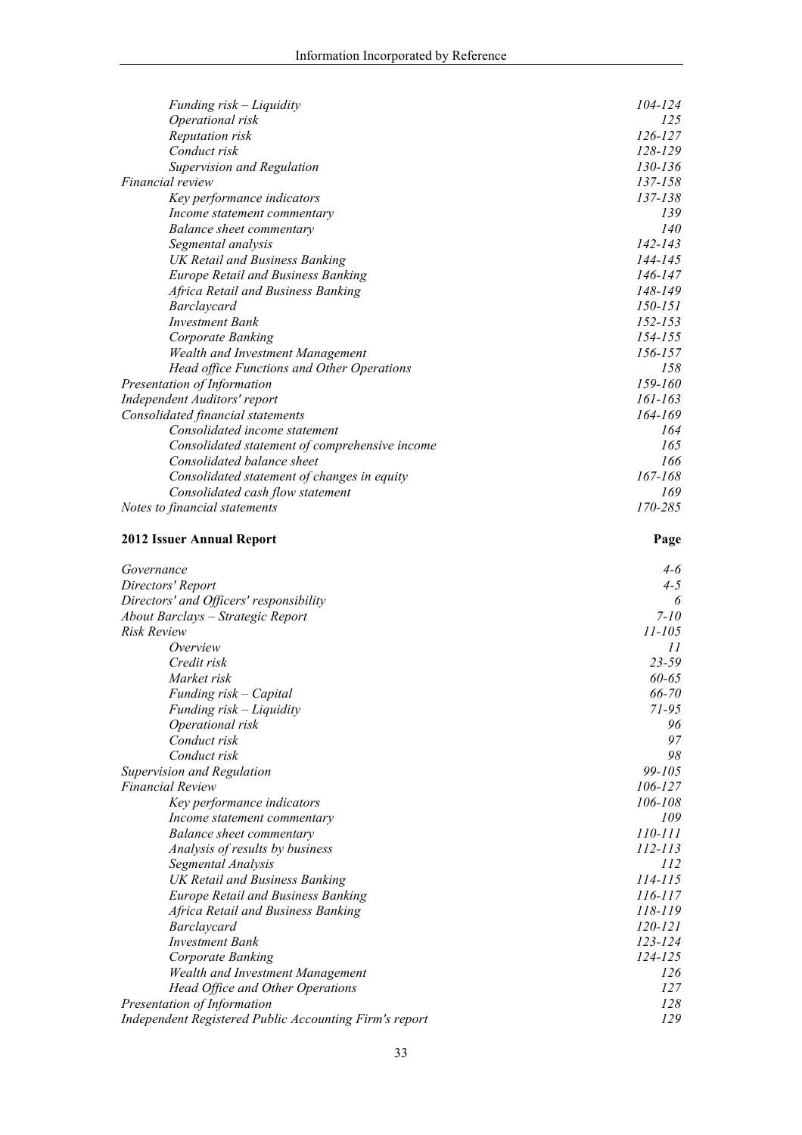| Funding risk – Liquidity                                                           | 104-124                |
|------------------------------------------------------------------------------------|------------------------|
| Operational risk                                                                   | 125                    |
| Reputation risk                                                                    | $126 - 127$            |
| Conduct risk                                                                       | 128-129                |
| Supervision and Regulation                                                         | 130-136                |
| <i>Financial review</i>                                                            | 137-158                |
| Key performance indicators                                                         | 137-138                |
| Income statement commentary                                                        | 139                    |
| Balance sheet commentary                                                           | 140                    |
| Segmental analysis                                                                 | $142 - 143$<br>144-145 |
| <b>UK Retail and Business Banking</b><br><b>Europe Retail and Business Banking</b> | 146-147                |
| Africa Retail and Business Banking                                                 | 148-149                |
| Barclaycard                                                                        | 150-151                |
| <b>Investment Bank</b>                                                             | 152-153                |
| Corporate Banking                                                                  | 154-155                |
| <b>Wealth and Investment Management</b>                                            | 156-157                |
| Head office Functions and Other Operations                                         | 158                    |
| Presentation of Information                                                        | 159-160                |
| Independent Auditors' report                                                       | 161-163                |
| Consolidated financial statements                                                  | 164-169                |
| Consolidated income statement                                                      | 164                    |
| Consolidated statement of comprehensive income                                     | 165                    |
| Consolidated balance sheet                                                         | 166                    |
| Consolidated statement of changes in equity                                        | 167-168                |
| Consolidated cash flow statement                                                   | 169                    |
| Notes to financial statements                                                      | 170-285                |
| <b>2012 Issuer Annual Report</b>                                                   | Page                   |
|                                                                                    |                        |
|                                                                                    | 4-6                    |
| Governance                                                                         |                        |
| Directors' Report                                                                  | $4 - 5$<br>6           |
| Directors' and Officers' responsibility<br>About Barclays - Strategic Report       | $7 - 10$               |
| <b>Risk Review</b>                                                                 | $11 - 105$             |
| Overview                                                                           | 11                     |
| Credit risk                                                                        | $23 - 59$              |
| Market risk                                                                        | $60 - 65$              |
| Funding risk – Capital                                                             | 66-70                  |
| Funding risk – Liquidity                                                           | 71-95                  |
| Operational risk                                                                   | 96                     |
| Conduct risk                                                                       | 97                     |
| Conduct risk                                                                       | 98                     |
| Supervision and Regulation                                                         | 99-105                 |
| <b>Financial Review</b>                                                            | 106-127                |
| Key performance indicators                                                         | 106-108                |
| Income statement commentary                                                        | 109                    |
| Balance sheet commentary                                                           | 110-111                |
| Analysis of results by business                                                    | 112-113                |
| Segmental Analysis                                                                 | 112                    |
| UK Retail and Business Banking                                                     | 114-115                |
| <b>Europe Retail and Business Banking</b>                                          | 116-117                |
| Africa Retail and Business Banking                                                 | 118-119                |
| Barclaycard                                                                        | 120-121                |
| <b>Investment Bank</b>                                                             | 123-124                |
| Corporate Banking                                                                  | 124-125<br>126         |
| <b>Wealth and Investment Management</b>                                            | 127                    |
| Head Office and Other Operations<br>Presentation of Information                    | 128                    |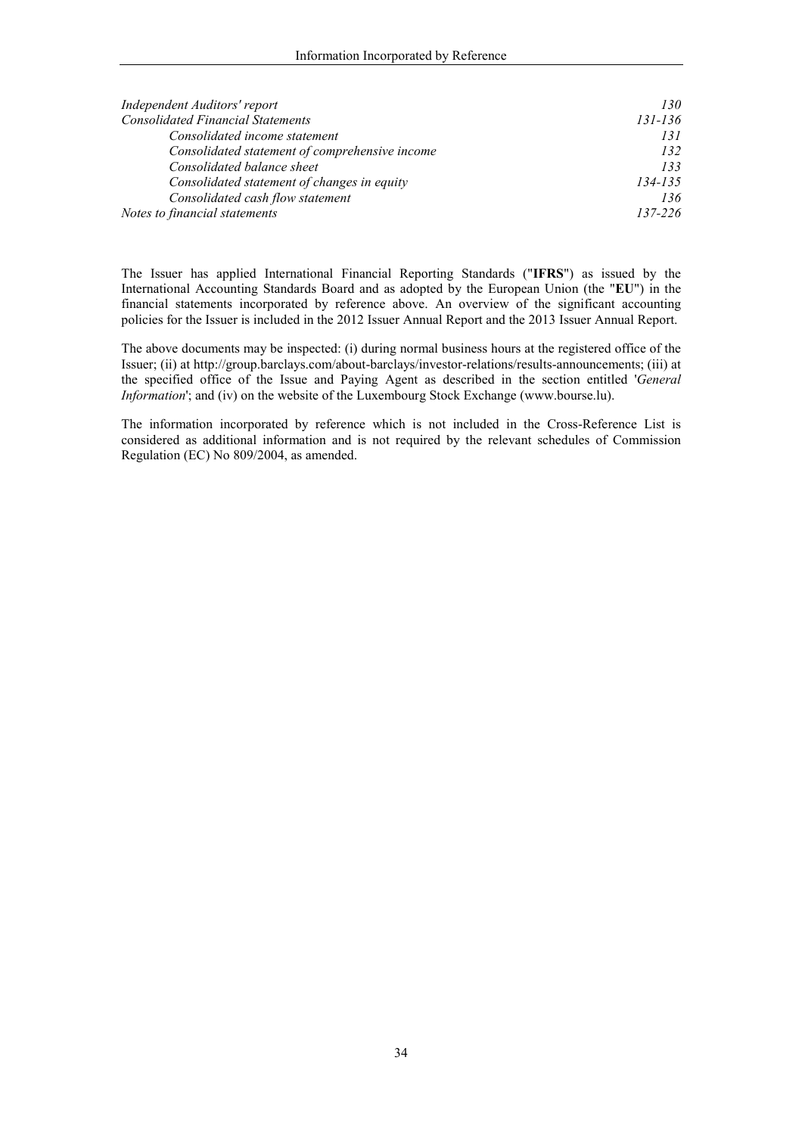| Independent Auditors' report                   | 130         |
|------------------------------------------------|-------------|
| <b>Consolidated Financial Statements</b>       | $131 - 136$ |
| Consolidated income statement                  | 131         |
| Consolidated statement of comprehensive income | 132         |
| Consolidated balance sheet                     | 133         |
| Consolidated statement of changes in equity    | $134 - 135$ |
| Consolidated cash flow statement               | 136         |
| Notes to financial statements                  | 137-226     |

The Issuer has applied International Financial Reporting Standards ("IFRS") as issued by the International Accounting Standards Board and as adopted by the European Union (the "EU") in the financial statements incorporated by reference above. An overview of the significant accounting policies for the Issuer is included in the 2012 Issuer Annual Report and the 2013 Issuer Annual Report.

The above documents may be inspected: (i) during normal business hours at the registered office of the Issuer; (ii) at http://group.barclays.com/about-barclays/investor-relations/results-announcements; (iii) at the specified office of the Issue and Paying Agent as described in the section entitled 'General Information'; and (iv) on the website of the Luxembourg Stock Exchange (www.bourse.lu).

The information incorporated by reference which is not included in the Cross-Reference List is considered as additional information and is not required by the relevant schedules of Commission Regulation (EC) No 809/2004, as amended.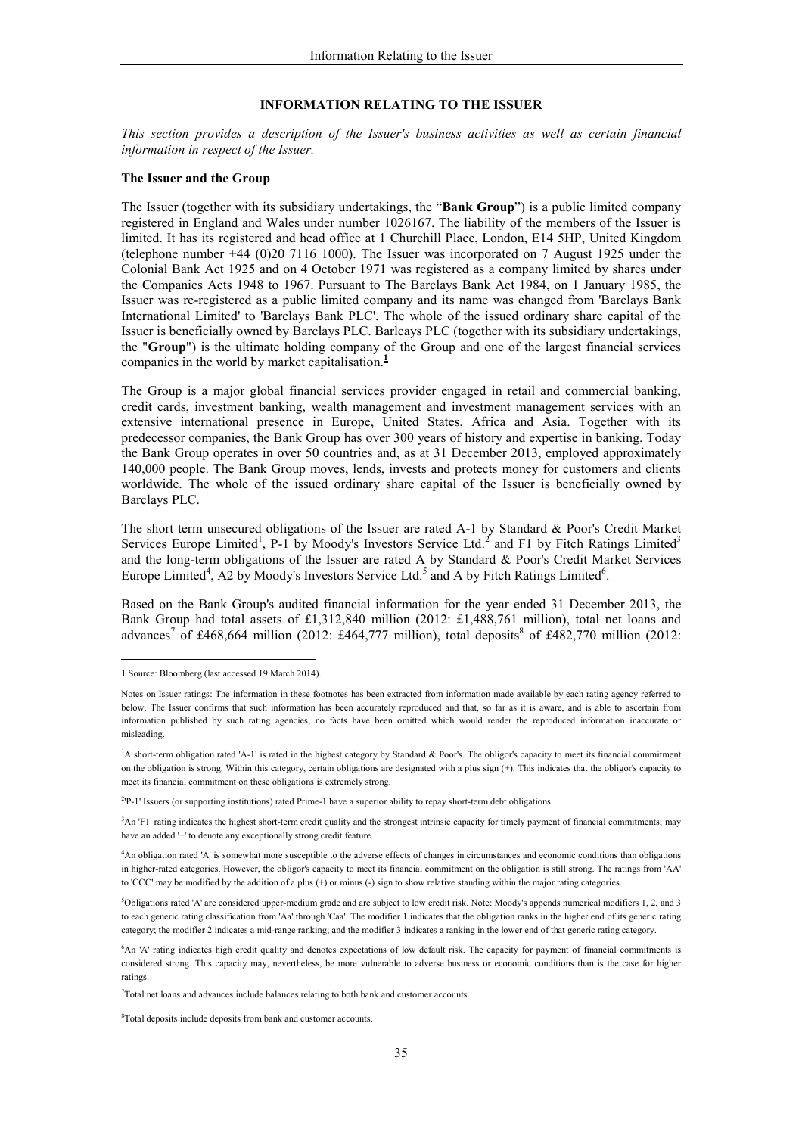#### **INFORMATION RELATING TO THE ISSUER**

This section provides a description of the Issuer's business activities as well as certain financial information in respect of the Issuer.

#### The Issuer and the Group

The Issuer (together with its subsidiary undertakings, the "**Bank Group**") is a public limited company registered in England and Wales under number 1026167. The liability of the members of the Issuer is limited. It has its registered and head office at 1 Churchill Place, London, E14 5HP, United Kingdom (telephone number  $+44$  (0)20 7116 1000). The Issuer was incorporated on 7 August 1925 under the Colonial Bank Act 1925 and on 4 October 1971 was registered as a company limited by shares under the Companies Acts 1948 to 1967. Pursuant to The Barclays Bank Act 1984, on 1 January 1985, the Issuer was re-registered as a public limited company and its name was changed from 'Barclays Bank International Limited' to 'Barclays Bank PLC'. The whole of the issued ordinary share capital of the Issuer is beneficially owned by Barclays PLC. Barlcays PLC (together with its subsidiary undertakings, the "Group") is the ultimate holding company of the Group and one of the largest financial services companies in the world by market capitalisation. $\frac{1}{2}$ 

The Group is a major global financial services provider engaged in retail and commercial banking, credit cards, investment banking, wealth management and investment management services with an extensive international presence in Europe, United States, Africa and Asia. Together with its predecessor companies, the Bank Group has over 300 years of history and expertise in banking. Today the Bank Group operates in over 50 countries and, as at 31 December 2013, employed approximately 140,000 people. The Bank Group moves, lends, invests and protects money for customers and clients worldwide. The whole of the issued ordinary share capital of the Issuer is beneficially owned by Barclays PLC.

The short term unsecured obligations of the Issuer are rated A-1 by Standard & Poor's Credit Market Services Europe Limited<sup>1</sup>, P-1 by Moody's Investors Service Ltd.<sup>2</sup> and F1 by Fitch Ratings Limited<sup>3</sup> and the long-term obligations of the Issuer are rated A by Standard & Poor's Credit Market Services Europe Limited<sup>4</sup>, A2 by Moody's Investors Service Ltd.<sup>5</sup> and A by Fitch Ratings Limited<sup>6</sup>.

Based on the Bank Group's audited financial information for the year ended 31 December 2013, the Bank Group had total assets of £1,312,840 million (2012: £1,488,761 million), total net loans and advances<sup>7</sup> of £468,664 million (2012: £464,777 million), total deposits<sup>8</sup> of £482,770 million (2012:

<sup>2</sup>P-1' Issuers (or supporting institutions) rated Prime-1 have a superior ability to repay short-term debt obligations.

<sup>3</sup>An 'F1' rating indicates the highest short-term credit quality and the strongest intrinsic capacity for timely payment of financial commitments; may have an added '+' to denote any exceptionally strong credit feature.

<sup>1</sup> Source: Bloomberg (last accessed 19 March 2014).

Notes on Issuer ratings: The information in these footnotes has been extracted from information made available by each rating agency referred to below. The Issuer confirms that such information has been accurately reproduced and that, so far as it is aware, and is able to ascertain from information published by such rating agencies, no facts have been omitted which would render the reproduced information inaccurate or misleading.

<sup>&</sup>lt;sup>1</sup>A short-term obligation rated 'A-1' is rated in the highest category by Standard & Poor's. The obligor's capacity to meet its financial commitment on the obligation is strong. Within this category, certain obligations are designated with a plus sign (+). This indicates that the obligor's capacity to meet its financial commitment on these obligations is extremely strong.

<sup>&</sup>lt;sup>4</sup>An obligation rated 'A' is somewhat more susceptible to the adverse effects of changes in circumstances and economic conditions than obligations in higher-rated categories. However, the obligor's capacity to meet its financial commitment on the obligation is still strong. The ratings from 'AA' to 'CCC' may be modified by the addition of a plus  $(+)$  or minus  $(.)$  sign to show relative standing within the major rating categories.

<sup>&</sup>lt;sup>5</sup>Obligations rated 'A' are considered upper-medium grade and are subject to low credit risk. Note: Moody's appends numerical modifiers 1, 2, and 3 to each generic rating classification from 'Aa' through 'Caa'. The modifier 1 indicates that the obligation ranks in the higher end of its generic rating category; the modifier 2 indicates a mid-range ranking; and the modifier 3 indicates a ranking in the lower end of that generic rating category.

<sup>&</sup>lt;sup>6</sup>An 'A' rating indicates high credit quality and denotes expectations of low default risk. The capacity for payment of financial commitments is considered strong. This capacity may, nevertheless, be more vulnerable to adverse business or economic conditions than is the case for higher ratings.

<sup>&</sup>lt;sup>7</sup>Total net loans and advances include balances relating to both bank and customer accounts.

<sup>&</sup>lt;sup>8</sup>Total deposits include deposits from bank and customer accounts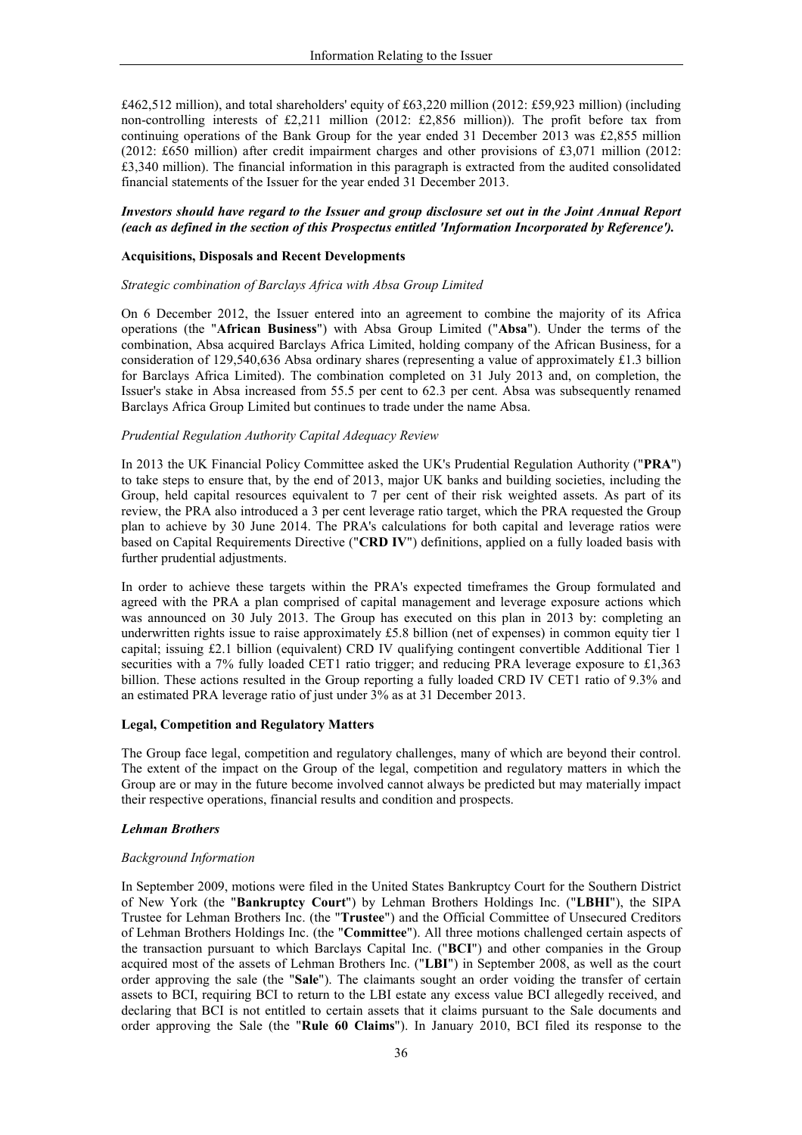£462,512 million), and total shareholders' equity of £63,220 million (2012: £59,923 million) (including non-controlling interests of £2,211 million (2012: £2,856 million)). The profit before tax from continuing operations of the Bank Group for the year ended 31 December 2013 was £2,855 million  $(2012; \text{\pounds}650 \text{ million})$  after credit impairment charges and other provisions of £3,071 million (2012) £3,340 million). The financial information in this paragraph is extracted from the audited consolidated financial statements of the Issuer for the year ended 31 December 2013.

### Investors should have regard to the Issuer and group disclosure set out in the Joint Annual Report (each as defined in the section of this Prospectus entitled 'Information Incorporated by Reference').

### **Acquisitions, Disposals and Recent Developments**

#### Strategic combination of Barclays Africa with Absa Group Limited

On 6 December 2012, the Issuer entered into an agreement to combine the majority of its Africa operations (the "African Business") with Absa Group Limited ("Absa"). Under the terms of the combination, Absa acquired Barclays Africa Limited, holding company of the African Business, for a consideration of 129,540,636 Absa ordinary shares (representing a value of approximately £1.3 billion for Barclays Africa Limited). The combination completed on 31 July 2013 and, on completion, the Issuer's stake in Absa increased from 55.5 per cent to 62.3 per cent. Absa was subsequently renamed Barclays Africa Group Limited but continues to trade under the name Absa.

### Prudential Regulation Authority Capital Adequacy Review

In 2013 the UK Financial Policy Committee asked the UK's Prudential Regulation Authority ("PRA") to take steps to ensure that, by the end of 2013, major UK banks and building societies, including the Group, held capital resources equivalent to 7 per cent of their risk weighted assets. As part of its review, the PRA also introduced a 3 per cent leverage ratio target, which the PRA requested the Group plan to achieve by 30 June 2014. The PRA's calculations for both capital and leverage ratios were based on Capital Requirements Directive ("CRD IV") definitions, applied on a fully loaded basis with further prudential adjustments.

In order to achieve these targets within the PRA's expected timeframes the Group formulated and agreed with the PRA a plan comprised of capital management and leverage exposure actions which was announced on 30 July 2013. The Group has executed on this plan in 2013 by: completing an underwritten rights issue to raise approximately £5.8 billion (net of expenses) in common equity tier 1 capital; issuing £2.1 billion (equivalent) CRD IV qualifying contingent convertible Additional Tier 1 securities with a 7% fully loaded CET1 ratio trigger; and reducing PRA leverage exposure to £1,363 billion. These actions resulted in the Group reporting a fully loaded CRD IV CET1 ratio of 9.3% and an estimated PRA leverage ratio of just under 3% as at 31 December 2013.

### **Legal, Competition and Regulatory Matters**

The Group face legal, competition and regulatory challenges, many of which are beyond their control. The extent of the impact on the Group of the legal, competition and regulatory matters in which the Group are or may in the future become involved cannot always be predicted but may materially impact their respective operations, financial results and condition and prospects.

### **Lehman Brothers**

### **Background Information**

In September 2009, motions were filed in the United States Bankruptcy Court for the Southern District of New York (the "Bankruptcy Court") by Lehman Brothers Holdings Inc. ("LBHI"), the SIPA Trustee for Lehman Brothers Inc. (the "Trustee") and the Official Committee of Unsecured Creditors of Lehman Brothers Holdings Inc. (the "Committee"). All three motions challenged certain aspects of the transaction pursuant to which Barclays Capital Inc. ("BCI") and other companies in the Group acquired most of the assets of Lehman Brothers Inc. ("LBI") in September 2008, as well as the court order approving the sale (the "Sale"). The claimants sought an order voiding the transfer of certain assets to BCI, requiring BCI to return to the LBI estate any excess value BCI allegedly received, and declaring that BCI is not entitled to certain assets that it claims pursuant to the Sale documents and order approving the Sale (the "Rule 60 Claims"). In January 2010, BCI filed its response to the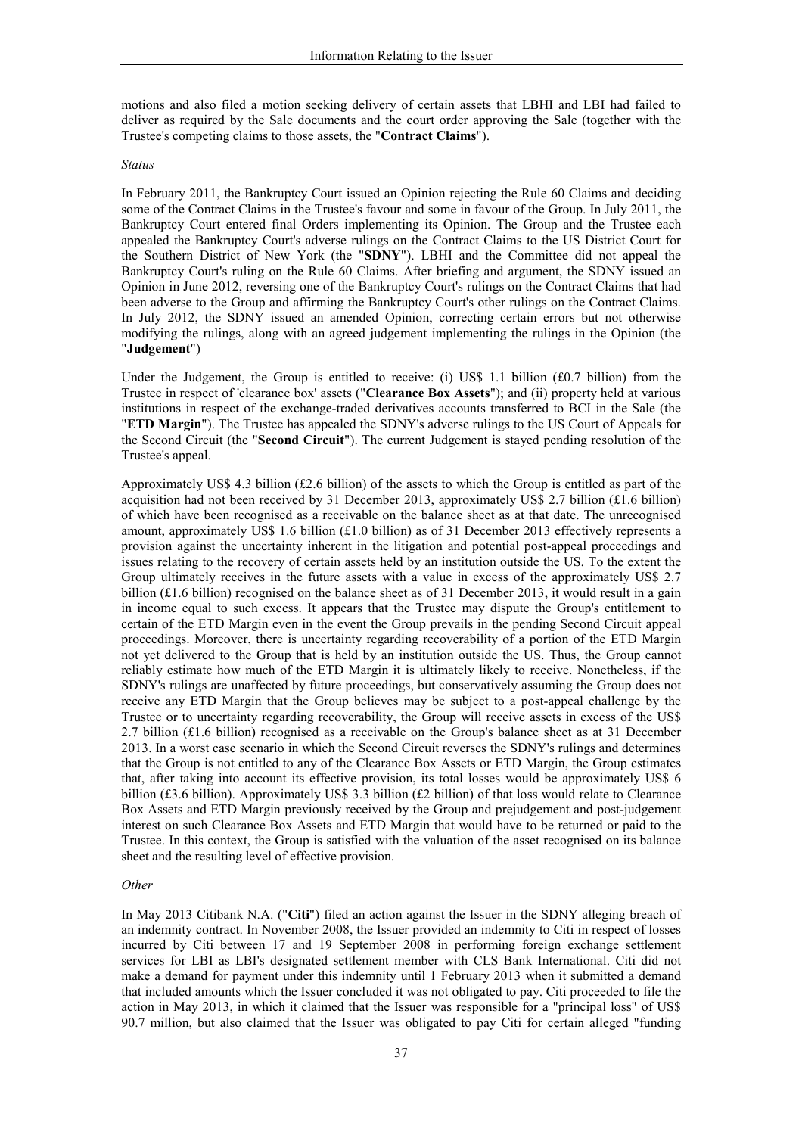motions and also filed a motion seeking delivery of certain assets that LBHI and LBI had failed to deliver as required by the Sale documents and the court order approving the Sale (together with the Trustee's competing claims to those assets, the "Contract Claims").

#### **Status**

In February 2011, the Bankruptcy Court issued an Opinion rejecting the Rule 60 Claims and deciding some of the Contract Claims in the Trustee's favour and some in favour of the Group. In July 2011, the Bankruptcy Court entered final Orders implementing its Opinion. The Group and the Trustee each appealed the Bankruptcy Court's adverse rulings on the Contract Claims to the US District Court for the Southern District of New York (the "SDNY"). LBHI and the Committee did not appeal the Bankruptcy Court's ruling on the Rule 60 Claims. After briefing and argument, the SDNY issued an Opinion in June 2012, reversing one of the Bankruptcy Court's rulings on the Contract Claims that had been adverse to the Group and affirming the Bankruptcy Court's other rulings on the Contract Claims. In July 2012, the SDNY issued an amended Opinion, correcting certain errors but not otherwise modifying the rulings, along with an agreed judgement implementing the rulings in the Opinion (the "Judgement")

Under the Judgement, the Group is entitled to receive: (i) US\$ 1.1 billion  $(f0.7)$  billion) from the Trustee in respect of 'clearance box' assets ("Clearance Box Assets"); and (ii) property held at various institutions in respect of the exchange-traded derivatives accounts transferred to BCI in the Sale (the "ETD Margin"). The Trustee has appealed the SDNY's adverse rulings to the US Court of Appeals for the Second Circuit (the "Second Circuit"). The current Judgement is stayed pending resolution of the Trustee's appeal.

Approximately US\$ 4.3 billion  $(f2.6)$  billion) of the assets to which the Group is entitled as part of the acquisition had not been received by 31 December 2013, approximately US\$ 2.7 billion  $(f1.6)$  billion) of which have been recognised as a receivable on the balance sheet as at that date. The unrecognised amount, approximately US\$ 1.6 billion  $(£1.0$  billion) as of 31 December 2013 effectively represents a provision against the uncertainty inherent in the litigation and potential post-appeal proceedings and issues relating to the recovery of certain assets held by an institution outside the US. To the extent the Group ultimately receives in the future assets with a value in excess of the approximately US\$ 2.7 billion (£1.6 billion) recognised on the balance sheet as of 31 December 2013, it would result in a gain in income equal to such excess. It appears that the Trustee may dispute the Group's entitlement to certain of the ETD Margin even in the event the Group prevails in the pending Second Circuit appeal proceedings. Moreover, there is uncertainty regarding recoverability of a portion of the ETD Margin not yet delivered to the Group that is held by an institution outside the US. Thus, the Group cannot reliably estimate how much of the ETD Margin it is ultimately likely to receive. Nonetheless, if the SDNY's rulings are unaffected by future proceedings, but conservatively assuming the Group does not receive any ETD Margin that the Group believes may be subject to a post-appeal challenge by the Trustee or to uncertainty regarding recoverability, the Group will receive assets in excess of the US\$ 2.7 billion (£1.6 billion) recognised as a receivable on the Group's balance sheet as at 31 December 2013. In a worst case scenario in which the Second Circuit reverses the SDNY's rulings and determines that the Group is not entitled to any of the Clearance Box Assets or ETD Margin, the Group estimates that, after taking into account its effective provision, its total losses would be approximately US\$ 6 billion (£3.6 billion). Approximately US\$ 3.3 billion (£2 billion) of that loss would relate to Clearance Box Assets and ETD Margin previously received by the Group and prejudgement and post-judgement interest on such Clearance Box Assets and ETD Margin that would have to be returned or paid to the Trustee. In this context, the Group is satisfied with the valuation of the asset recognised on its balance sheet and the resulting level of effective provision.

### Other

In May 2013 Citibank N.A. ("Citi") filed an action against the Issuer in the SDNY alleging breach of an indemnity contract. In November 2008, the Issuer provided an indemnity to Citi in respect of losses incurred by Citi between 17 and 19 September 2008 in performing foreign exchange settlement services for LBI as LBI's designated settlement member with CLS Bank International. Citi did not make a demand for payment under this indemnity until 1 February 2013 when it submitted a demand that included amounts which the Issuer concluded it was not obligated to pay. Citi proceeded to file the action in May 2013, in which it claimed that the Issuer was responsible for a "principal loss" of US\$ 90.7 million, but also claimed that the Issuer was obligated to pay Citi for certain alleged "funding"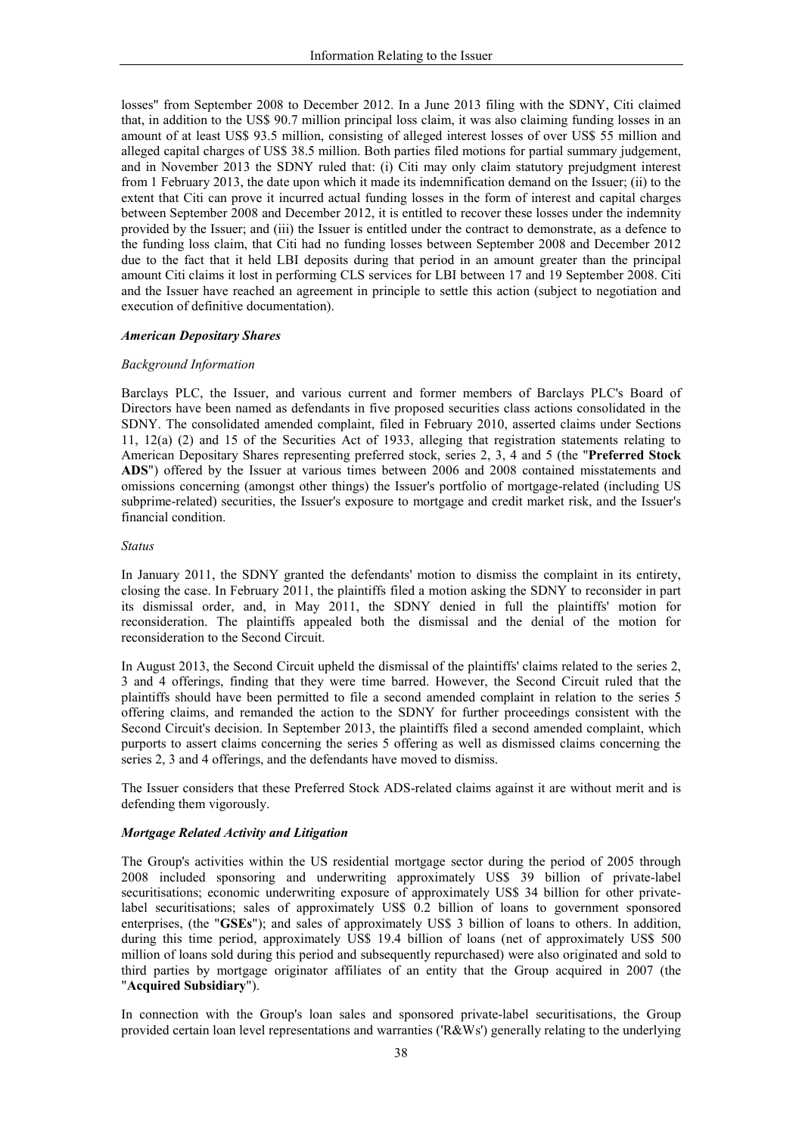losses" from September 2008 to December 2012. In a June 2013 filing with the SDNY, Citi claimed that, in addition to the US\$ 90.7 million principal loss claim, it was also claiming funding losses in an amount of at least US\$ 93.5 million, consisting of alleged interest losses of over US\$ 55 million and alleged capital charges of US\$ 38.5 million. Both parties filed motions for partial summary judgement, and in November 2013 the SDNY ruled that: (i) Citi may only claim statutory prejudgment interest from 1 February 2013, the date upon which it made its indemnification demand on the Issuer; (ii) to the extent that Citi can prove it incurred actual funding losses in the form of interest and capital charges between September 2008 and December 2012, it is entitled to recover these losses under the indemnity provided by the Issuer; and (iii) the Issuer is entitled under the contract to demonstrate, as a defence to the funding loss claim, that Citi had no funding losses between September 2008 and December 2012 due to the fact that it held LBI deposits during that period in an amount greater than the principal amount Citi claims it lost in performing CLS services for LBI between 17 and 19 September 2008. Citi and the Issuer have reached an agreement in principle to settle this action (subject to negotiation and execution of definitive documentation).

### **American Depositary Shares**

#### **Background Information**

Barclays PLC, the Issuer, and various current and former members of Barclays PLC's Board of Directors have been named as defendants in five proposed securities class actions consolidated in the SDNY. The consolidated amended complaint, filed in February 2010, asserted claims under Sections 11, 12(a) (2) and 15 of the Securities Act of 1933, alleging that registration statements relating to American Depositary Shares representing preferred stock, series 2, 3, 4 and 5 (the "Preferred Stock ADS") offered by the Issuer at various times between 2006 and 2008 contained misstatements and omissions concerning (amongst other things) the Issuer's portfolio of mortgage-related (including US subprime-related) securities, the Issuer's exposure to mortgage and credit market risk, and the Issuer's financial condition

#### **Status**

In January 2011, the SDNY granted the defendants' motion to dismiss the complaint in its entirety, closing the case. In February 2011, the plaintiffs filed a motion asking the SDNY to reconsider in part its dismissal order, and, in May 2011, the SDNY denied in full the plaintiffs' motion for reconsideration. The plaintiffs appealed both the dismissal and the denial of the motion for reconsideration to the Second Circuit.

In August 2013, the Second Circuit upheld the dismissal of the plaintiffs' claims related to the series 2, 3 and 4 offerings, finding that they were time barred. However, the Second Circuit ruled that the plaintiffs should have been permitted to file a second amended complaint in relation to the series 5 offering claims, and remanded the action to the SDNY for further proceedings consistent with the Second Circuit's decision. In September 2013, the plaintiffs filed a second amended complaint, which purports to assert claims concerning the series 5 offering as well as dismissed claims concerning the series 2, 3 and 4 offerings, and the defendants have moved to dismiss.

The Issuer considers that these Preferred Stock ADS-related claims against it are without merit and is defending them vigorously.

## Mortgage Related Activity and Litigation

The Group's activities within the US residential mortgage sector during the period of 2005 through 2008 included sponsoring and underwriting approximately US\$ 39 billion of private-label securitisations; economic underwriting exposure of approximately US\$ 34 billion for other privatelabel securitisations; sales of approximately US\$ 0.2 billion of loans to government sponsored enterprises, (the "GSEs"); and sales of approximately US\$ 3 billion of loans to others. In addition, during this time period, approximately US\$ 19.4 billion of loans (net of approximately US\$ 500 million of loans sold during this period and subsequently repurchased) were also originated and sold to third parties by mortgage originator affiliates of an entity that the Group acquired in 2007 (the "Acquired Subsidiary").

In connection with the Group's loan sales and sponsored private-label securitisations, the Group provided certain loan level representations and warranties ('R&Ws') generally relating to the underlying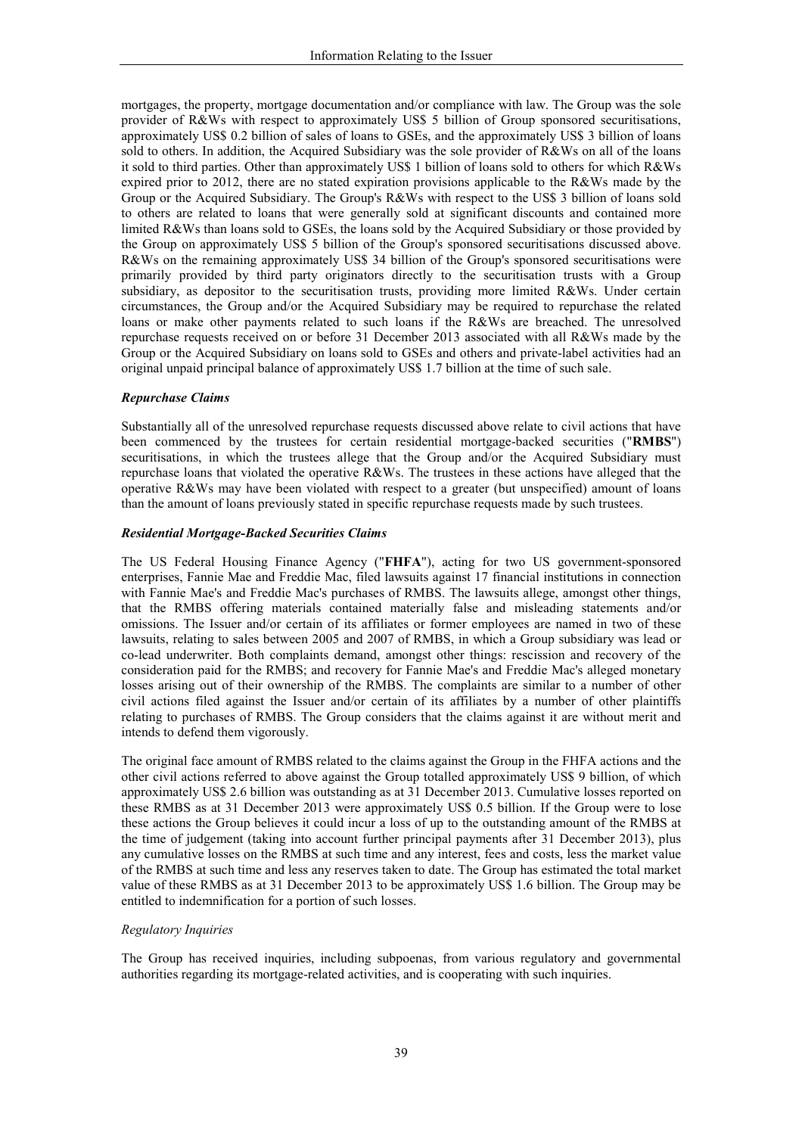mortgages, the property, mortgage documentation and/or compliance with law. The Group was the sole provider of R&Ws with respect to approximately US\$ 5 billion of Group sponsored securitisations, approximately US\$ 0.2 billion of sales of loans to GSEs, and the approximately US\$ 3 billion of loans sold to others. In addition, the Acquired Subsidiary was the sole provider of R&Ws on all of the loans it sold to third parties. Other than approximately US\$ 1 billion of loans sold to others for which R&Ws expired prior to 2012, there are no stated expiration provisions applicable to the R&Ws made by the Group or the Acquired Subsidiary. The Group's R&Ws with respect to the US\$ 3 billion of loans sold to others are related to loans that were generally sold at significant discounts and contained more limited R&Ws than loans sold to GSEs, the loans sold by the Acquired Subsidiary or those provided by the Group on approximately US\$ 5 billion of the Group's sponsored securitisations discussed above. R&Ws on the remaining approximately US\$ 34 billion of the Group's sponsored securitisations were primarily provided by third party originators directly to the securitisation trusts with a Group subsidiary, as depositor to the securitisation trusts, providing more limited R&Ws. Under certain circumstances, the Group and/or the Acquired Subsidiary may be required to repurchase the related loans or make other payments related to such loans if the R&Ws are breached. The unresolved repurchase requests received on or before 31 December 2013 associated with all R&Ws made by the Group or the Acquired Subsidiary on loans sold to GSEs and others and private-label activities had an original unpaid principal balance of approximately US\$ 1.7 billion at the time of such sale.

### **Repurchase Claims**

Substantially all of the unresolved repurchase requests discussed above relate to civil actions that have been commenced by the trustees for certain residential mortgage-backed securities ("RMBS") securitisations, in which the trustees allege that the Group and/or the Acquired Subsidiary must repurchase loans that violated the operative R&Ws. The trustees in these actions have alleged that the operative R&Ws may have been violated with respect to a greater (but unspecified) amount of loans than the amount of loans previously stated in specific repurchase requests made by such trustees.

### **Residential Mortgage-Backed Securities Claims**

The US Federal Housing Finance Agency ("FHFA"), acting for two US government-sponsored enterprises, Fannie Mae and Freddie Mac, filed lawsuits against 17 financial institutions in connection with Fannie Mae's and Freddie Mac's purchases of RMBS. The lawsuits allege, amongst other things, that the RMBS offering materials contained materially false and misleading statements and/or omissions. The Issuer and/or certain of its affiliates or former employees are named in two of these lawsuits, relating to sales between 2005 and 2007 of RMBS, in which a Group subsidiary was lead or co-lead underwriter. Both complaints demand, amongst other things: rescission and recovery of the consideration paid for the RMBS; and recovery for Fannie Mae's and Freddie Mac's alleged monetary losses arising out of their ownership of the RMBS. The complaints are similar to a number of other civil actions filed against the Issuer and/or certain of its affiliates by a number of other plaintiffs relating to purchases of RMBS. The Group considers that the claims against it are without merit and intends to defend them vigorously.

The original face amount of RMBS related to the claims against the Group in the FHFA actions and the other civil actions referred to above against the Group totalled approximately US\$ 9 billion, of which approximately US\$ 2.6 billion was outstanding as at 31 December 2013. Cumulative losses reported on these RMBS as at 31 December 2013 were approximately US\$ 0.5 billion. If the Group were to lose these actions the Group believes it could incur a loss of up to the outstanding amount of the RMBS at the time of judgement (taking into account further principal payments after 31 December 2013), plus any cumulative losses on the RMBS at such time and any interest, fees and costs, less the market value of the RMBS at such time and less any reserves taken to date. The Group has estimated the total market value of these RMBS as at 31 December 2013 to be approximately US\$ 1.6 billion. The Group may be entitled to indemnification for a portion of such losses.

### **Regulatory Inquiries**

The Group has received inquiries, including subpoenas, from various regulatory and governmental authorities regarding its mortgage-related activities, and is cooperating with such inquiries.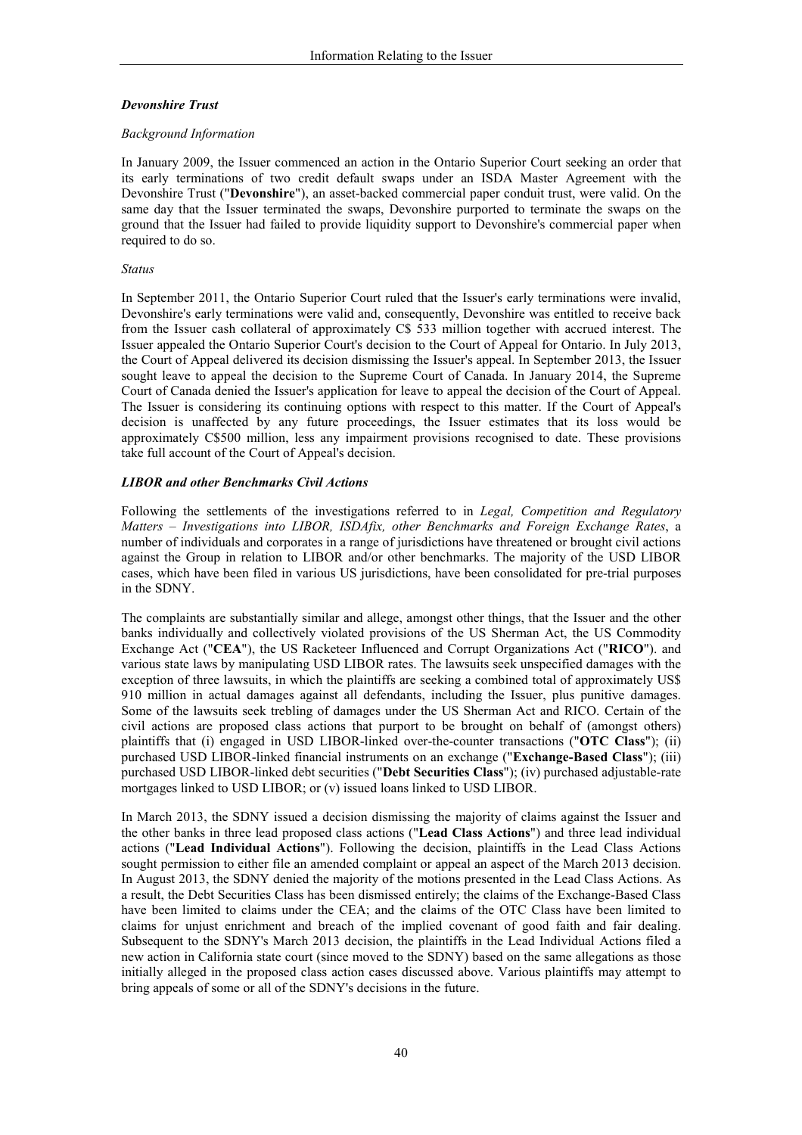## **Devonshire Trust**

### **Background Information**

In January 2009, the Issuer commenced an action in the Ontario Superior Court seeking an order that its early terminations of two credit default swaps under an ISDA Master Agreement with the Devonshire Trust ("Devonshire"), an asset-backed commercial paper conduit trust, were valid. On the same day that the Issuer terminated the swaps, Devonshire purported to terminate the swaps on the ground that the Issuer had failed to provide liquidity support to Devonshire's commercial paper when required to do so.

### **Status**

In September 2011, the Ontario Superior Court ruled that the Issuer's early terminations were invalid, Devonshire's early terminations were valid and, consequently, Devonshire was entitled to receive back from the Issuer cash collateral of approximately C\$ 533 million together with accrued interest. The Issuer appealed the Ontario Superior Court's decision to the Court of Appeal for Ontario. In July 2013, the Court of Appeal delivered its decision dismissing the Issuer's appeal. In September 2013, the Issuer sought leave to appeal the decision to the Supreme Court of Canada. In January 2014, the Supreme Court of Canada denied the Issuer's application for leave to appeal the decision of the Court of Appeal. The Issuer is considering its continuing options with respect to this matter. If the Court of Appeal's decision is unaffected by any future proceedings, the Issuer estimates that its loss would be approximately C\$500 million, less any impairment provisions recognised to date. These provisions take full account of the Court of Appeal's decision.

## **LIBOR** and other Benchmarks Civil Actions

Following the settlements of the investigations referred to in Legal, Competition and Regulatory Matters – Investigations into LIBOR, ISDAfix, other Benchmarks and Foreign Exchange Rates, a number of individuals and corporates in a range of jurisdictions have threatened or brought civil actions against the Group in relation to LIBOR and/or other benchmarks. The majority of the USD LIBOR cases, which have been filed in various US jurisdictions, have been consolidated for pre-trial purposes in the SDNY.

The complaints are substantially similar and allege, amongst other things, that the Issuer and the other banks individually and collectively violated provisions of the US Sherman Act, the US Commodity Exchange Act ("CEA"), the US Racketeer Influenced and Corrupt Organizations Act ("RICO"). and various state laws by manipulating USD LIBOR rates. The lawsuits seek unspecified damages with the exception of three lawsuits, in which the plaintiffs are seeking a combined total of approximately US\$ 910 million in actual damages against all defendants, including the Issuer, plus punitive damages. Some of the lawsuits seek trebling of damages under the US Sherman Act and RICO. Certain of the civil actions are proposed class actions that purport to be brought on behalf of (amongst others) plaintiffs that (i) engaged in USD LIBOR-linked over-the-counter transactions ("OTC Class"); (ii) purchased USD LIBOR-linked financial instruments on an exchange ("Exchange-Based Class"); (iii) purchased USD LIBOR-linked debt securities ("Debt Securities Class"); (iv) purchased adjustable-rate mortgages linked to USD LIBOR; or (v) issued loans linked to USD LIBOR.

In March 2013, the SDNY issued a decision dismissing the majority of claims against the Issuer and the other banks in three lead proposed class actions ("Lead Class Actions") and three lead individual actions ("Lead Individual Actions"). Following the decision, plaintiffs in the Lead Class Actions sought permission to either file an amended complaint or appeal an aspect of the March 2013 decision. In August 2013, the SDNY denied the majority of the motions presented in the Lead Class Actions. As a result, the Debt Securities Class has been dismissed entirely; the claims of the Exchange-Based Class have been limited to claims under the CEA; and the claims of the OTC Class have been limited to claims for unjust enrichment and breach of the implied covenant of good faith and fair dealing. Subsequent to the SDNY's March 2013 decision, the plaintiffs in the Lead Individual Actions filed a new action in California state court (since moved to the SDNY) based on the same allegations as those initially alleged in the proposed class action cases discussed above. Various plaintiffs may attempt to bring appeals of some or all of the SDNY's decisions in the future.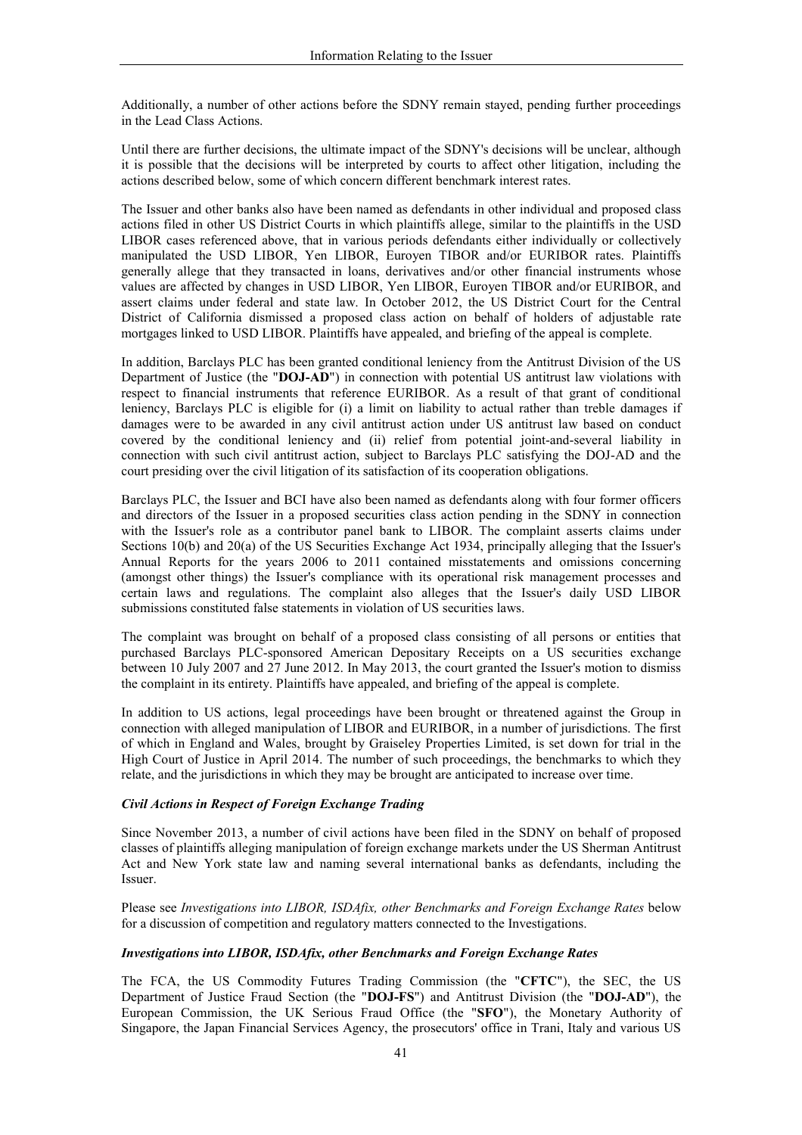Additionally, a number of other actions before the SDNY remain stayed, pending further proceedings in the Lead Class Actions.

Until there are further decisions, the ultimate impact of the SDNY's decisions will be unclear, although it is possible that the decisions will be interpreted by courts to affect other litigation, including the actions described below, some of which concern different benchmark interest rates.

The Issuer and other banks also have been named as defendants in other individual and proposed class actions filed in other US District Courts in which plaintiffs allege, similar to the plaintiffs in the USD LIBOR cases referenced above, that in various periods defendants either individually or collectively manipulated the USD LIBOR, Yen LIBOR, Euroyen TIBOR and/or EURIBOR rates. Plaintiffs generally allege that they transacted in loans, derivatives and/or other financial instruments whose values are affected by changes in USD LIBOR, Yen LIBOR, Euroyen TIBOR and/or EURIBOR, and assert claims under federal and state law. In October 2012, the US District Court for the Central District of California dismissed a proposed class action on behalf of holders of adjustable rate mortgages linked to USD LIBOR. Plaintiffs have appealed, and briefing of the appeal is complete.

In addition, Barclays PLC has been granted conditional leniency from the Antitrust Division of the US Department of Justice (the "DOJ-AD") in connection with potential US antitrust law violations with respect to financial instruments that reference EURIBOR. As a result of that grant of conditional leniency. Barclays PLC is eligible for  $(i)$  a limit on liability to actual rather than treble damages if damages were to be awarded in any civil antitrust action under US antitrust law based on conduct covered by the conditional leniency and (ii) relief from potential joint-and-several liability in connection with such civil antitrust action, subject to Barclays PLC satisfying the DOJ-AD and the court presiding over the civil litigation of its satisfaction of its cooperation obligations.

Barclays PLC, the Issuer and BCI have also been named as defendants along with four former officers and directors of the Issuer in a proposed securities class action pending in the SDNY in connection with the Issuer's role as a contributor panel bank to LIBOR. The complaint asserts claims under Sections 10(b) and 20(a) of the US Securities Exchange Act 1934, principally alleging that the Issuer's Annual Reports for the years 2006 to 2011 contained misstatements and omissions concerning (amongst other things) the Issuer's compliance with its operational risk management processes and certain laws and regulations. The complaint also alleges that the Issuer's daily USD LIBOR submissions constituted false statements in violation of US securities laws.

The complaint was brought on behalf of a proposed class consisting of all persons or entities that purchased Barclays PLC-sponsored American Depositary Receipts on a US securities exchange between 10 July 2007 and 27 June 2012. In May 2013, the court granted the Issuer's motion to dismiss the complaint in its entirety. Plaintiffs have appealed, and briefing of the appeal is complete.

In addition to US actions, legal proceedings have been brought or threatened against the Group in connection with alleged manipulation of LIBOR and EURIBOR, in a number of jurisdictions. The first of which in England and Wales, brought by Graiseley Properties Limited, is set down for trial in the High Court of Justice in April 2014. The number of such proceedings, the benchmarks to which they relate, and the jurisdictions in which they may be brought are anticipated to increase over time.

## Civil Actions in Respect of Foreign Exchange Trading

Since November 2013, a number of civil actions have been filed in the SDNY on behalf of proposed classes of plaintiffs alleging manipulation of foreign exchange markets under the US Sherman Antitrust Act and New York state law and naming several international banks as defendants, including the Issuer

Please see Investigations into LIBOR, ISDAfix, other Benchmarks and Foreign Exchange Rates below for a discussion of competition and regulatory matters connected to the Investigations.

## **Investigations into LIBOR, ISDAfix, other Benchmarks and Foreign Exchange Rates**

The FCA, the US Commodity Futures Trading Commission (the "CFTC"), the SEC, the US Department of Justice Fraud Section (the "DOJ-FS") and Antitrust Division (the "DOJ-AD"), the European Commission, the UK Serious Fraud Office (the "SFO"), the Monetary Authority of Singapore, the Japan Financial Services Agency, the prosecutors' office in Trani, Italy and various US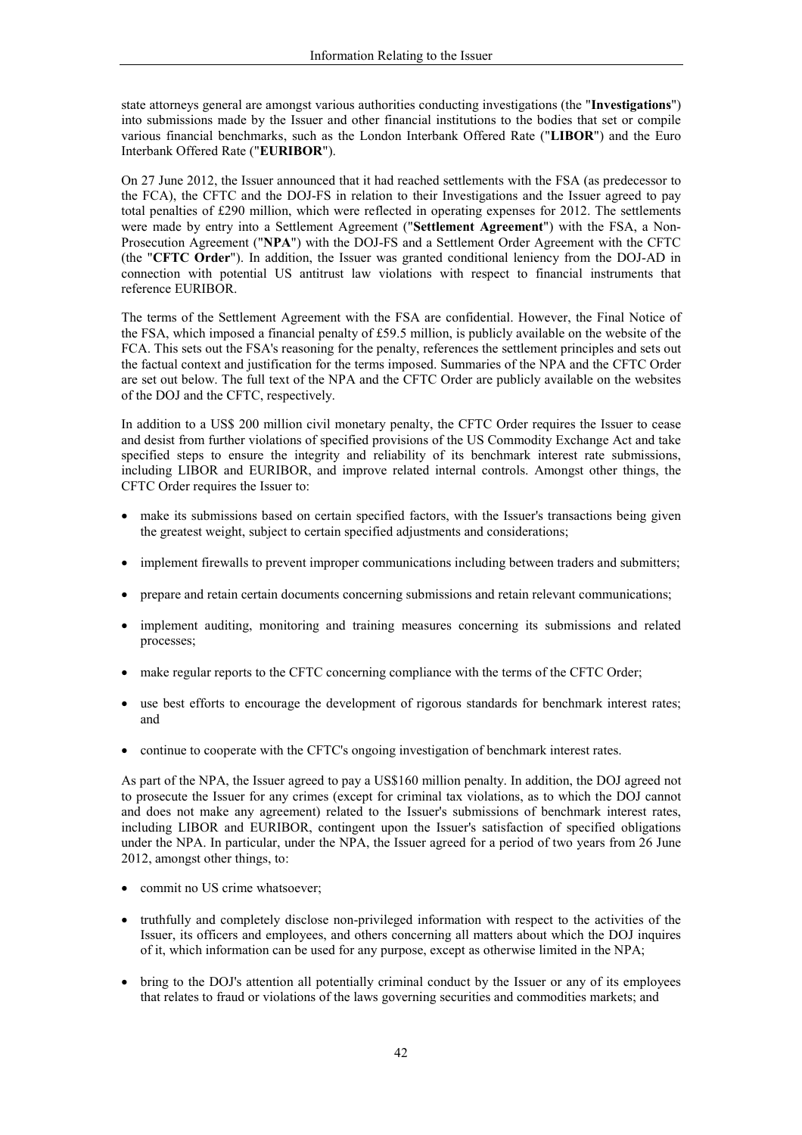state attorneys general are amongst various authorities conducting investigations (the "Investigations") into submissions made by the Issuer and other financial institutions to the bodies that set or compile various financial benchmarks, such as the London Interbank Offered Rate ("LIBOR") and the Euro Interbank Offered Rate ("EURIBOR").

On 27 June 2012, the Issuer announced that it had reached settlements with the FSA (as predecessor to the FCA), the CFTC and the DOJ-FS in relation to their Investigations and the Issuer agreed to pay total penalties of £290 million, which were reflected in operating expenses for 2012. The settlements were made by entry into a Settlement Agreement ("Settlement Agreement") with the FSA, a Non-Prosecution Agreement ("NPA") with the DOJ-FS and a Settlement Order Agreement with the CFTC (the "CFTC Order"). In addition, the Issuer was granted conditional leniency from the DOJ-AD in connection with potential US antitrust law violations with respect to financial instruments that reference EURIBOR.

The terms of the Settlement Agreement with the FSA are confidential. However, the Final Notice of the FSA, which imposed a financial penalty of £59.5 million, is publicly available on the website of the FCA. This sets out the FSA's reasoning for the penalty, references the settlement principles and sets out the factual context and justification for the terms imposed. Summaries of the NPA and the CFTC Order are set out below. The full text of the NPA and the CFTC Order are publicly available on the websites of the DOJ and the CFTC, respectively.

In addition to a US\$ 200 million civil monetary penalty, the CFTC Order requires the Issuer to cease and desist from further violations of specified provisions of the US Commodity Exchange Act and take specified steps to ensure the integrity and reliability of its benchmark interest rate submissions, including LIBOR and EURIBOR, and improve related internal controls. Amongst other things, the CFTC Order requires the Issuer to:

- make its submissions based on certain specified factors, with the Issuer's transactions being given the greatest weight, subject to certain specified adjustments and considerations;
- implement firewalls to prevent improper communications including between traders and submitters;
- prepare and retain certain documents concerning submissions and retain relevant communications;
- implement auditing, monitoring and training measures concerning its submissions and related processes;
- make regular reports to the CFTC concerning compliance with the terms of the CFTC Order;
- use best efforts to encourage the development of rigorous standards for benchmark interest rates;  $\bullet$ and
- continue to cooperate with the CFTC's ongoing investigation of benchmark interest rates.

As part of the NPA, the Issuer agreed to pay a US\$160 million penalty. In addition, the DOJ agreed not to prosecute the Issuer for any crimes (except for criminal tax violations, as to which the DOJ cannot and does not make any agreement) related to the Issuer's submissions of benchmark interest rates, including LIBOR and EURIBOR, contingent upon the Issuer's satisfaction of specified obligations under the NPA. In particular, under the NPA, the Issuer agreed for a period of two years from 26 June 2012, amongst other things, to:

- commit no US crime whatsoever;
- truthfully and completely disclose non-privileged information with respect to the activities of the Issuer, its officers and employees, and others concerning all matters about which the DOJ inquires of it, which information can be used for any purpose, except as otherwise limited in the NPA;
- bring to the DOJ's attention all potentially criminal conduct by the Issuer or any of its employees that relates to fraud or violations of the laws governing securities and commodities markets; and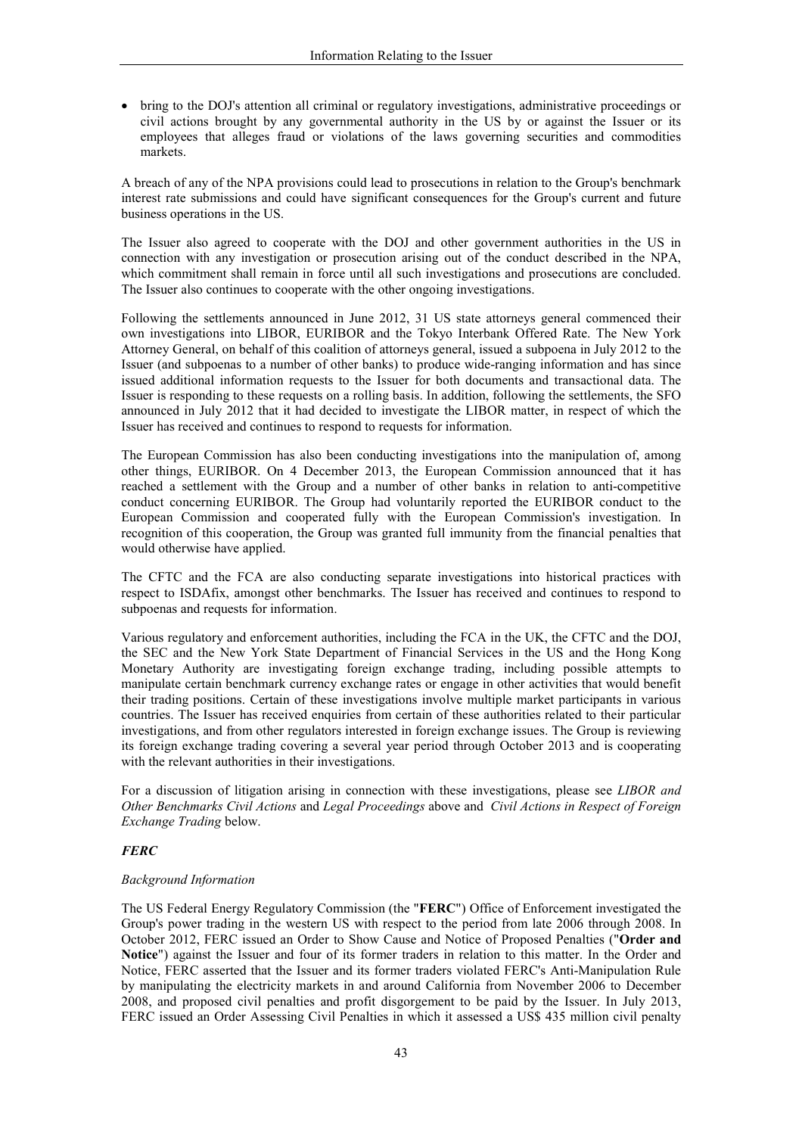• bring to the DOJ's attention all criminal or regulatory investigations, administrative proceedings or civil actions brought by any governmental authority in the US by or against the Issuer or its employees that alleges fraud or violations of the laws governing securities and commodities markets.

A breach of any of the NPA provisions could lead to prosecutions in relation to the Group's benchmark interest rate submissions and could have significant consequences for the Group's current and future business operations in the US.

The Issuer also agreed to cooperate with the DOJ and other government authorities in the US in connection with any investigation or prosecution arising out of the conduct described in the NPA, which commitment shall remain in force until all such investigations and prosecutions are concluded. The Issuer also continues to cooperate with the other ongoing investigations.

Following the settlements announced in June 2012, 31 US state attorneys general commenced their own investigations into LIBOR, EURIBOR and the Tokyo Interbank Offered Rate. The New York Attorney General, on behalf of this coalition of attorneys general, issued a subpoena in July 2012 to the Issuer (and subpoenas to a number of other banks) to produce wide-ranging information and has since issued additional information requests to the Issuer for both documents and transactional data. The Issuer is responding to these requests on a rolling basis. In addition, following the settlements, the SFO announced in July 2012 that it had decided to investigate the LIBOR matter, in respect of which the Issuer has received and continues to respond to requests for information.

The European Commission has also been conducting investigations into the manipulation of, among other things, EURIBOR. On 4 December 2013, the European Commission announced that it has reached a settlement with the Group and a number of other banks in relation to anti-competitive conduct concerning EURIBOR. The Group had voluntarily reported the EURIBOR conduct to the European Commission and cooperated fully with the European Commission's investigation. In recognition of this cooperation, the Group was granted full immunity from the financial penalties that would otherwise have applied.

The CFTC and the FCA are also conducting separate investigations into historical practices with respect to ISDAfix, amongst other benchmarks. The Issuer has received and continues to respond to subpoenas and requests for information.

Various regulatory and enforcement authorities, including the FCA in the UK, the CFTC and the DOJ, the SEC and the New York State Department of Financial Services in the US and the Hong Kong Monetary Authority are investigating foreign exchange trading, including possible attempts to manipulate certain benchmark currency exchange rates or engage in other activities that would benefit their trading positions. Certain of these investigations involve multiple market participants in various countries. The Issuer has received enquiries from certain of these authorities related to their particular investigations, and from other regulators interested in foreign exchange issues. The Group is reviewing its foreign exchange trading covering a several year period through October 2013 and is cooperating with the relevant authorities in their investigations.

For a discussion of litigation arising in connection with these investigations, please see LIBOR and Other Benchmarks Civil Actions and Legal Proceedings above and Civil Actions in Respect of Foreign Exchange Trading below.

# **FERC**

## **Background Information**

The US Federal Energy Regulatory Commission (the "FERC") Office of Enforcement investigated the Group's power trading in the western US with respect to the period from late 2006 through 2008. In October 2012, FERC issued an Order to Show Cause and Notice of Proposed Penalties ("Order and Notice") against the Issuer and four of its former traders in relation to this matter. In the Order and Notice, FERC asserted that the Issuer and its former traders violated FERC's Anti-Manipulation Rule by manipulating the electricity markets in and around California from November 2006 to December 2008, and proposed civil penalties and profit disgorgement to be paid by the Issuer. In July 2013, FERC issued an Order Assessing Civil Penalties in which it assessed a US\$ 435 million civil penalty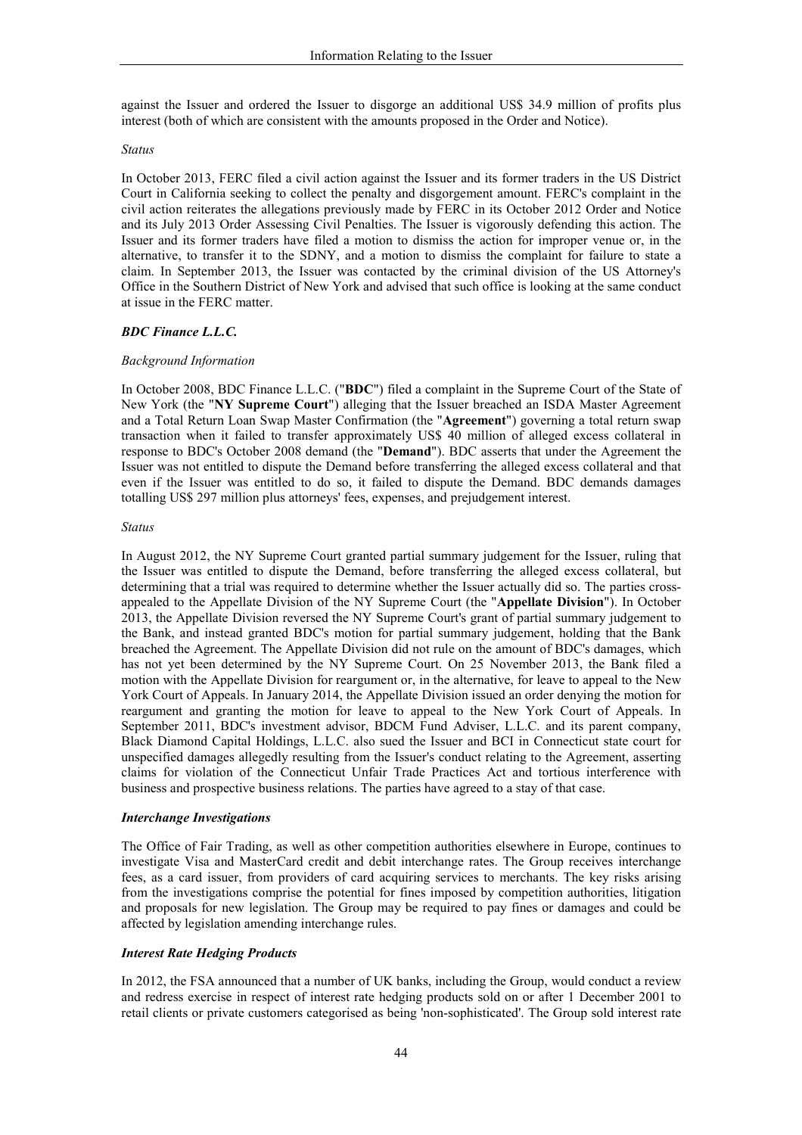against the Issuer and ordered the Issuer to disgorge an additional US\$ 34.9 million of profits plus interest (both of which are consistent with the amounts proposed in the Order and Notice).

#### **Status**

In October 2013, FERC filed a civil action against the Issuer and its former traders in the US District Court in California seeking to collect the penalty and disgorgement amount. FERC's complaint in the civil action reiterates the allegations previously made by FERC in its October 2012 Order and Notice and its July 2013 Order Assessing Civil Penalties. The Issuer is vigorously defending this action. The Issuer and its former traders have filed a motion to dismiss the action for improper venue or, in the alternative, to transfer it to the SDNY, and a motion to dismiss the complaint for failure to state a claim. In September 2013, the Issuer was contacted by the criminal division of the US Attorney's Office in the Southern District of New York and advised that such office is looking at the same conduct at issue in the FERC matter.

### **BDC** Finance L.L.C.

### **Background Information**

In October 2008, BDC Finance L.L.C. ("BDC") filed a complaint in the Supreme Court of the State of New York (the "NY Supreme Court") alleging that the Issuer breached an ISDA Master Agreement and a Total Return Loan Swap Master Confirmation (the "Agreement") governing a total return swap transaction when it failed to transfer approximately US\$ 40 million of alleged excess collateral in response to BDC's October 2008 demand (the "Demand"). BDC asserts that under the Agreement the Issuer was not entitled to dispute the Demand before transferring the alleged excess collateral and that even if the Issuer was entitled to do so, it failed to dispute the Demand. BDC demands damages totalling US\$ 297 million plus attorneys' fees, expenses, and prejudgement interest.

### **Status**

In August 2012, the NY Supreme Court granted partial summary judgement for the Issuer, ruling that the Issuer was entitled to dispute the Demand, before transferring the alleged excess collateral, but determining that a trial was required to determine whether the Issuer actually did so. The parties crossappealed to the Appellate Division of the NY Supreme Court (the "Appellate Division"). In October 2013, the Appellate Division reversed the NY Supreme Court's grant of partial summary judgement to the Bank, and instead granted BDC's motion for partial summary judgement, holding that the Bank breached the Agreement. The Appellate Division did not rule on the amount of BDC's damages, which has not yet been determined by the NY Supreme Court. On 25 November 2013, the Bank filed a motion with the Appellate Division for reargument or, in the alternative, for leave to appeal to the New York Court of Appeals. In January 2014, the Appellate Division issued an order denying the motion for reargument and granting the motion for leave to appeal to the New York Court of Appeals. In September 2011, BDC's investment advisor, BDCM Fund Adviser, L.L.C. and its parent company, Black Diamond Capital Holdings, L.L.C. also sued the Issuer and BCI in Connecticut state court for unspecified damages allegedly resulting from the Issuer's conduct relating to the Agreement, asserting claims for violation of the Connecticut Unfair Trade Practices Act and tortious interference with business and prospective business relations. The parties have agreed to a stay of that case.

### **Interchange Investigations**

The Office of Fair Trading, as well as other competition authorities elsewhere in Europe, continues to investigate Visa and MasterCard credit and debit interchange rates. The Group receives interchange fees, as a card issuer, from providers of card acquiring services to merchants. The key risks arising from the investigations comprise the potential for fines imposed by competition authorities, litigation and proposals for new legislation. The Group may be required to pay fines or damages and could be affected by legislation amending interchange rules.

### **Interest Rate Hedging Products**

In 2012, the FSA announced that a number of UK banks, including the Group, would conduct a review and redress exercise in respect of interest rate hedging products sold on or after 1 December 2001 to retail clients or private customers categorised as being 'non-sophisticated'. The Group sold interest rate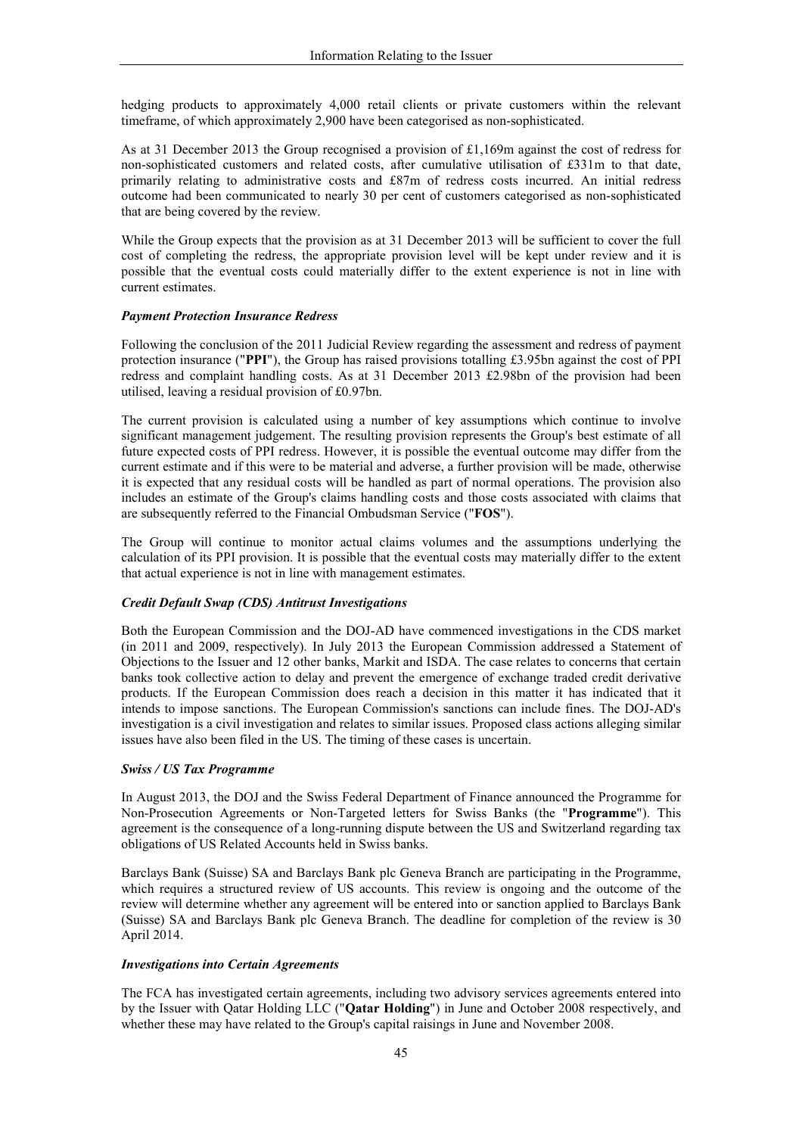hedging products to approximately 4,000 retail clients or private customers within the relevant timeframe, of which approximately 2,900 have been categorised as non-sophisticated.

As at 31 December 2013 the Group recognised a provision of £1,169m against the cost of redress for non-sophisticated customers and related costs, after cumulative utilisation of £331m to that date, primarily relating to administrative costs and £87m of redress costs incurred. An initial redress outcome had been communicated to nearly 30 per cent of customers categorised as non-sophisticated that are being covered by the review.

While the Group expects that the provision as at 31 December 2013 will be sufficient to cover the full cost of completing the redress, the appropriate provision level will be kept under review and it is possible that the eventual costs could materially differ to the extent experience is not in line with current estimates.

### **Payment Protection Insurance Redress**

Following the conclusion of the 2011 Judicial Review regarding the assessment and redress of payment protection insurance ("PPI"), the Group has raised provisions totalling £3.95bn against the cost of PPI redress and complaint handling costs. As at 31 December 2013 £2.98bn of the provision had been utilised, leaving a residual provision of £0.97bn.

The current provision is calculated using a number of key assumptions which continue to involve significant management judgement. The resulting provision represents the Group's best estimate of all future expected costs of PPI redress. However, it is possible the eventual outcome may differ from the current estimate and if this were to be material and adverse, a further provision will be made, otherwise it is expected that any residual costs will be handled as part of normal operations. The provision also includes an estimate of the Group's claims handling costs and those costs associated with claims that are subsequently referred to the Financial Ombudsman Service ("FOS").

The Group will continue to monitor actual claims volumes and the assumptions underlying the calculation of its PPI provision. It is possible that the eventual costs may materially differ to the extent that actual experience is not in line with management estimates.

### **Credit Default Swap (CDS) Antitrust Investigations**

Both the European Commission and the DOJ-AD have commenced investigations in the CDS market (in 2011 and 2009, respectively). In July 2013 the European Commission addressed a Statement of Objections to the Issuer and 12 other banks. Markit and ISDA. The case relates to concerns that certain banks took collective action to delay and prevent the emergence of exchange traded credit derivative products. If the European Commission does reach a decision in this matter it has indicated that it intends to impose sanctions. The European Commission's sanctions can include fines. The DOJ-AD's investigation is a civil investigation and relates to similar issues. Proposed class actions alleging similar issues have also been filed in the US. The timing of these cases is uncertain.

### **Swiss / US Tax Programme**

In August 2013, the DOJ and the Swiss Federal Department of Finance announced the Programme for Non-Prosecution Agreements or Non-Targeted letters for Swiss Banks (the "Programme"). This agreement is the consequence of a long-running dispute between the US and Switzerland regarding tax obligations of US Related Accounts held in Swiss banks.

Barclays Bank (Suisse) SA and Barclays Bank plc Geneva Branch are participating in the Programme, which requires a structured review of US accounts. This review is ongoing and the outcome of the review will determine whether any agreement will be entered into or sanction applied to Barclays Bank (Suisse) SA and Barclays Bank plc Geneva Branch. The deadline for completion of the review is 30 April 2014.

### **Investigations into Certain Agreements**

The FCA has investigated certain agreements, including two advisory services agreements entered into by the Issuer with Qatar Holding LLC ("Qatar Holding") in June and October 2008 respectively, and whether these may have related to the Group's capital raisings in June and November 2008.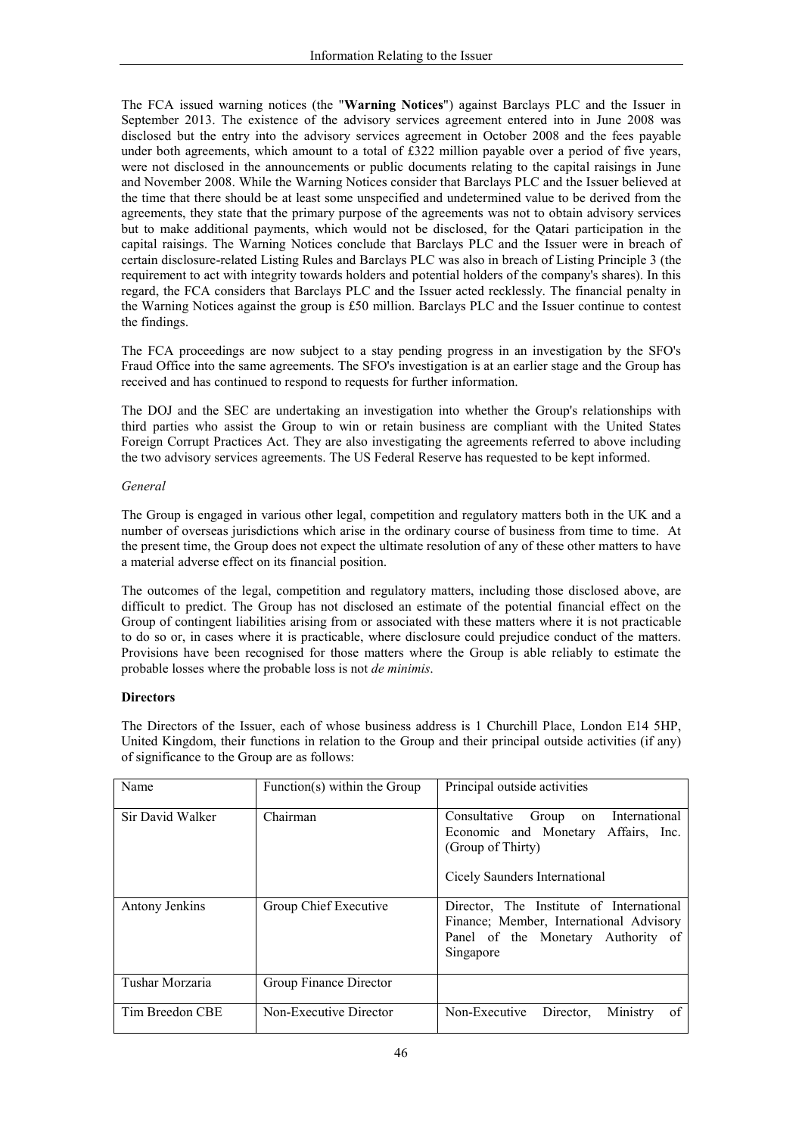The FCA issued warning notices (the "Warning Notices") against Barclays PLC and the Issuer in September 2013. The existence of the advisory services agreement entered into in June 2008 was disclosed but the entry into the advisory services agreement in October 2008 and the fees payable under both agreements, which amount to a total of £322 million payable over a period of five years, were not disclosed in the announcements or public documents relating to the capital raisings in June and November 2008. While the Warning Notices consider that Barclays PLC and the Issuer believed at the time that there should be at least some unspecified and undetermined value to be derived from the agreements, they state that the primary purpose of the agreements was not to obtain advisory services but to make additional payments, which would not be disclosed, for the Qatari participation in the capital raisings. The Warning Notices conclude that Barclays PLC and the Issuer were in breach of certain disclosure-related Listing Rules and Barclays PLC was also in breach of Listing Principle 3 (the requirement to act with integrity towards holders and potential holders of the company's shares). In this regard, the FCA considers that Barclays PLC and the Issuer acted recklessly. The financial penalty in the Warning Notices against the group is £50 million. Barclays PLC and the Issuer continue to contest the findings.

The FCA proceedings are now subject to a stay pending progress in an investigation by the SFO's Fraud Office into the same agreements. The SFO's investigation is at an earlier stage and the Group has received and has continued to respond to requests for further information.

The DOJ and the SEC are undertaking an investigation into whether the Group's relationships with third parties who assist the Group to win or retain business are compliant with the United States Foreign Corrupt Practices Act. They are also investigating the agreements referred to above including the two advisory services agreements. The US Federal Reserve has requested to be kept informed.

## General

The Group is engaged in various other legal, competition and regulatory matters both in the UK and a number of overseas jurisdictions which arise in the ordinary course of business from time to time. At the present time, the Group does not expect the ultimate resolution of any of these other matters to have a material adverse effect on its financial position.

The outcomes of the legal, competition and regulatory matters, including those disclosed above, are difficult to predict. The Group has not disclosed an estimate of the potential financial effect on the Group of contingent liabilities arising from or associated with these matters where it is not practicable to do so or, in cases where it is practicable, where disclosure could prejudice conduct of the matters. Provisions have been recognised for those matters where the Group is able reliably to estimate the probable losses where the probable loss is not *de minimis*.

# **Directors**

The Directors of the Issuer, each of whose business address is 1 Churchill Place, London E14 5HP, United Kingdom, their functions in relation to the Group and their principal outside activities (if any) of significance to the Group are as follows:

| Name             | Function(s) within the Group | Principal outside activities                                                                                                           |
|------------------|------------------------------|----------------------------------------------------------------------------------------------------------------------------------------|
| Sir David Walker | Chairman                     | Consultative Group<br>International<br>on<br>Economic and Monetary Affairs, Inc.<br>(Group of Thirty)<br>Cicely Saunders International |
| Antony Jenkins   | Group Chief Executive        | Director, The Institute of International<br>Finance; Member, International Advisory<br>Panel of the Monetary Authority of<br>Singapore |
| Tushar Morzaria  | Group Finance Director       |                                                                                                                                        |
| Tim Breedon CBE  | Non-Executive Director       | Non-Executive<br>Director.<br>Ministry<br>of                                                                                           |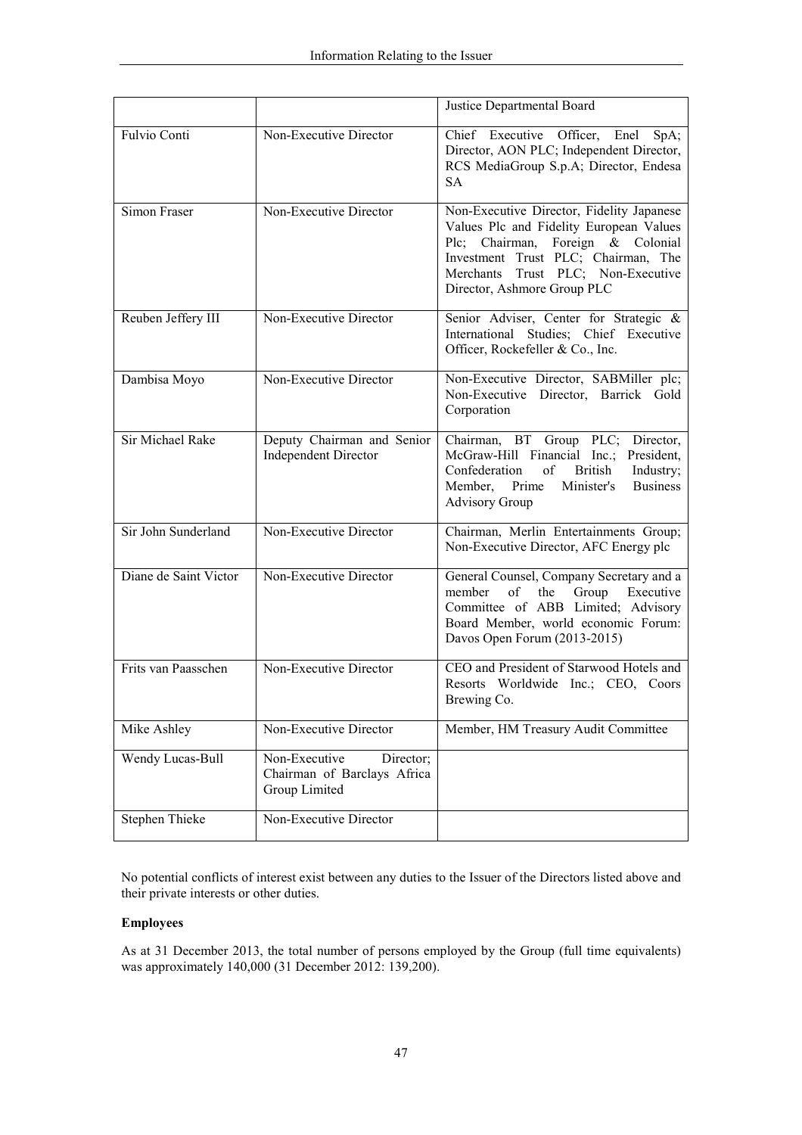|                       |                                                                            | Justice Departmental Board                                                                                                                                                                                                            |  |  |
|-----------------------|----------------------------------------------------------------------------|---------------------------------------------------------------------------------------------------------------------------------------------------------------------------------------------------------------------------------------|--|--|
| Fulvio Conti          | Non-Executive Director                                                     | Chief Executive Officer, Enel<br>SpA;<br>Director, AON PLC; Independent Director,<br>RCS MediaGroup S.p.A; Director, Endesa<br><b>SA</b>                                                                                              |  |  |
| Simon Fraser          | Non-Executive Director                                                     | Non-Executive Director, Fidelity Japanese<br>Values Plc and Fidelity European Values<br>Plc; Chairman, Foreign & Colonial<br>Investment Trust PLC; Chairman, The<br>Merchants Trust PLC; Non-Executive<br>Director, Ashmore Group PLC |  |  |
| Reuben Jeffery III    | Non-Executive Director                                                     | Senior Adviser, Center for Strategic &<br>International Studies; Chief Executive<br>Officer, Rockefeller & Co., Inc.                                                                                                                  |  |  |
| Dambisa Moyo          | Non-Executive Director                                                     | Non-Executive Director, SABMiller plc;<br>Non-Executive Director, Barrick Gold<br>Corporation                                                                                                                                         |  |  |
| Sir Michael Rake      | Deputy Chairman and Senior<br><b>Independent Director</b>                  | Chairman, BT Group PLC;<br>Director,<br>McGraw-Hill Financial Inc.;<br>President,<br>Confederation<br>of<br><b>British</b><br>Industry;<br>Member,<br>Prime<br>Minister's<br><b>Business</b><br><b>Advisory Group</b>                 |  |  |
| Sir John Sunderland   | Non-Executive Director                                                     | Chairman, Merlin Entertainments Group;<br>Non-Executive Director, AFC Energy plc                                                                                                                                                      |  |  |
| Diane de Saint Victor | Non-Executive Director                                                     | General Counsel, Company Secretary and a<br>member<br>of<br>the<br>Group Executive<br>Committee of ABB Limited; Advisory<br>Board Member, world economic Forum:<br>Davos Open Forum (2013-2015)                                       |  |  |
| Frits van Paasschen   | Non-Executive Director                                                     | CEO and President of Starwood Hotels and<br>Resorts Worldwide Inc.; CEO, Coors<br>Brewing Co.                                                                                                                                         |  |  |
| Mike Ashley           | Non-Executive Director                                                     | Member, HM Treasury Audit Committee                                                                                                                                                                                                   |  |  |
| Wendy Lucas-Bull      | Non-Executive<br>Director;<br>Chairman of Barclays Africa<br>Group Limited |                                                                                                                                                                                                                                       |  |  |
| <b>Stephen Thieke</b> | Non-Executive Director                                                     |                                                                                                                                                                                                                                       |  |  |

No potential conflicts of interest exist between any duties to the Issuer of the Directors listed above and their private interests or other duties.

# **Employees**

As at 31 December 2013, the total number of persons employed by the Group (full time equivalents) was approximately 140,000 (31 December 2012: 139,200).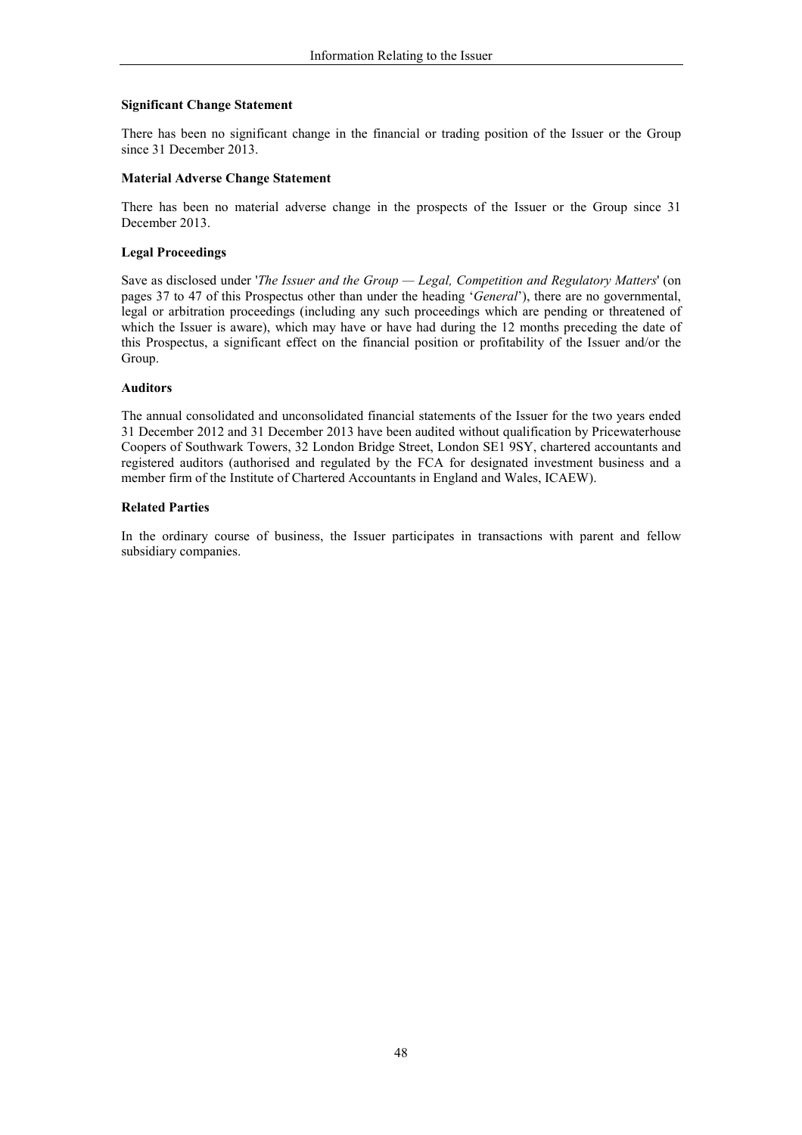## **Significant Change Statement**

There has been no significant change in the financial or trading position of the Issuer or the Group since 31 December 2013.

## **Material Adverse Change Statement**

There has been no material adverse change in the prospects of the Issuer or the Group since 31 December 2013.

### **Legal Proceedings**

Save as disclosed under 'The Issuer and the Group - Legal, Competition and Regulatory Matters' (on pages 37 to 47 of this Prospectus other than under the heading 'General'), there are no governmental, legal or arbitration proceedings (including any such proceedings which are pending or threatened of which the Issuer is aware), which may have or have had during the 12 months preceding the date of this Prospectus, a significant effect on the financial position or profitability of the Issuer and/or the Group.

### **Auditors**

The annual consolidated and unconsolidated financial statements of the Issuer for the two years ended 31 December 2012 and 31 December 2013 have been audited without qualification by Pricewaterhouse Coopers of Southwark Towers, 32 London Bridge Street, London SE1 9SY, chartered accountants and registered auditors (authorised and regulated by the FCA for designated investment business and a member firm of the Institute of Chartered Accountants in England and Wales, ICAEW).

### **Related Parties**

In the ordinary course of business, the Issuer participates in transactions with parent and fellow subsidiary companies.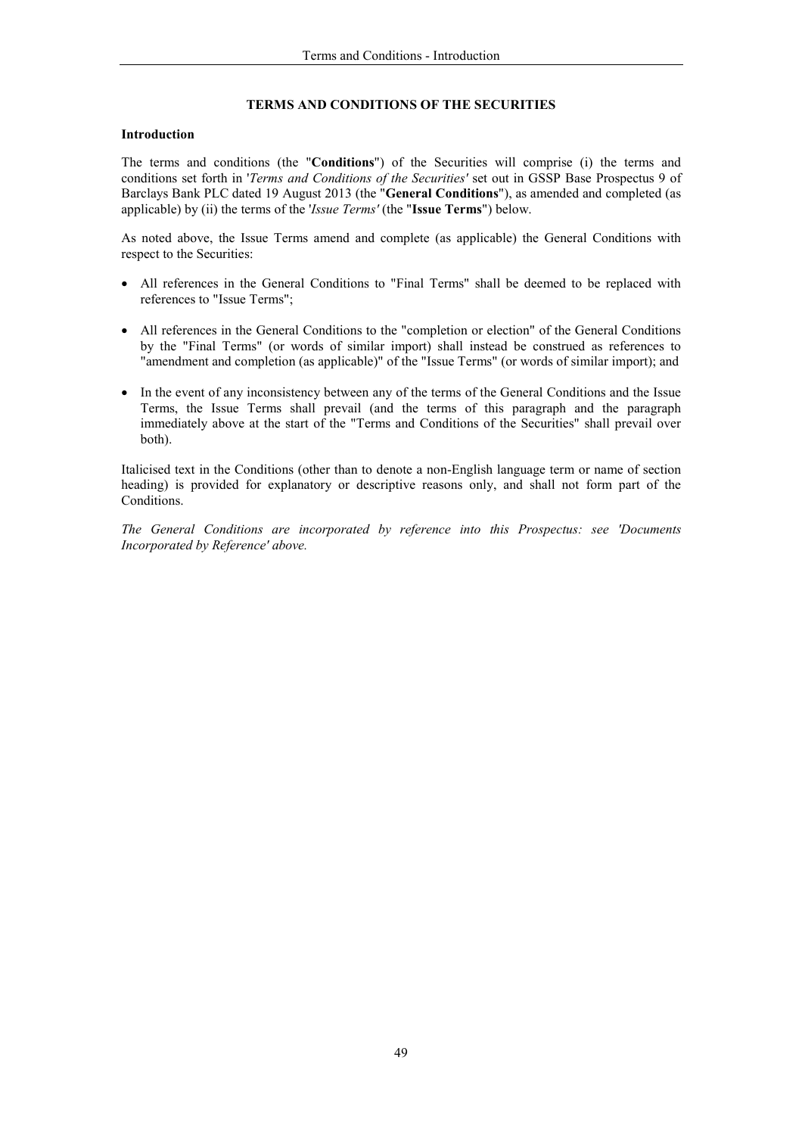## TERMS AND CONDITIONS OF THE SECURITIES

## **Introduction**

The terms and conditions (the "Conditions") of the Securities will comprise (i) the terms and conditions set forth in 'Terms and Conditions of the Securities' set out in GSSP Base Prospectus 9 of Barclays Bank PLC dated 19 August 2013 (the "General Conditions"), as amended and completed (as applicable) by (ii) the terms of the 'Issue Terms' (the "Issue Terms") below.

As noted above, the Issue Terms amend and complete (as applicable) the General Conditions with respect to the Securities:

- All references in the General Conditions to "Final Terms" shall be deemed to be replaced with references to "Issue Terms":
- All references in the General Conditions to the "completion or election" of the General Conditions by the "Final Terms" (or words of similar import) shall instead be construed as references to "amendment and completion (as applicable)" of the "Issue Terms" (or words of similar import); and
- In the event of any inconsistency between any of the terms of the General Conditions and the Issue Terms, the Issue Terms shall prevail (and the terms of this paragraph and the paragraph immediately above at the start of the "Terms and Conditions of the Securities" shall prevail over both).

Italicised text in the Conditions (other than to denote a non-English language term or name of section heading) is provided for explanatory or descriptive reasons only, and shall not form part of the Conditions.

The General Conditions are incorporated by reference into this Prospectus: see 'Documents Incorporated by Reference' above.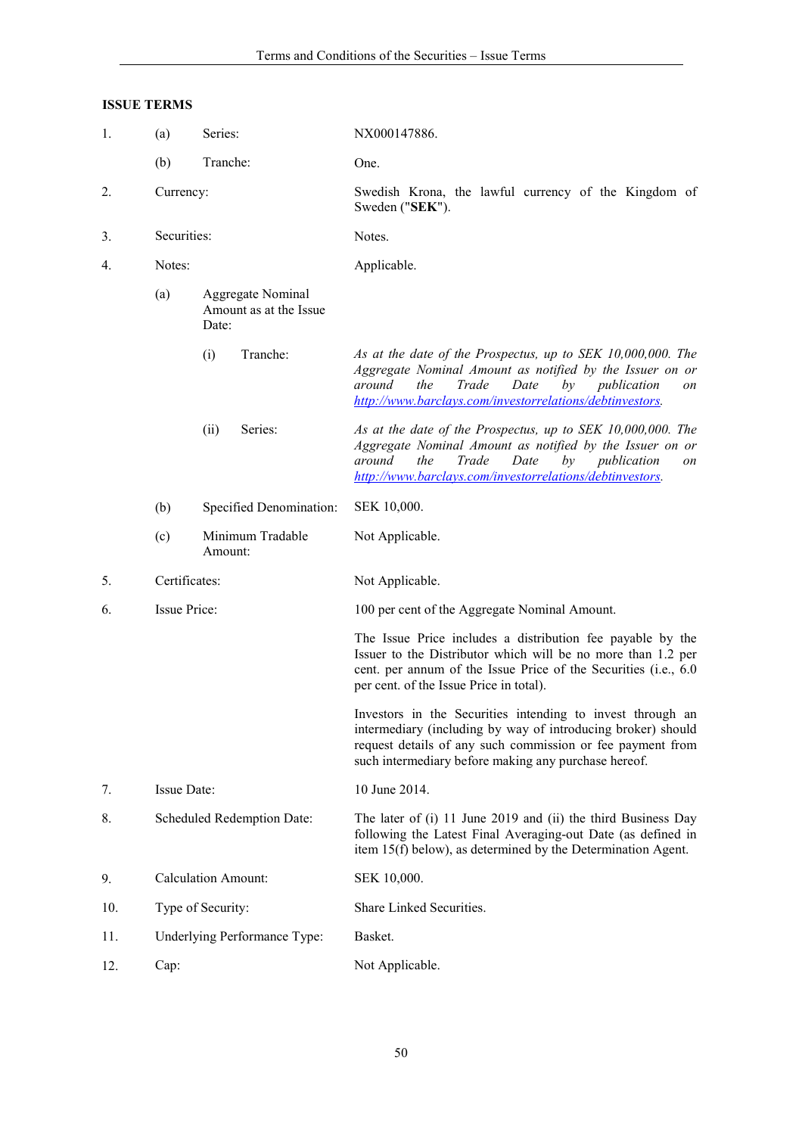# **ISSUE TERMS**

| 1.  | (a)<br>Series: |                                                      | NX000147886.                                                                                                                                                                                                                                     |  |
|-----|----------------|------------------------------------------------------|--------------------------------------------------------------------------------------------------------------------------------------------------------------------------------------------------------------------------------------------------|--|
|     | (b)            | Tranche:                                             | One.                                                                                                                                                                                                                                             |  |
| 2.  | Currency:      |                                                      | Swedish Krona, the lawful currency of the Kingdom of<br>Sweden ("SEK").                                                                                                                                                                          |  |
| 3.  | Securities:    |                                                      | Notes.                                                                                                                                                                                                                                           |  |
| 4.  | Notes:         |                                                      | Applicable.                                                                                                                                                                                                                                      |  |
|     | (a)            | Aggregate Nominal<br>Amount as at the Issue<br>Date: |                                                                                                                                                                                                                                                  |  |
|     |                | Tranche:<br>(i)                                      | As at the date of the Prospectus, up to SEK 10,000,000. The<br>Aggregate Nominal Amount as notified by the Issuer on or<br>Trade<br>Date<br>around<br>the<br>by<br>publication<br>on<br>http://www.barclays.com/investorrelations/debtinvestors. |  |
|     |                | Series:<br>(ii)                                      | As at the date of the Prospectus, up to SEK 10,000,000. The<br>Aggregate Nominal Amount as notified by the Issuer on or<br>around<br>the<br>Trade<br>Date<br>by<br>publication<br>on<br>http://www.barclays.com/investorrelations/debtinvestors. |  |
|     | (b)            | Specified Denomination:                              | SEK 10,000.                                                                                                                                                                                                                                      |  |
|     | (c)            | Minimum Tradable<br>Amount:                          | Not Applicable.                                                                                                                                                                                                                                  |  |
| 5.  | Certificates:  |                                                      | Not Applicable.                                                                                                                                                                                                                                  |  |
| 6.  | Issue Price:   |                                                      | 100 per cent of the Aggregate Nominal Amount.                                                                                                                                                                                                    |  |
|     |                |                                                      | The Issue Price includes a distribution fee payable by the<br>Issuer to the Distributor which will be no more than 1.2 per<br>cent. per annum of the Issue Price of the Securities (i.e., 6.0)<br>per cent. of the Issue Price in total).        |  |
|     |                |                                                      | Investors in the Securities intending to invest through an<br>intermediary (including by way of introducing broker) should<br>request details of any such commission or fee payment from<br>such intermediary before making any purchase hereof. |  |
| 7.  | Issue Date:    |                                                      | 10 June 2014.                                                                                                                                                                                                                                    |  |
| 8.  |                | Scheduled Redemption Date:                           | The later of (i) 11 June 2019 and (ii) the third Business Day<br>following the Latest Final Averaging-out Date (as defined in<br>item 15(f) below), as determined by the Determination Agent.                                                    |  |
| 9.  |                | <b>Calculation Amount:</b>                           | SEK 10,000.                                                                                                                                                                                                                                      |  |
| 10. |                | Type of Security:                                    | Share Linked Securities.                                                                                                                                                                                                                         |  |
| 11. |                | Underlying Performance Type:                         | Basket.                                                                                                                                                                                                                                          |  |
| 12. | Cap:           |                                                      | Not Applicable.                                                                                                                                                                                                                                  |  |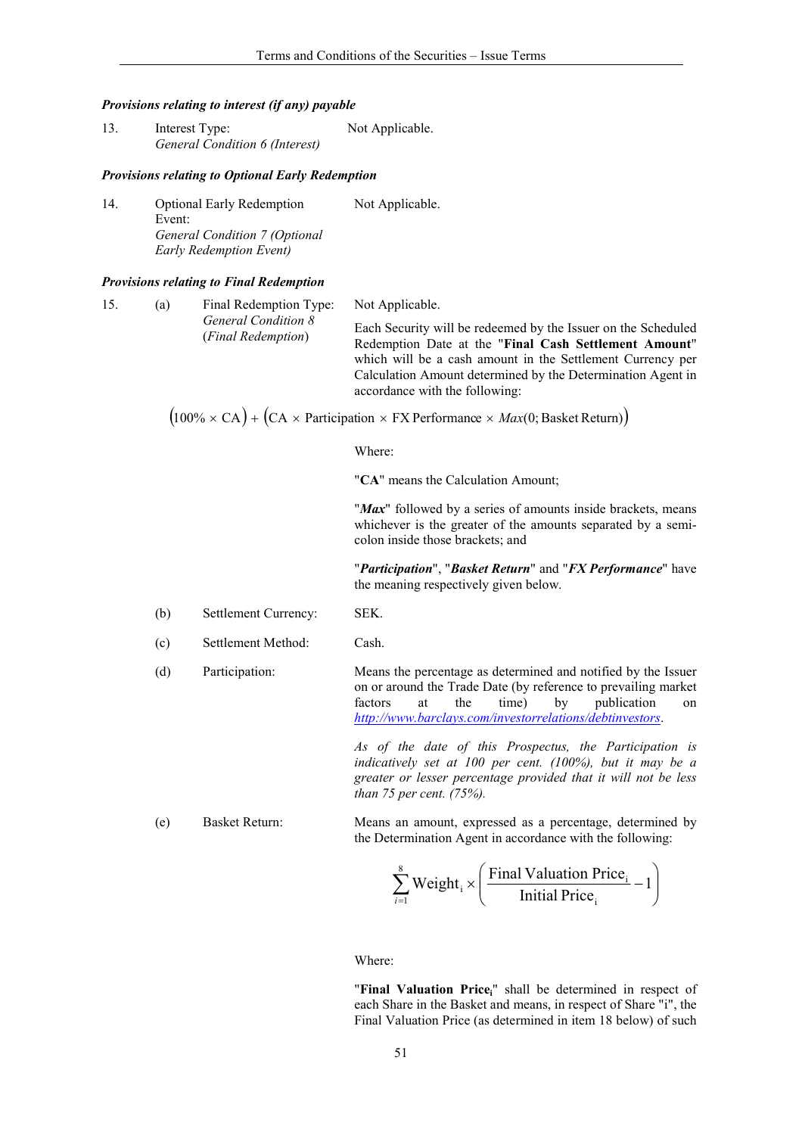#### Provisions relating to interest (if any) payable

| 13. | Interest Type:                 | Not Applicable. |
|-----|--------------------------------|-----------------|
|     | General Condition 6 (Interest) |                 |

### **Provisions relating to Optional Early Redemption**

Not Applicable.  $14.$ **Optional Early Redemption** Event: General Condition 7 (Optional **Early Redemption Event)** 

#### **Provisions relating to Final Redemption**

| 15. | (a) | Final Redemption Type:<br><b>General Condition 8</b><br>(Final Redemption) | Not Applicable.<br>Each Security will be redeemed by the Issuer on the Scheduled<br>Redemption Date at the "Final Cash Settlement Amount"<br>which will be a cash amount in the Settlement Currency per<br>Calculation Amount determined by the Determination Agent in<br>accordance with the following: |
|-----|-----|----------------------------------------------------------------------------|----------------------------------------------------------------------------------------------------------------------------------------------------------------------------------------------------------------------------------------------------------------------------------------------------------|
|     |     |                                                                            | $(100\% \times CA) + (CA \times \text{Participation} \times FX \text{ Performance} \times \text{Max}(0; \text{Basket Return}))$                                                                                                                                                                          |

Where:

"CA" means the Calculation Amount;

"Max" followed by a series of amounts inside brackets, means whichever is the greater of the amounts separated by a semicolon inside those brackets; and

"Participation", "Basket Return" and "FX Performance" have the meaning respectively given below.

- $(b)$ Settlement Currency: SEK.
- $(c)$ Settlement Method: Cash.

 $(d)$ 

Participation: Means the percentage as determined and notified by the Issuer on or around the Trade Date (by reference to prevailing market) factors at the time) by publication  $\alpha$ http://www.barclays.com/investorrelations/debtinvestors.

> As of the date of this Prospectus, the Participation is indicatively set at  $100$  per cent. (100%), but it may be a greater or lesser percentage provided that it will not be less than 75 per cent.  $(75%)$ .

 $(e)$ **Basket Return:** Means an amount, expressed as a percentage, determined by the Determination Agent in accordance with the following:

$$
\sum_{i=1}^{8} Weight_i \times \left(\frac{Final Valuation Price_i}{Initial Price_i} - 1\right)
$$

Where:

"Final Valuation Price<sub>i</sub>" shall be determined in respect of each Share in the Basket and means, in respect of Share "i", the Final Valuation Price (as determined in item 18 below) of such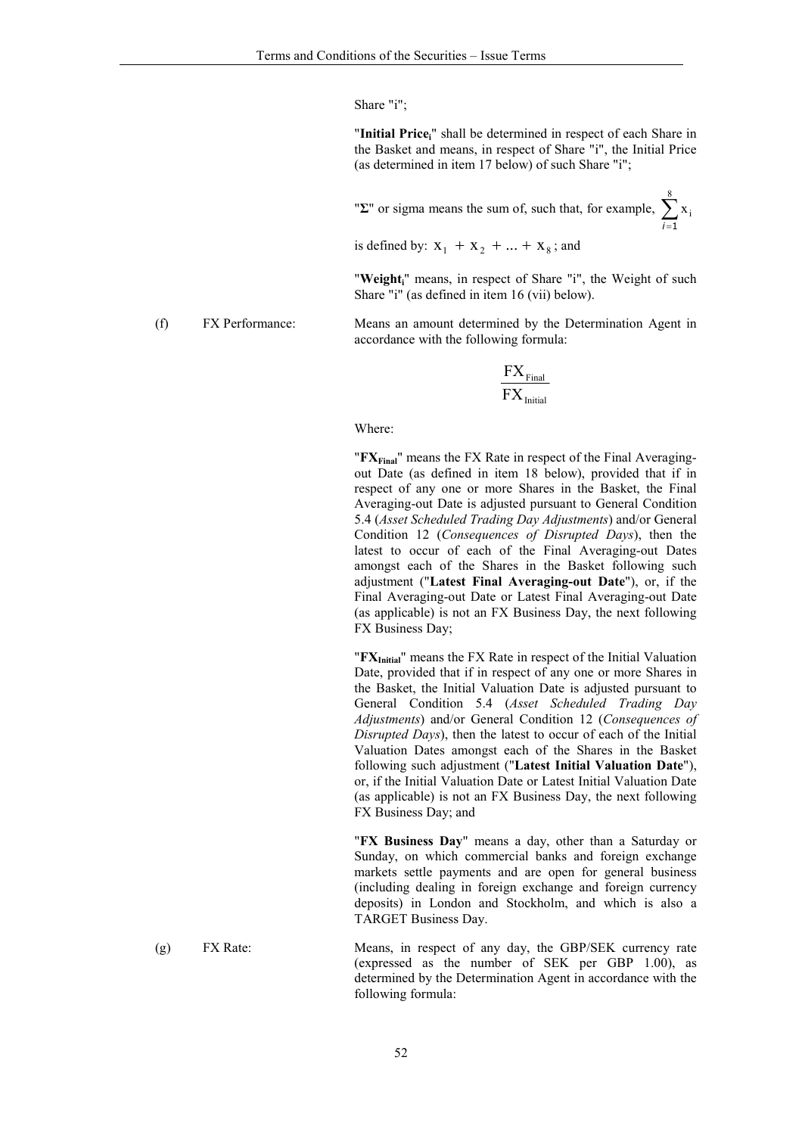Share "i";

"Initial Price;" shall be determined in respect of each Share in the Basket and means, in respect of Share "i", the Initial Price (as determined in item 17 below) of such Share "i";

" $\Sigma$ " or sigma means the sum of, such that, for example,  $\sum_{i=1}^{6} x_i$ 

is defined by:  $X_1 + X_2 + ... + X_8$ ; and

"Weight;" means, in respect of Share "i", the Weight of such Share "i" (as defined in item 16 (vii) below).

Means an amount determined by the Determination Agent in accordance with the following formula:

$$
\frac{FX_{Final}}{FX_{Initial}}
$$

#### Where:

" $\mathbf{FX}_{\text{Final}}$ " means the FX Rate in respect of the Final Averagingout Date (as defined in item 18 below), provided that if in respect of any one or more Shares in the Basket, the Final Averaging-out Date is adjusted pursuant to General Condition 5.4 (Asset Scheduled Trading Day Adjustments) and/or General Condition 12 (Consequences of Disrupted Days), then the latest to occur of each of the Final Averaging-out Dates amongst each of the Shares in the Basket following such adjustment ("Latest Final Averaging-out Date"), or, if the Final Averaging-out Date or Latest Final Averaging-out Date (as applicable) is not an FX Business Day, the next following FX Business Day:

"FX<sub>Initial</sub>" means the FX Rate in respect of the Initial Valuation Date, provided that if in respect of any one or more Shares in the Basket, the Initial Valuation Date is adjusted pursuant to General Condition 5.4 (Asset Scheduled Trading Day Adjustments) and/or General Condition 12 (Consequences of Disrupted Days), then the latest to occur of each of the Initial Valuation Dates amongst each of the Shares in the Basket following such adjustment ("Latest Initial Valuation Date"), or, if the Initial Valuation Date or Latest Initial Valuation Date (as applicable) is not an FX Business Day, the next following FX Business Day; and

"FX Business Day" means a day, other than a Saturday or Sunday, on which commercial banks and foreign exchange markets settle payments and are open for general business (including dealing in foreign exchange and foreign currency deposits) in London and Stockholm, and which is also a TARGET Business Day.

Means, in respect of any day, the GBP/SEK currency rate  $(g)$ FX Rate: (expressed as the number of SEK per GBP 1.00), as determined by the Determination Agent in accordance with the following formula:

FX Performance:

 $(f)$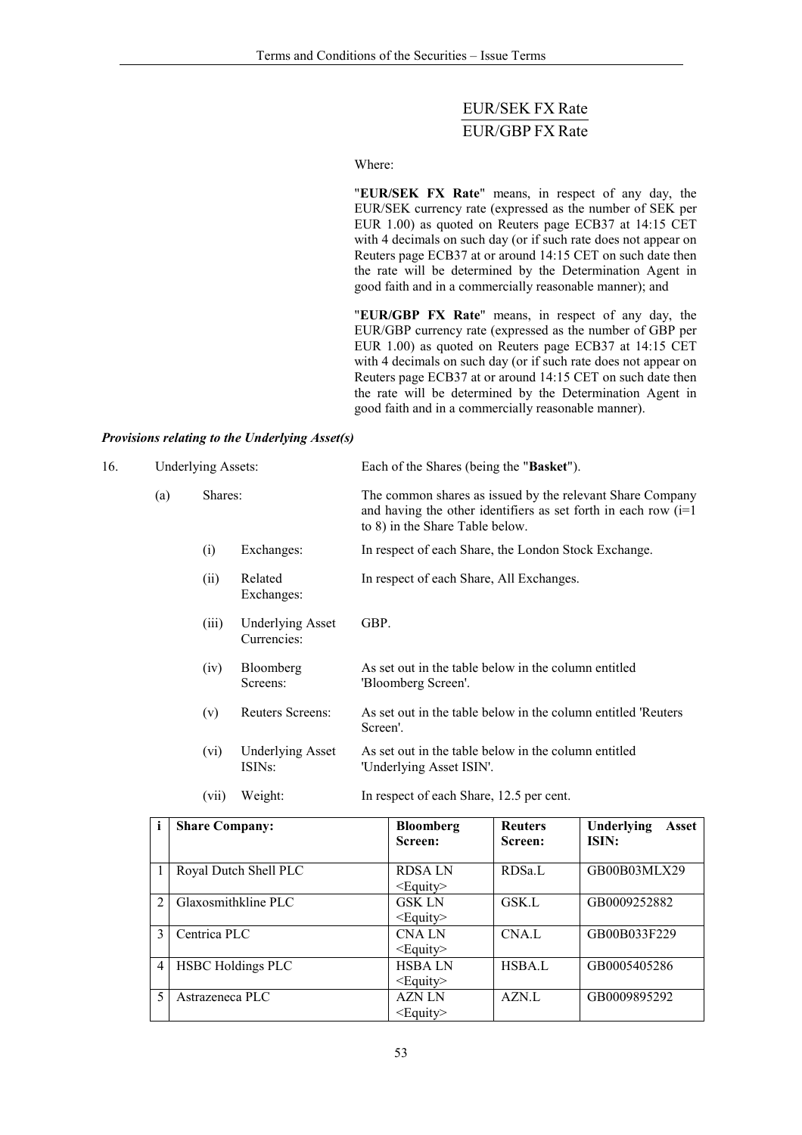# **EUR/SEK FX Rate** EUR/GBP FX Rate

Where:

"EUR/SEK FX Rate" means, in respect of any day, the EUR/SEK currency rate (expressed as the number of SEK per EUR 1.00) as quoted on Reuters page ECB37 at 14:15 CET with 4 decimals on such day (or if such rate does not appear on Reuters page ECB37 at or around 14:15 CET on such date then the rate will be determined by the Determination Agent in good faith and in a commercially reasonable manner); and

"EUR/GBP FX Rate" means, in respect of any day, the EUR/GBP currency rate (expressed as the number of GBP per EUR 1.00) as quoted on Reuters page ECB37 at 14:15 CET with 4 decimals on such day (or if such rate does not appear on Reuters page ECB37 at or around 14:15 CET on such date then the rate will be determined by the Determination Agent in good faith and in a commercially reasonable manner).

### Provisions relating to the Underlying Asset(s)

| 16. |     | <b>Underlying Assets:</b> |                                                |                                                                                                                                                                   | Each of the Shares (being the "Basket").                                         |                           |                                                               |
|-----|-----|---------------------------|------------------------------------------------|-------------------------------------------------------------------------------------------------------------------------------------------------------------------|----------------------------------------------------------------------------------|---------------------------|---------------------------------------------------------------|
|     | (a) | Shares:                   |                                                | The common shares as issued by the relevant Share Company<br>and having the other identifiers as set forth in each row $(i=1)$<br>to 8) in the Share Table below. |                                                                                  |                           |                                                               |
|     |     | (i)                       | Exchanges:                                     |                                                                                                                                                                   | In respect of each Share, the London Stock Exchange.                             |                           |                                                               |
|     |     | (ii)                      | Related<br>Exchanges:                          |                                                                                                                                                                   | In respect of each Share, All Exchanges.                                         |                           |                                                               |
|     |     | (iii)                     | <b>Underlying Asset</b><br>Currencies:         | GBP.                                                                                                                                                              |                                                                                  |                           |                                                               |
|     |     | (iv)                      | Bloomberg<br>Screens:                          |                                                                                                                                                                   | As set out in the table below in the column entitled<br>'Bloomberg Screen'.      |                           |                                                               |
|     |     | (v)                       | Reuters Screens:                               | Screen'.                                                                                                                                                          |                                                                                  |                           | As set out in the table below in the column entitled 'Reuters |
|     |     | (vi)                      | <b>Underlying Asset</b><br>ISIN <sub>s</sub> : |                                                                                                                                                                   | As set out in the table below in the column entitled<br>'Underlying Asset ISIN'. |                           |                                                               |
|     |     | (vii)                     | Weight:                                        |                                                                                                                                                                   | In respect of each Share, 12.5 per cent.                                         |                           |                                                               |
|     | i   | <b>Share Company:</b>     |                                                |                                                                                                                                                                   | <b>Bloomberg</b><br>Screen:                                                      | <b>Reuters</b><br>Screen: | Underlying<br>Asset<br>ISIN:                                  |
|     |     |                           |                                                |                                                                                                                                                                   |                                                                                  |                           |                                                               |

| i              | <b>Share Company:</b>    | <b>Bloomberg</b><br>Screen:     | <b>Reuters</b><br>Screen: | Underlying<br>Asset<br>ISIN: |
|----------------|--------------------------|---------------------------------|---------------------------|------------------------------|
|                | Royal Dutch Shell PLC    | <b>RDSALN</b><br>$\leq$ Equity> | RDSa.L                    | GB00B03MLX29                 |
| $\mathfrak{D}$ | Glaxosmithkline PLC      | <b>GSK LN</b><br>$<$ Equity $>$ | GSK.L                     | GB0009252882                 |
| 3              | Centrica PLC             | <b>CNALN</b><br>$\leq$ Equity>  | CNA.L                     | GB00B033F229                 |
| 4              | <b>HSBC Holdings PLC</b> | <b>HSBALN</b><br>$<$ Equity $>$ | <b>HSBA.L</b>             | GB0005405286                 |
|                | Astrazeneca PLC          | <b>AZN LN</b><br>$<$ Equity $>$ | AZN.L                     | GB0009895292                 |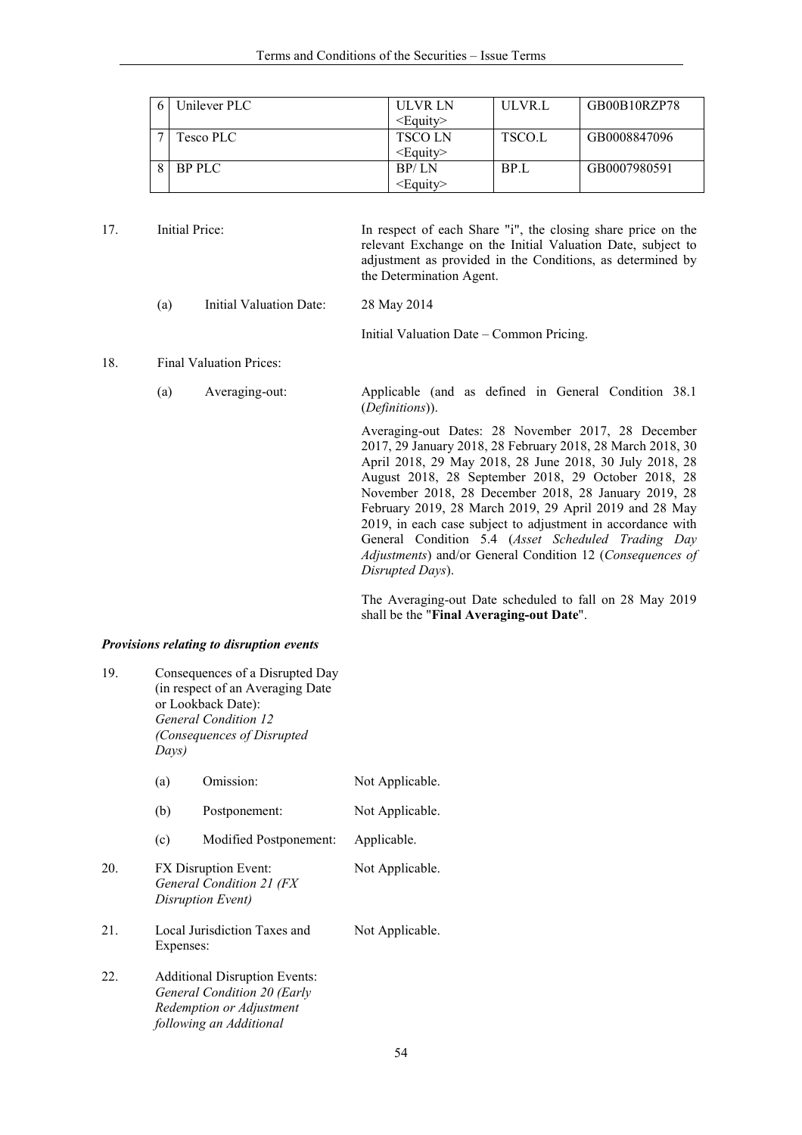| Unilever PLC  | ULVR LN           | ULVR.L | GB00B10RZP78 |
|---------------|-------------------|--------|--------------|
|               | $\le$ Equity>     |        |              |
| Tesco PLC .   | <b>TSCOLN</b>     | TSCO.L | GB0008847096 |
|               | $\leq$ Equity>    |        |              |
| <b>BP PLC</b> | BP/LN             | BP.L   | GB0007980591 |
|               | <eauitv></eauitv> |        |              |

| 17.<br>Initial Price: |     |                                | In respect of each Share "i", the closing share price on the<br>relevant Exchange on the Initial Valuation Date, subject to<br>adjustment as provided in the Conditions, as determined by<br>the Determination Agent.                                                                                                                                                                                                                                                                                                                                      |
|-----------------------|-----|--------------------------------|------------------------------------------------------------------------------------------------------------------------------------------------------------------------------------------------------------------------------------------------------------------------------------------------------------------------------------------------------------------------------------------------------------------------------------------------------------------------------------------------------------------------------------------------------------|
|                       | (a) | Initial Valuation Date:        | 28 May 2014                                                                                                                                                                                                                                                                                                                                                                                                                                                                                                                                                |
|                       |     |                                | Initial Valuation Date – Common Pricing.                                                                                                                                                                                                                                                                                                                                                                                                                                                                                                                   |
| 18.                   |     | <b>Final Valuation Prices:</b> |                                                                                                                                                                                                                                                                                                                                                                                                                                                                                                                                                            |
|                       | (a) | Averaging-out:                 | Applicable (and as defined in General Condition 38.1)<br>( <i>Definitions</i> )).                                                                                                                                                                                                                                                                                                                                                                                                                                                                          |
|                       |     |                                | Averaging-out Dates: 28 November 2017, 28 December<br>2017, 29 January 2018, 28 February 2018, 28 March 2018, 30<br>April 2018, 29 May 2018, 28 June 2018, 30 July 2018, 28<br>August 2018, 28 September 2018, 29 October 2018, 28<br>November 2018, 28 December 2018, 28 January 2019, 28<br>February 2019, 28 March 2019, 29 April 2019 and 28 May<br>2019, in each case subject to adjustment in accordance with<br>General Condition 5.4 (Asset Scheduled Trading Day<br>Adjustments) and/or General Condition 12 (Consequences of<br>Disrupted Days). |

The Averaging-out Date scheduled to fall on 28 May 2019 shall be the "Final Averaging-out Date".

## Provisions relating to disruption events

| 19. | Consequences of a Disrupted Day<br>(in respect of an Averaging Date<br>or Lookback Date):<br><b>General Condition 12</b><br>(Consequences of Disrupted<br>Days) |                        |                 |
|-----|-----------------------------------------------------------------------------------------------------------------------------------------------------------------|------------------------|-----------------|
|     | (a)                                                                                                                                                             | Omission:              | Not Applicable. |
|     | (b)                                                                                                                                                             | Postponement:          | Not Applicable. |
|     | (c)                                                                                                                                                             | Modified Postponement: | Applicable.     |
| 20. | FX Disruption Event:<br>General Condition 21 (FX<br>Disruption Event)                                                                                           |                        | Not Applicable. |
| 21. | Local Jurisdiction Taxes and<br>Expenses:                                                                                                                       |                        | Not Applicable. |
| 22. | <b>Additional Disruption Events:</b><br>General Condition 20 (Early<br>Redemption or Adjustment<br>following an Additional                                      |                        |                 |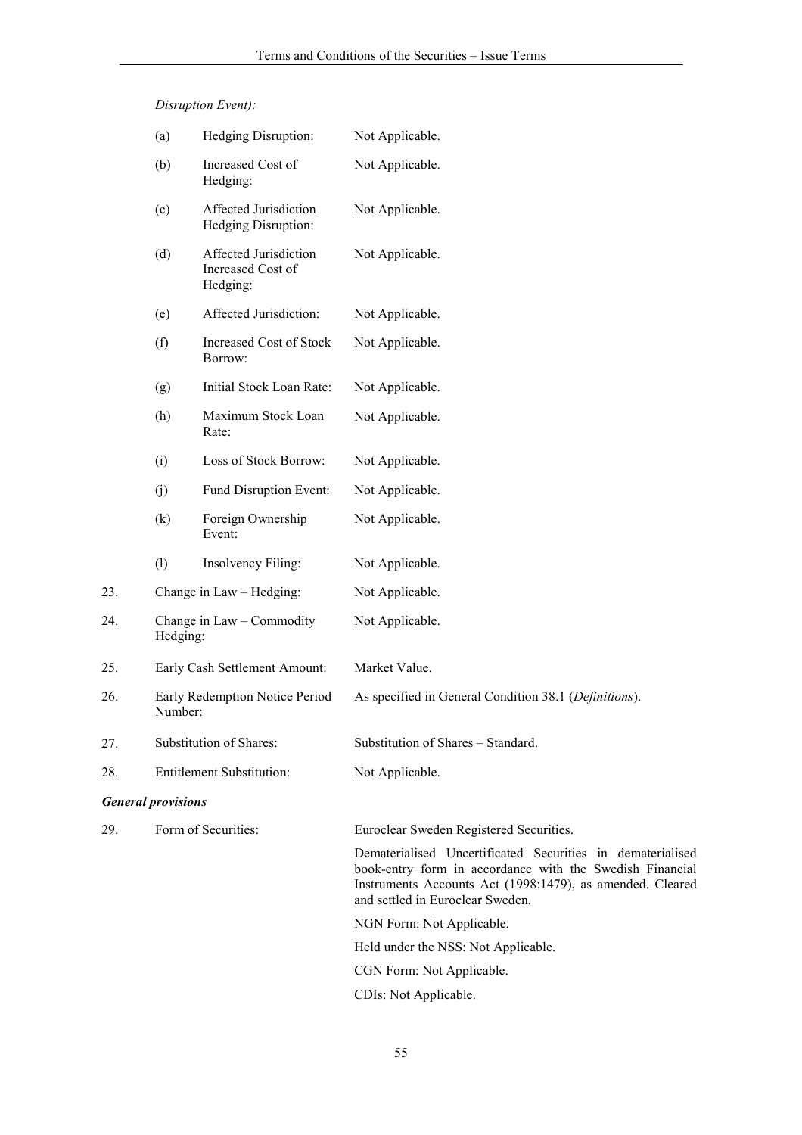Disruption Event):

23.

25.

27.

|     | (a)                                       | Hedging Disruption:                                    | Not Applicable.                                                                                                                                                                                                         |
|-----|-------------------------------------------|--------------------------------------------------------|-------------------------------------------------------------------------------------------------------------------------------------------------------------------------------------------------------------------------|
|     | (b)                                       | Increased Cost of<br>Hedging:                          | Not Applicable.                                                                                                                                                                                                         |
|     | (c)                                       | Affected Jurisdiction<br>Hedging Disruption:           | Not Applicable.                                                                                                                                                                                                         |
|     | (d)                                       | Affected Jurisdiction<br>Increased Cost of<br>Hedging: | Not Applicable.                                                                                                                                                                                                         |
|     | (e)                                       | Affected Jurisdiction:                                 | Not Applicable.                                                                                                                                                                                                         |
|     | (f)                                       | <b>Increased Cost of Stock</b><br>Borrow:              | Not Applicable.                                                                                                                                                                                                         |
|     | (g)                                       | Initial Stock Loan Rate:                               | Not Applicable.                                                                                                                                                                                                         |
|     | (h)                                       | Maximum Stock Loan<br>Rate:                            | Not Applicable.                                                                                                                                                                                                         |
|     | (i)                                       | Loss of Stock Borrow:                                  | Not Applicable.                                                                                                                                                                                                         |
|     | (j)                                       | Fund Disruption Event:                                 | Not Applicable.                                                                                                                                                                                                         |
|     | (k)                                       | Foreign Ownership<br>Event:                            | Not Applicable.                                                                                                                                                                                                         |
|     | (1)                                       | Insolvency Filing:                                     | Not Applicable.                                                                                                                                                                                                         |
| 23. |                                           | Change in Law - Hedging:                               | Not Applicable.                                                                                                                                                                                                         |
| 24. | Hedging:                                  | Change in Law – Commodity                              | Not Applicable.                                                                                                                                                                                                         |
| 25. |                                           | Early Cash Settlement Amount:                          | Market Value.                                                                                                                                                                                                           |
| 26. | Early Redemption Notice Period<br>Number: |                                                        | As specified in General Condition 38.1 (Definitions).                                                                                                                                                                   |
| 27. |                                           | Substitution of Shares:                                | Substitution of Shares - Standard.                                                                                                                                                                                      |
| 28. |                                           | <b>Entitlement Substitution:</b>                       | Not Applicable.                                                                                                                                                                                                         |
|     | <b>General provisions</b>                 |                                                        |                                                                                                                                                                                                                         |
| 29. |                                           | Form of Securities:                                    | Euroclear Sweden Registered Securities.                                                                                                                                                                                 |
|     |                                           |                                                        | Dematerialised Uncertificated Securities in dematerialised<br>book-entry form in accordance with the Swedish Financial<br>Instruments Accounts Act (1998:1479), as amended. Cleared<br>and settled in Euroclear Sweden. |
|     |                                           |                                                        | NGN Form: Not Applicable.                                                                                                                                                                                               |
|     |                                           |                                                        | Held under the NSS: Not Applicable.                                                                                                                                                                                     |
|     |                                           |                                                        | CGN Form: Not Applicable.                                                                                                                                                                                               |
|     |                                           |                                                        | CDIs: Not Applicable.                                                                                                                                                                                                   |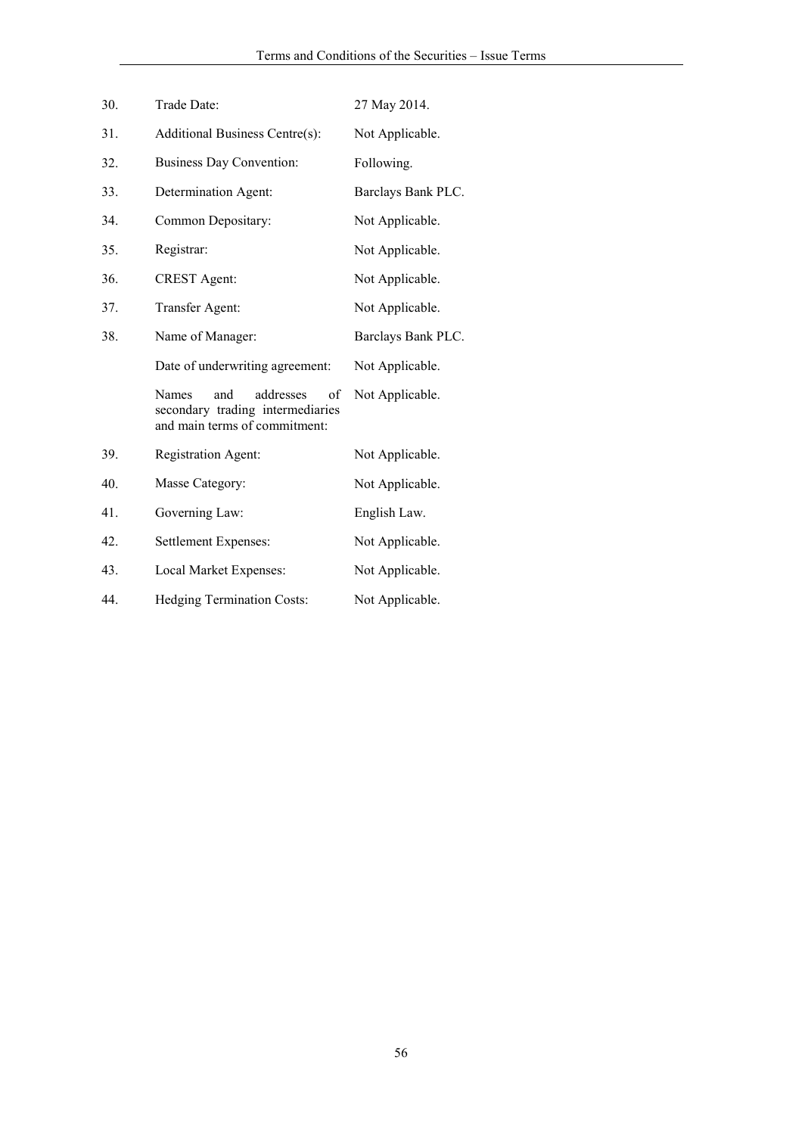| 30. | Trade Date:                                                                | 27 May 2014.       |
|-----|----------------------------------------------------------------------------|--------------------|
| 31. | Additional Business Centre(s):                                             | Not Applicable.    |
| 32. | <b>Business Day Convention:</b>                                            | Following.         |
| 33. | Determination Agent:                                                       | Barclays Bank PLC. |
| 34. | Common Depositary:                                                         | Not Applicable.    |
| 35. | Registrar:                                                                 | Not Applicable.    |
| 36. | <b>CREST</b> Agent:                                                        | Not Applicable.    |
| 37. | Transfer Agent:                                                            | Not Applicable.    |
| 38. | Name of Manager:                                                           | Barclays Bank PLC. |
|     | Date of underwriting agreement:                                            | Not Applicable.    |
|     | and<br>addresses<br><b>Names</b><br>οf<br>secondary trading intermediaries | Not Applicable.    |
|     | and main terms of commitment:                                              |                    |
| 39. | <b>Registration Agent:</b>                                                 | Not Applicable.    |
| 40. | Masse Category:                                                            | Not Applicable.    |
| 41. | Governing Law:                                                             | English Law.       |
| 42. | Settlement Expenses:                                                       | Not Applicable.    |
| 43. | Local Market Expenses:                                                     | Not Applicable.    |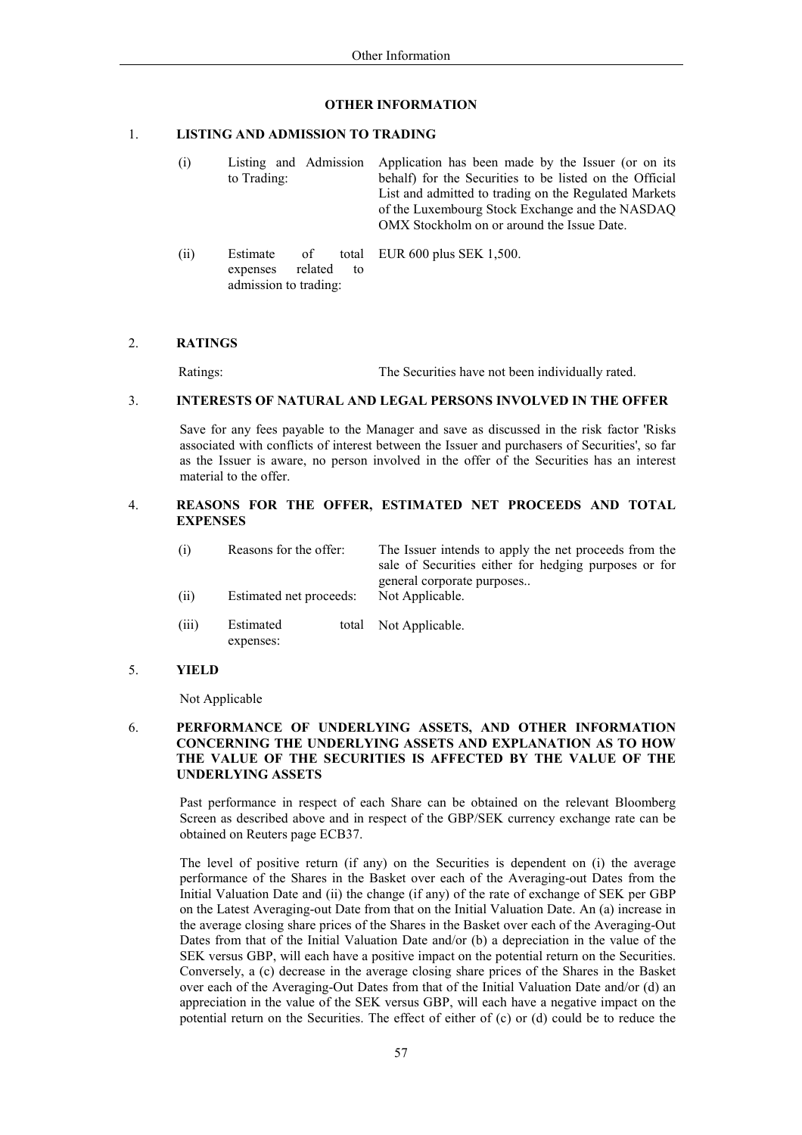### **OTHER INFORMATION**

#### $\mathbf{1}$ **LISTING AND ADMISSION TO TRADING**

admission to trading:

 $(i)$ Listing and Admission Application has been made by the Issuer (or on its to Trading: behalf) for the Securities to be listed on the Official List and admitted to trading on the Regulated Markets of the Luxembourg Stock Exchange and the NASDAQ OMX Stockholm on or around the Issue Date.  $(ii)$ Estimate  $\alpha$ f total EUR 600 plus SEK 1,500. expenses related  $f<sub>O</sub>$ 

#### $2.$ **RATINGS**

Ratings:

The Securities have not been individually rated.

#### $\mathfrak{Z}$ . **INTERESTS OF NATURAL AND LEGAL PERSONS INVOLVED IN THE OFFER**

Save for any fees payable to the Manager and save as discussed in the risk factor 'Risks associated with conflicts of interest between the Issuer and purchasers of Securities', so far as the Issuer is aware, no person involved in the offer of the Securities has an interest material to the offer.

#### $\overline{4}$ . REASONS FOR THE OFFER. ESTIMATED NET PROCEEDS AND TOTAL **EXPENSES**

| (i)  | Reasons for the offer:  | The Issuer intends to apply the net proceeds from the<br>sale of Securities either for hedging purposes or for<br>general corporate purposes |
|------|-------------------------|----------------------------------------------------------------------------------------------------------------------------------------------|
| (ii) | Estimated net proceeds: | Not Applicable.                                                                                                                              |

- $(iii)$ Estimated total Not Applicable. expenses:
- $5<sub>1</sub>$ **YIELD**

Not Applicable

#### 6. PERFORMANCE OF UNDERLYING ASSETS, AND OTHER INFORMATION **CONCERNING THE UNDERLYING ASSETS AND EXPLANATION AS TO HOW** THE VALUE OF THE SECURITIES IS AFFECTED BY THE VALUE OF THE **UNDERLYING ASSETS**

Past performance in respect of each Share can be obtained on the relevant Bloomberg Screen as described above and in respect of the GBP/SEK currency exchange rate can be obtained on Reuters page ECB37.

The level of positive return (if any) on the Securities is dependent on (i) the average performance of the Shares in the Basket over each of the Averaging-out Dates from the Initial Valuation Date and (ii) the change (if any) of the rate of exchange of SEK per GBP on the Latest Averaging-out Date from that on the Initial Valuation Date. An (a) increase in the average closing share prices of the Shares in the Basket over each of the Averaging-Out Dates from that of the Initial Valuation Date and/or (b) a depreciation in the value of the SEK versus GBP, will each have a positive impact on the potential return on the Securities. Conversely, a (c) decrease in the average closing share prices of the Shares in the Basket over each of the Averaging-Out Dates from that of the Initial Valuation Date and/or (d) an appreciation in the value of the SEK versus GBP, will each have a negative impact on the potential return on the Securities. The effect of either of (c) or (d) could be to reduce the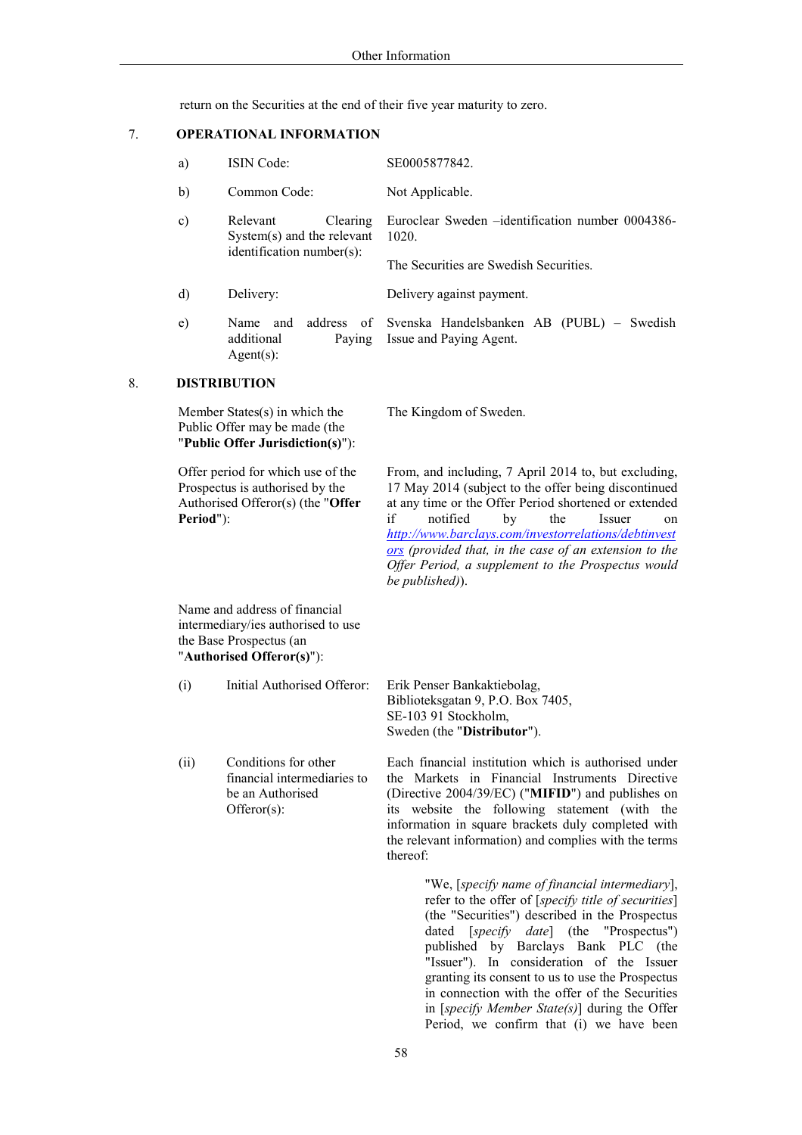return on the Securities at the end of their five year maturity to zero.

#### $7.$ **OPERATIONAL INFORMATION**

| a) | <b>ISIN</b> Code:                                                                    | SE0005877842.                                                                                        |
|----|--------------------------------------------------------------------------------------|------------------------------------------------------------------------------------------------------|
| b) | Common Code:                                                                         | Not Applicable.                                                                                      |
| c) | Relevant<br>Clearing<br>$System(s)$ and the relevant<br>$identification number(s)$ : | Euroclear Sweden - identification number 0004386-<br>1020.<br>The Securities are Swedish Securities. |
| d) | Delivery:                                                                            | Delivery against payment.                                                                            |
| e) | address of<br>and<br><b>Name</b><br>additional<br>Paving<br>$Agent(s)$ :             | Svenska Handelsbanken AB (PUBL) – Swedish<br>Issue and Paying Agent.                                 |

#### 8. **DISTRIBUTION**

Member States(s) in which the Public Offer may be made (the "Public Offer Jurisdiction(s)"):

Offer period for which use of the Prospectus is authorised by the Authorised Offeror(s) (the "Offer Period"):

The Kingdom of Sweden.

From, and including, 7 April 2014 to, but excluding, 17 May 2014 (subject to the offer being discontinued at any time or the Offer Period shortened or extended if notified by the Issuer  $\alpha$ n http://www.barclays.com/investorrelations/debtinvest ors (provided that, in the case of an extension to the Offer Period, a supplement to the Prospectus would be published)).

Name and address of financial intermediary/ies authorised to use the Base Prospectus (an "Authorised Offeror(s)"):

- Initial Authorised Offeror: Erik Penser Bankaktiebolag,  $(i)$ Biblioteksgatan 9, P.O. Box 7405, SE-103 91 Stockholm, Sweden (the "Distributor").
- $(ii)$ Conditions for other financial intermediaries to be an Authorised  $Offeror(s)$ :

Each financial institution which is authorised under the Markets in Financial Instruments Directive (Directive 2004/39/EC) ("MIFID") and publishes on its website the following statement (with the information in square brackets duly completed with the relevant information) and complies with the terms thereof:

> "We, [specify name of financial intermediary], refer to the offer of [specify title of securities] (the "Securities") described in the Prospectus dated [specify date] (the "Prospectus") published by Barclays Bank PLC (the "Issuer"). In consideration of the Issuer granting its consent to us to use the Prospectus in connection with the offer of the Securities in [specify Member State(s)] during the Offer Period, we confirm that (i) we have been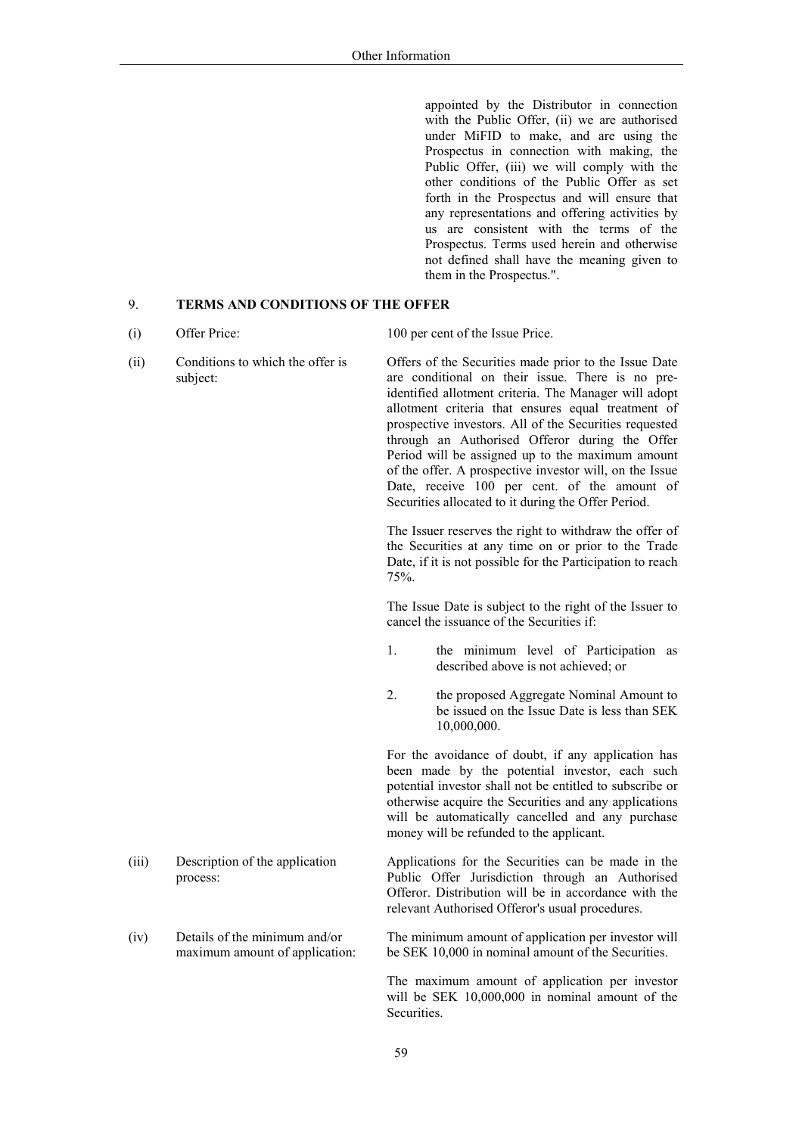appointed by the Distributor in connection with the Public Offer, (ii) we are authorised under MiFID to make, and are using the Prospectus in connection with making, the Public Offer, (iii) we will comply with the other conditions of the Public Offer as set forth in the Prospectus and will ensure that any representations and offering activities by us are consistent with the terms of the Prospectus. Terms used herein and otherwise not defined shall have the meaning given to them in the Prospectus.".

#### **TERMS AND CONDITIONS OF THE OFFER**  $9<sub>1</sub>$

 $(i)$ Offer Price:

 $(iii)$ 

100 per cent of the Issue Price.

 $(ii)$ Conditions to which the offer is Offers of the Securities made prior to the Issue Date are conditional on their issue. There is no presubject: identified allotment criteria. The Manager will adopt allotment criteria that ensures equal treatment of prospective investors. All of the Securities requested through an Authorised Offeror during the Offer Period will be assigned up to the maximum amount of the offer. A prospective investor will, on the Issue Date, receive 100 per cent. of the amount of

> The Issuer reserves the right to withdraw the offer of the Securities at any time on or prior to the Trade Date, if it is not possible for the Participation to reach 75%.

Securities allocated to it during the Offer Period.

The Issue Date is subject to the right of the Issuer to cancel the issuance of the Securities if:

- $\mathbf{1}$ the minimum level of Participation as described above is not achieved; or
- $\overline{2}$ . the proposed Aggregate Nominal Amount to be issued on the Issue Date is less than SEK 10,000,000.

For the avoidance of doubt, if any application has been made by the potential investor, each such potential investor shall not be entitled to subscribe or otherwise acquire the Securities and any applications will be automatically cancelled and any purchase money will be refunded to the applicant.

- Applications for the Securities can be made in the Description of the application Public Offer Jurisdiction through an Authorised process: Offeror. Distribution will be in accordance with the relevant Authorised Offeror's usual procedures.
- Details of the minimum and/or The minimum amount of application per investor will  $(iv)$ be SEK 10,000 in nominal amount of the Securities. maximum amount of application:

The maximum amount of application per investor will be SEK 10,000,000 in nominal amount of the **Securities**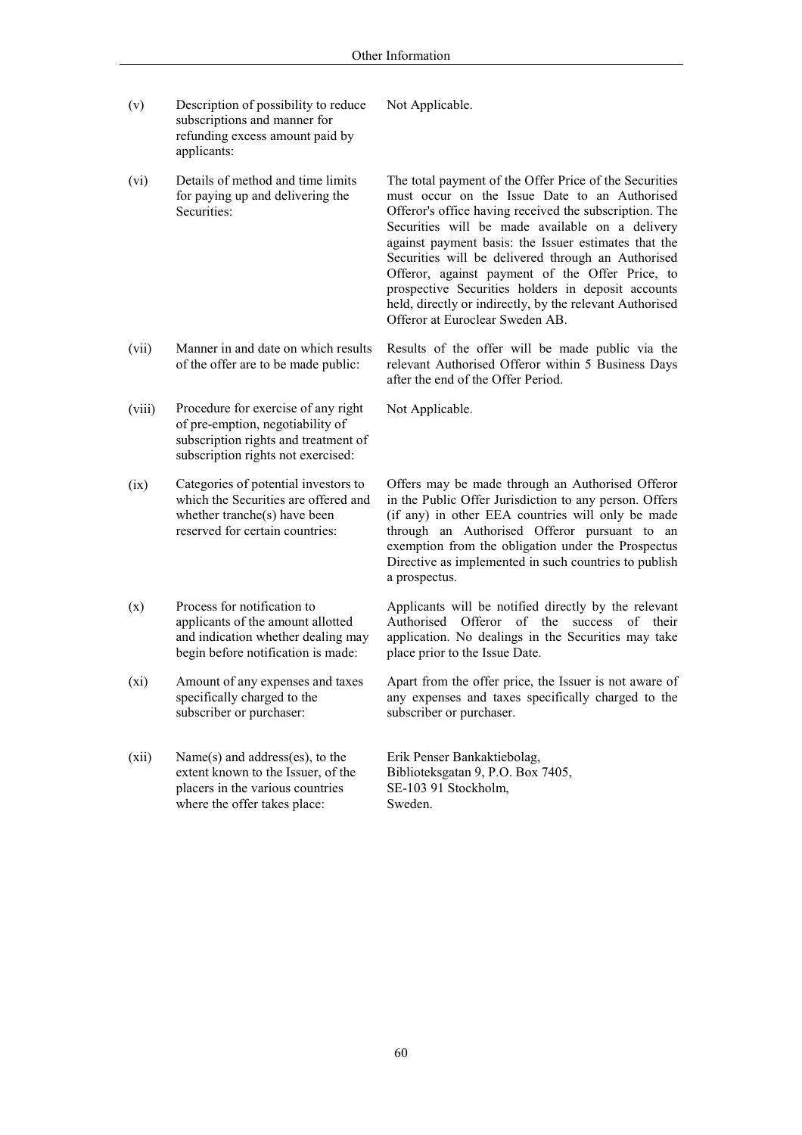Not Applicable.

- $(v)$ Description of possibility to reduce subscriptions and manner for refunding excess amount paid by applicants:
- $(vi)$ Details of method and time limits for paying up and delivering the Securities:

- $(vii)$ Manner in and date on which results of the offer are to be made public:
- $(viii)$ Procedure for exercise of any right of pre-emption, negotiability of subscription rights and treatment of subscription rights not exercised:

 $(ix)$ Categories of potential investors to which the Securities are offered and whether tranche(s) have been reserved for certain countries.

- $(x)$ Process for notification to applicants of the amount allotted and indication whether dealing may begin before notification is made:
- $(xi)$ Amount of any expenses and taxes specifically charged to the subscriber or purchaser:
- $(xii)$ Name(s) and address(es), to the extent known to the Issuer, of the placers in the various countries where the offer takes place:

The total payment of the Offer Price of the Securities must occur on the Issue Date to an Authorised Offeror's office having received the subscription. The Securities will be made available on a delivery against payment basis: the Issuer estimates that the Securities will be delivered through an Authorised Offeror, against payment of the Offer Price, to prospective Securities holders in deposit accounts held, directly or indirectly, by the relevant Authorised Offeror at Euroclear Sweden AB.

Results of the offer will be made public via the relevant Authorised Offeror within 5 Business Days after the end of the Offer Period.

Not Applicable.

Offers may be made through an Authorised Offeror in the Public Offer Jurisdiction to any person. Offers (if any) in other EEA countries will only be made through an Authorised Offeror pursuant to an exemption from the obligation under the Prospectus Directive as implemented in such countries to publish a prospectus.

Applicants will be notified directly by the relevant Authorised Offeror of the success of their application. No dealings in the Securities may take place prior to the Issue Date.

Apart from the offer price, the Issuer is not aware of any expenses and taxes specifically charged to the subscriber or purchaser.

Erik Penser Bankaktiebolag, Biblioteksgatan 9, P.O. Box 7405, SE-103 91 Stockholm. Sweden.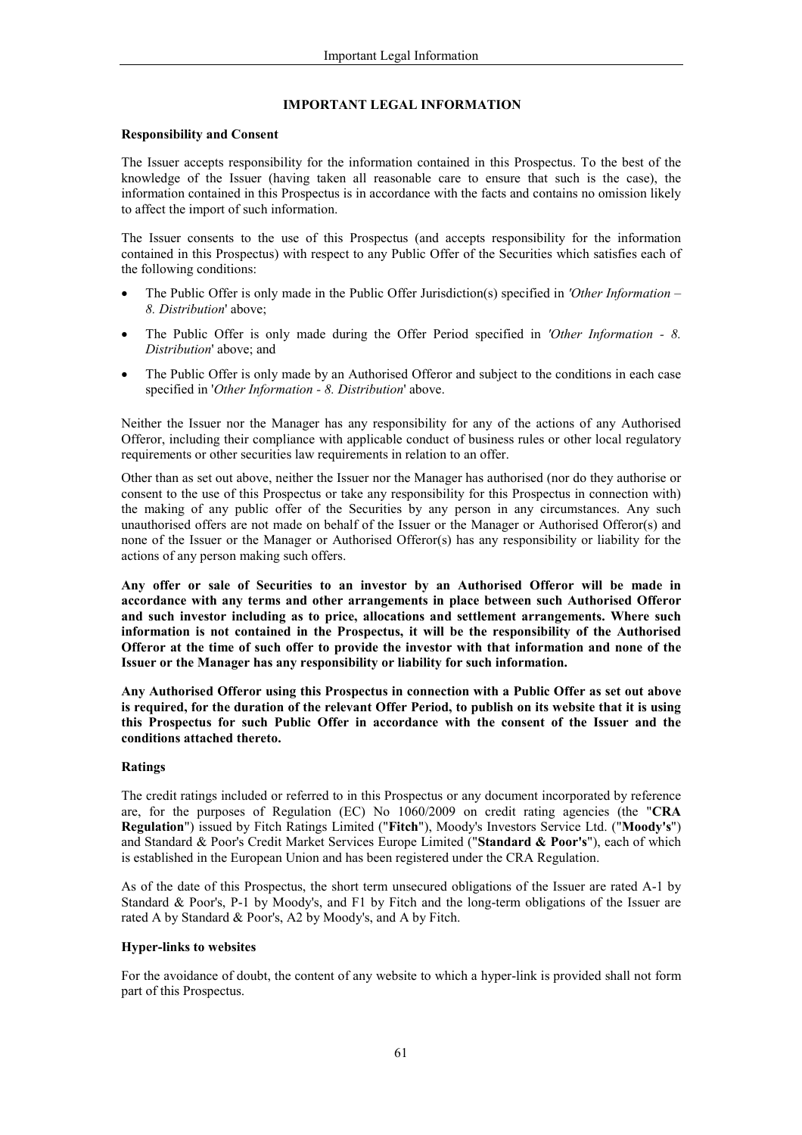# **IMPORTANT LEGAL INFORMATION**

### **Responsibility and Consent**

The Issuer accepts responsibility for the information contained in this Prospectus. To the best of the knowledge of the Issuer (having taken all reasonable care to ensure that such is the case), the information contained in this Prospectus is in accordance with the facts and contains no omission likely to affect the import of such information.

The Issuer consents to the use of this Prospectus (and accepts responsibility for the information contained in this Prospectus) with respect to any Public Offer of the Securities which satisfies each of the following conditions:

- The Public Offer is only made in the Public Offer Jurisdiction(s) specified in 'Other Information 8. Distribution' above;
- The Public Offer is only made during the Offer Period specified in 'Other Information 8.  $\bullet$ Distribution' above; and
- The Public Offer is only made by an Authorised Offeror and subject to the conditions in each case  $\bullet$ specified in 'Other Information - 8. Distribution' above.

Neither the Issuer nor the Manager has any responsibility for any of the actions of any Authorised Offeror, including their compliance with applicable conduct of business rules or other local regulatory requirements or other securities law requirements in relation to an offer.

Other than as set out above, neither the Issuer nor the Manager has authorised (nor do they authorise or consent to the use of this Prospectus or take any responsibility for this Prospectus in connection with) the making of any public offer of the Securities by any person in any circumstances. Any such unauthorised offers are not made on behalf of the Issuer or the Manager or Authorised Offeror(s) and none of the Issuer or the Manager or Authorised Offeror(s) has any responsibility or liability for the actions of any person making such offers.

Any offer or sale of Securities to an investor by an Authorised Offeror will be made in accordance with any terms and other arrangements in place between such Authorised Offeror and such investor including as to price, allocations and settlement arrangements. Where such information is not contained in the Prospectus, it will be the responsibility of the Authorised Offeror at the time of such offer to provide the investor with that information and none of the Issuer or the Manager has any responsibility or liability for such information.

Any Authorised Offeror using this Prospectus in connection with a Public Offer as set out above is required, for the duration of the relevant Offer Period, to publish on its website that it is using this Prospectus for such Public Offer in accordance with the consent of the Issuer and the conditions attached thereto.

## Ratings

The credit ratings included or referred to in this Prospectus or any document incorporated by reference are, for the purposes of Regulation (EC) No 1060/2009 on credit rating agencies (the "CRA Regulation") issued by Fitch Ratings Limited ("Fitch"), Moody's Investors Service Ltd. ("Moody's") and Standard & Poor's Credit Market Services Europe Limited ("Standard & Poor's"), each of which is established in the European Union and has been registered under the CRA Regulation.

As of the date of this Prospectus, the short term unsecured obligations of the Issuer are rated A-1 by Standard & Poor's, P-1 by Moody's, and F1 by Fitch and the long-term obligations of the Issuer are rated A by Standard & Poor's, A2 by Moody's, and A by Fitch.

### **Hyper-links to websites**

For the avoidance of doubt, the content of any website to which a hyper-link is provided shall not form part of this Prospectus.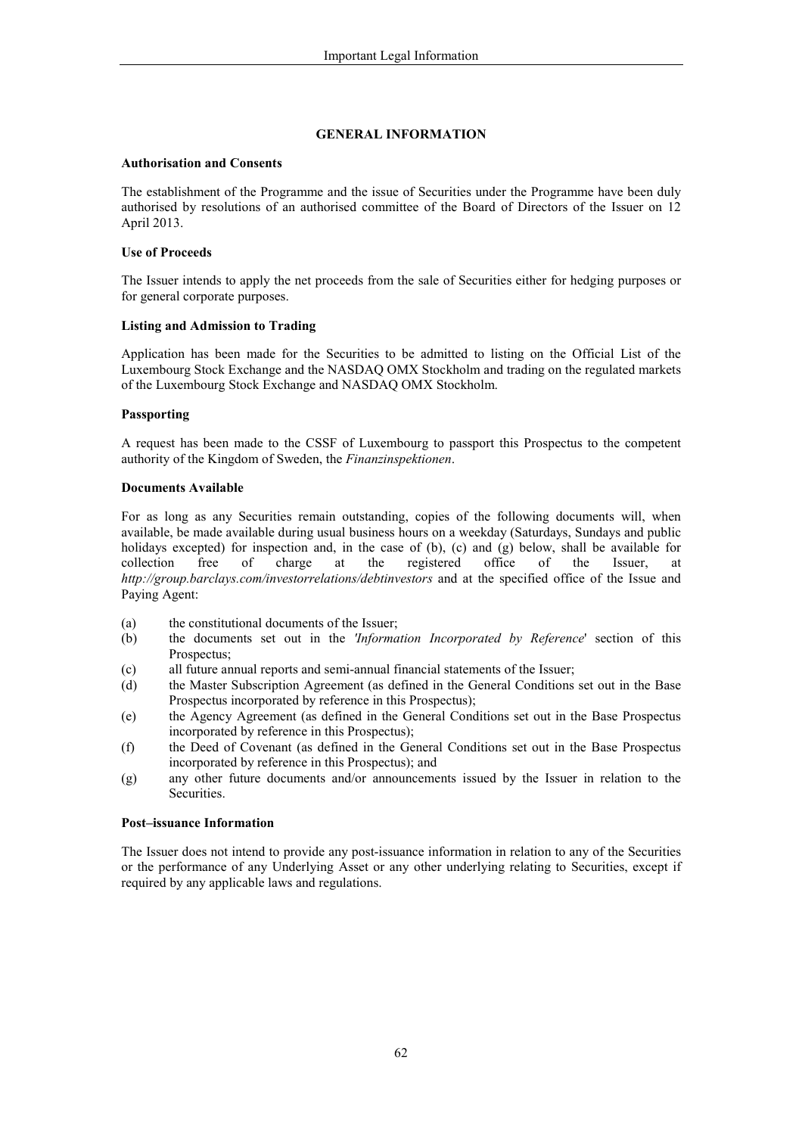# **GENERAL INFORMATION**

## **Authorisation and Consents**

The establishment of the Programme and the issue of Securities under the Programme have been duly authorised by resolutions of an authorised committee of the Board of Directors of the Issuer on 12 April 2013.

### **Use of Proceeds**

The Issuer intends to apply the net proceeds from the sale of Securities either for hedging purposes or for general corporate purposes.

### **Listing and Admission to Trading**

Application has been made for the Securities to be admitted to listing on the Official List of the Luxembourg Stock Exchange and the NASDAQ OMX Stockholm and trading on the regulated markets of the Luxembourg Stock Exchange and NASDAQ OMX Stockholm.

## Passporting

A request has been made to the CSSF of Luxembourg to passport this Prospectus to the competent authority of the Kingdom of Sweden, the Finanzinspektionen.

### **Documents Available**

For as long as any Securities remain outstanding, copies of the following documents will, when available, be made available during usual business hours on a weekday (Saturdays, Sundays and public holidays excepted) for inspection and, in the case of  $(b)$ ,  $(c)$  and  $(g)$  below, shall be available for collection registered free of charge at the office of the Issuer. at http://group.barclays.com/investorrelations/debtinvestors and at the specified office of the Issue and Paying Agent:

- the constitutional documents of the Issuer;  $(a)$
- the documents set out in the *'Information Incorporated by Reference'* section of this  $(b)$ Prospectus:
- all future annual reports and semi-annual financial statements of the Issuer;  $(c)$
- the Master Subscription Agreement (as defined in the General Conditions set out in the Base  $(d)$ Prospectus incorporated by reference in this Prospectus);
- the Agency Agreement (as defined in the General Conditions set out in the Base Prospectus  $(e)$ incorporated by reference in this Prospectus);
- $(f)$ the Deed of Covenant (as defined in the General Conditions set out in the Base Prospectus incorporated by reference in this Prospectus); and
- any other future documents and/or announcements issued by the Issuer in relation to the  $(g)$ Securities.

### **Post-issuance Information**

The Issuer does not intend to provide any post-issuance information in relation to any of the Securities or the performance of any Underlying Asset or any other underlying relating to Securities, except if required by any applicable laws and regulations.